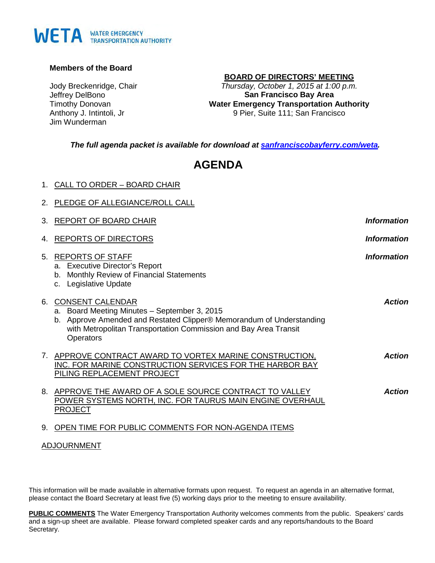#### **Members of the Board**

Jody Breckenridge, Chair Jeffrey DelBono Timothy Donovan Anthony J. Intintoli, Jr Jim Wunderman

#### **BOARD OF DIRECTORS' MEETING**

*Thursday, October 1, 2015 at 1:00 p.m.*  **San Francisco Bay Area Water Emergency Transportation Authority** 9 Pier, Suite 111; San Francisco

*The full agenda packet is available for download at [sanfranciscobayferry.com/weta.](http://www.sanfranciscobayferry.com/weta/next-board-meeting)* 

# **AGENDA**

|  |  | 1. CALL TO ORDER - BOARD CHAIR |  |
|--|--|--------------------------------|--|
|  |  |                                |  |

|                                | 2. PLEDGE OF ALLEGIANCE/ROLL CALL                                                                                                                                                                                                |                           |
|--------------------------------|----------------------------------------------------------------------------------------------------------------------------------------------------------------------------------------------------------------------------------|---------------------------|
| 3.                             | REPORT OF BOARD CHAIR                                                                                                                                                                                                            | <i><b>Information</b></i> |
| 4.                             | <b>REPORTS OF DIRECTORS</b>                                                                                                                                                                                                      | <b>Information</b>        |
| 5.                             | <b>REPORTS OF STAFF</b><br>a. Executive Director's Report<br>b. Monthly Review of Financial Statements<br>c. Legislative Update                                                                                                  | <b>Information</b>        |
| 6.                             | <b>CONSENT CALENDAR</b><br>a. Board Meeting Minutes - September 3, 2015<br>b. Approve Amended and Restated Clipper® Memorandum of Understanding<br>with Metropolitan Transportation Commission and Bay Area Transit<br>Operators | <b>Action</b>             |
| $7_{\scriptscriptstyle{\sim}}$ | APPROVE CONTRACT AWARD TO VORTEX MARINE CONSTRUCTION,<br>INC. FOR MARINE CONSTRUCTION SERVICES FOR THE HARBOR BAY<br>PILING REPLACEMENT PROJECT                                                                                  | <b>Action</b>             |
|                                | 8. APPROVE THE AWARD OF A SOLE SOURCE CONTRACT TO VALLEY<br>POWER SYSTEMS NORTH, INC. FOR TAURUS MAIN ENGINE OVERHAUL<br><b>PROJECT</b>                                                                                          | <b>Action</b>             |
| 9.                             | OPEN TIME FOR PUBLIC COMMENTS FOR NON-AGENDA ITEMS                                                                                                                                                                               |                           |

#### ADJOURNMENT

This information will be made available in alternative formats upon request. To request an agenda in an alternative format, please contact the Board Secretary at least five (5) working days prior to the meeting to ensure availability.

**PUBLIC COMMENTS** The Water Emergency Transportation Authority welcomes comments from the public. Speakers' cards and a sign-up sheet are available. Please forward completed speaker cards and any reports/handouts to the Board Secretary.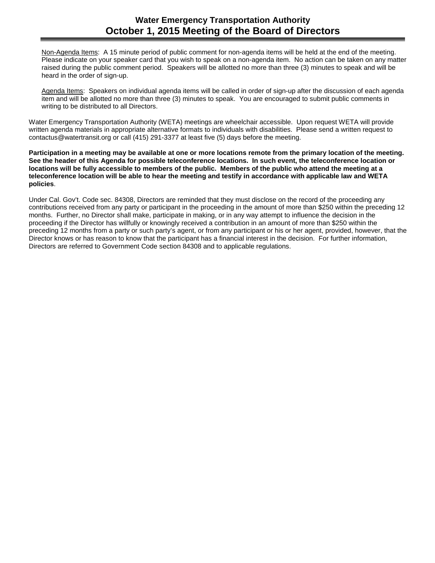Non-Agenda Items: A 15 minute period of public comment for non-agenda items will be held at the end of the meeting. Please indicate on your speaker card that you wish to speak on a non-agenda item. No action can be taken on any matter raised during the public comment period. Speakers will be allotted no more than three (3) minutes to speak and will be heard in the order of sign-up.

Agenda Items: Speakers on individual agenda items will be called in order of sign-up after the discussion of each agenda item and will be allotted no more than three (3) minutes to speak. You are encouraged to submit public comments in writing to be distributed to all Directors.

Water Emergency Transportation Authority (WETA) meetings are wheelchair accessible. Upon request WETA will provide written agenda materials in appropriate alternative formats to individuals with disabilities. Please send a written request to contactus@watertransit.org or call (415) 291-3377 at least five (5) days before the meeting.

**Participation in a meeting may be available at one or more locations remote from the primary location of the meeting. See the header of this Agenda for possible teleconference locations. In such event, the teleconference location or locations will be fully accessible to members of the public. Members of the public who attend the meeting at a teleconference location will be able to hear the meeting and testify in accordance with applicable law and WETA policies**.

Under Cal. Gov't. Code sec. 84308, Directors are reminded that they must disclose on the record of the proceeding any contributions received from any party or participant in the proceeding in the amount of more than \$250 within the preceding 12 months. Further, no Director shall make, participate in making, or in any way attempt to influence the decision in the proceeding if the Director has willfully or knowingly received a contribution in an amount of more than \$250 within the preceding 12 months from a party or such party's agent, or from any participant or his or her agent, provided, however, that the Director knows or has reason to know that the participant has a financial interest in the decision. For further information, Directors are referred to Government Code section 84308 and to applicable regulations.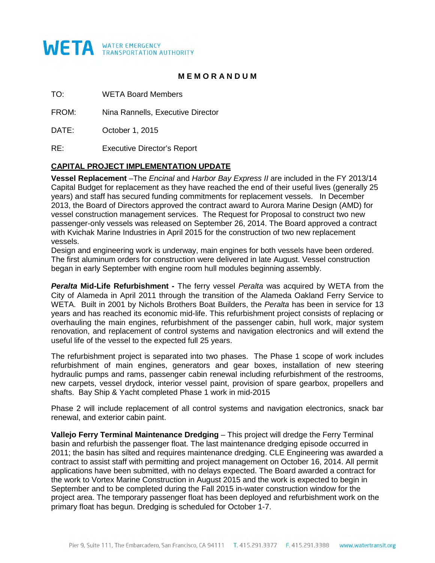

### **M E M O R A N D U M**

TO: WETA Board Members

FROM: Nina Rannells, Executive Director

DATE: October 1, 2015

RE: Executive Director's Report

### **CAPITAL PROJECT IMPLEMENTATION UPDATE**

**Vessel Replacement** –The *Encinal* and *Harbor Bay Express II* are included in the FY 2013/14 Capital Budget for replacement as they have reached the end of their useful lives (generally 25 years) and staff has secured funding commitments for replacement vessels. In December 2013, the Board of Directors approved the contract award to Aurora Marine Design (AMD) for vessel construction management services. The Request for Proposal to construct two new passenger-only vessels was released on September 26, 2014. The Board approved a contract with Kvichak Marine Industries in April 2015 for the construction of two new replacement vessels.

Design and engineering work is underway, main engines for both vessels have been ordered. The first aluminum orders for construction were delivered in late August. Vessel construction began in early September with engine room hull modules beginning assembly.

*Peralta* **Mid-Life Refurbishment -** The ferry vessel *Peralta* was acquired by WETA from the City of Alameda in April 2011 through the transition of the Alameda Oakland Ferry Service to WETA. Built in 2001 by Nichols Brothers Boat Builders, the *Peralta* has been in service for 13 years and has reached its economic mid-life. This refurbishment project consists of replacing or overhauling the main engines, refurbishment of the passenger cabin, hull work, major system renovation, and replacement of control systems and navigation electronics and will extend the useful life of the vessel to the expected full 25 years.

The refurbishment project is separated into two phases. The Phase 1 scope of work includes refurbishment of main engines, generators and gear boxes, installation of new steering hydraulic pumps and rams, passenger cabin renewal including refurbishment of the restrooms, new carpets, vessel drydock, interior vessel paint, provision of spare gearbox, propellers and shafts. Bay Ship & Yacht completed Phase 1 work in mid-2015

Phase 2 will include replacement of all control systems and navigation electronics, snack bar renewal, and exterior cabin paint.

**Vallejo Ferry Terminal Maintenance Dredging** – This project will dredge the Ferry Terminal basin and refurbish the passenger float. The last maintenance dredging episode occurred in 2011; the basin has silted and requires maintenance dredging. CLE Engineering was awarded a contract to assist staff with permitting and project management on October 16, 2014. All permit applications have been submitted, with no delays expected. The Board awarded a contract for the work to Vortex Marine Construction in August 2015 and the work is expected to begin in September and to be completed during the Fall 2015 in-water construction window for the project area. The temporary passenger float has been deployed and refurbishment work on the primary float has begun. Dredging is scheduled for October 1-7.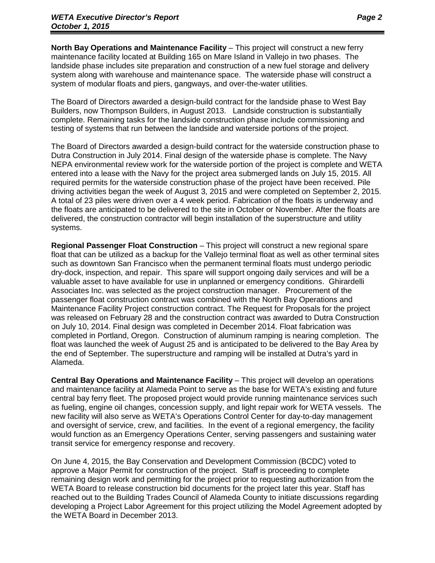**North Bay Operations and Maintenance Facility** – This project will construct a new ferry maintenance facility located at Building 165 on Mare Island in Vallejo in two phases. The landside phase includes site preparation and construction of a new fuel storage and delivery system along with warehouse and maintenance space. The waterside phase will construct a system of modular floats and piers, gangways, and over-the-water utilities.

The Board of Directors awarded a design-build contract for the landside phase to West Bay Builders, now Thompson Builders, in August 2013. Landside construction is substantially complete. Remaining tasks for the landside construction phase include commissioning and testing of systems that run between the landside and waterside portions of the project.

The Board of Directors awarded a design-build contract for the waterside construction phase to Dutra Construction in July 2014. Final design of the waterside phase is complete. The Navy NEPA environmental review work for the waterside portion of the project is complete and WETA entered into a lease with the Navy for the project area submerged lands on July 15, 2015. All required permits for the waterside construction phase of the project have been received. Pile driving activities began the week of August 3, 2015 and were completed on September 2, 2015. A total of 23 piles were driven over a 4 week period. Fabrication of the floats is underway and the floats are anticipated to be delivered to the site in October or November. After the floats are delivered, the construction contractor will begin installation of the superstructure and utility systems.

**Regional Passenger Float Construction** – This project will construct a new regional spare float that can be utilized as a backup for the Vallejo terminal float as well as other terminal sites such as downtown San Francisco when the permanent terminal floats must undergo periodic dry-dock, inspection, and repair. This spare will support ongoing daily services and will be a valuable asset to have available for use in unplanned or emergency conditions. Ghirardelli Associates Inc. was selected as the project construction manager. Procurement of the passenger float construction contract was combined with the North Bay Operations and Maintenance Facility Project construction contract. The Request for Proposals for the project was released on February 28 and the construction contract was awarded to Dutra Construction on July 10, 2014. Final design was completed in December 2014. Float fabrication was completed in Portland, Oregon. Construction of aluminum ramping is nearing completion. The float was launched the week of August 25 and is anticipated to be delivered to the Bay Area by the end of September. The superstructure and ramping will be installed at Dutra's yard in Alameda.

**Central Bay Operations and Maintenance Facility** – This project will develop an operations and maintenance facility at Alameda Point to serve as the base for WETA's existing and future central bay ferry fleet. The proposed project would provide running maintenance services such as fueling, engine oil changes, concession supply, and light repair work for WETA vessels. The new facility will also serve as WETA's Operations Control Center for day-to-day management and oversight of service, crew, and facilities. In the event of a regional emergency, the facility would function as an Emergency Operations Center, serving passengers and sustaining water transit service for emergency response and recovery.

On June 4, 2015, the Bay Conservation and Development Commission (BCDC) voted to approve a Major Permit for construction of the project. Staff is proceeding to complete remaining design work and permitting for the project prior to requesting authorization from the WETA Board to release construction bid documents for the project later this year. Staff has reached out to the Building Trades Council of Alameda County to initiate discussions regarding developing a Project Labor Agreement for this project utilizing the Model Agreement adopted by the WETA Board in December 2013.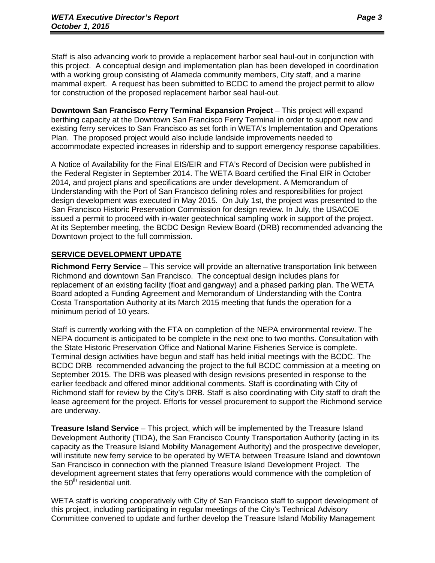Staff is also advancing work to provide a replacement harbor seal haul-out in conjunction with this project. A conceptual design and implementation plan has been developed in coordination with a working group consisting of Alameda community members, City staff, and a marine mammal expert. A request has been submitted to BCDC to amend the project permit to allow for construction of the proposed replacement harbor seal haul-out.

**Downtown San Francisco Ferry Terminal Expansion Project** – This project will expand berthing capacity at the Downtown San Francisco Ferry Terminal in order to support new and existing ferry services to San Francisco as set forth in WETA's Implementation and Operations Plan. The proposed project would also include landside improvements needed to accommodate expected increases in ridership and to support emergency response capabilities.

A Notice of Availability for the Final EIS/EIR and FTA's Record of Decision were published in the Federal Register in September 2014. The WETA Board certified the Final EIR in October 2014, and project plans and specifications are under development. A Memorandum of Understanding with the Port of San Francisco defining roles and responsibilities for project design development was executed in May 2015. On July 1st, the project was presented to the San Francisco Historic Preservation Commission for design review. In July, the USACOE issued a permit to proceed with in-water geotechnical sampling work in support of the project. At its September meeting, the BCDC Design Review Board (DRB) recommended advancing the Downtown project to the full commission.

### **SERVICE DEVELOPMENT UPDATE**

**Richmond Ferry Service** – This service will provide an alternative transportation link between Richmond and downtown San Francisco. The conceptual design includes plans for replacement of an existing facility (float and gangway) and a phased parking plan. The WETA Board adopted a Funding Agreement and Memorandum of Understanding with the Contra Costa Transportation Authority at its March 2015 meeting that funds the operation for a minimum period of 10 years.

Staff is currently working with the FTA on completion of the NEPA environmental review. The NEPA document is anticipated to be complete in the next one to two months. Consultation with the State Historic Preservation Office and National Marine Fisheries Service is complete. Terminal design activities have begun and staff has held initial meetings with the BCDC. The BCDC DRB recommended advancing the project to the full BCDC commission at a meeting on September 2015. The DRB was pleased with design revisions presented in response to the earlier feedback and offered minor additional comments. Staff is coordinating with City of Richmond staff for review by the City's DRB. Staff is also coordinating with City staff to draft the lease agreement for the project. Efforts for vessel procurement to support the Richmond service are underway.

**Treasure Island Service** – This project, which will be implemented by the Treasure Island Development Authority (TIDA), the San Francisco County Transportation Authority (acting in its capacity as the Treasure Island Mobility Management Authority) and the prospective developer, will institute new ferry service to be operated by WETA between Treasure Island and downtown San Francisco in connection with the planned Treasure Island Development Project. The development agreement states that ferry operations would commence with the completion of the  $50<sup>th</sup>$  residential unit.

WETA staff is working cooperatively with City of San Francisco staff to support development of this project, including participating in regular meetings of the City's Technical Advisory Committee convened to update and further develop the Treasure Island Mobility Management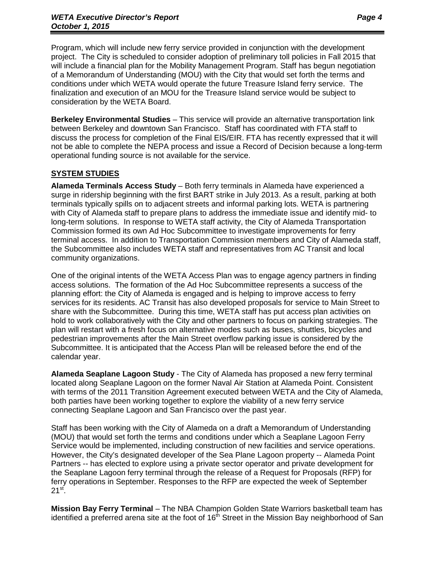Program, which will include new ferry service provided in conjunction with the development project. The City is scheduled to consider adoption of preliminary toll policies in Fall 2015 that will include a financial plan for the Mobility Management Program. Staff has begun negotiation of a Memorandum of Understanding (MOU) with the City that would set forth the terms and conditions under which WETA would operate the future Treasure Island ferry service. The finalization and execution of an MOU for the Treasure Island service would be subject to consideration by the WETA Board.

**Berkeley Environmental Studies** – This service will provide an alternative transportation link between Berkeley and downtown San Francisco. Staff has coordinated with FTA staff to discuss the process for completion of the Final EIS/EIR. FTA has recently expressed that it will not be able to complete the NEPA process and issue a Record of Decision because a long-term operational funding source is not available for the service.

### **SYSTEM STUDIES**

**Alameda Terminals Access Study** – Both ferry terminals in Alameda have experienced a surge in ridership beginning with the first BART strike in July 2013. As a result, parking at both terminals typically spills on to adjacent streets and informal parking lots. WETA is partnering with City of Alameda staff to prepare plans to address the immediate issue and identify mid- to long-term solutions. In response to WETA staff activity, the City of Alameda Transportation Commission formed its own Ad Hoc Subcommittee to investigate improvements for ferry terminal access. In addition to Transportation Commission members and City of Alameda staff, the Subcommittee also includes WETA staff and representatives from AC Transit and local community organizations.

One of the original intents of the WETA Access Plan was to engage agency partners in finding access solutions. The formation of the Ad Hoc Subcommittee represents a success of the planning effort: the City of Alameda is engaged and is helping to improve access to ferry services for its residents. AC Transit has also developed proposals for service to Main Street to share with the Subcommittee. During this time, WETA staff has put access plan activities on hold to work collaboratively with the City and other partners to focus on parking strategies. The plan will restart with a fresh focus on alternative modes such as buses, shuttles, bicycles and pedestrian improvements after the Main Street overflow parking issue is considered by the Subcommittee. It is anticipated that the Access Plan will be released before the end of the calendar year.

**Alameda Seaplane Lagoon Study** - The City of Alameda has proposed a new ferry terminal located along Seaplane Lagoon on the former Naval Air Station at Alameda Point. Consistent with terms of the 2011 Transition Agreement executed between WETA and the City of Alameda, both parties have been working together to explore the viability of a new ferry service connecting Seaplane Lagoon and San Francisco over the past year.

Staff has been working with the City of Alameda on a draft a Memorandum of Understanding (MOU) that would set forth the terms and conditions under which a Seaplane Lagoon Ferry Service would be implemented, including construction of new facilities and service operations. However, the City's designated developer of the Sea Plane Lagoon property -- Alameda Point Partners -- has elected to explore using a private sector operator and private development for the Seaplane Lagoon ferry terminal through the release of a Request for Proposals (RFP) for ferry operations in September. Responses to the RFP are expected the week of September  $21<sup>st</sup>$ .

**Mission Bay Ferry Terminal** – The NBA Champion Golden State Warriors basketball team has identified a preferred arena site at the foot of  $16<sup>th</sup>$  Street in the Mission Bay neighborhood of San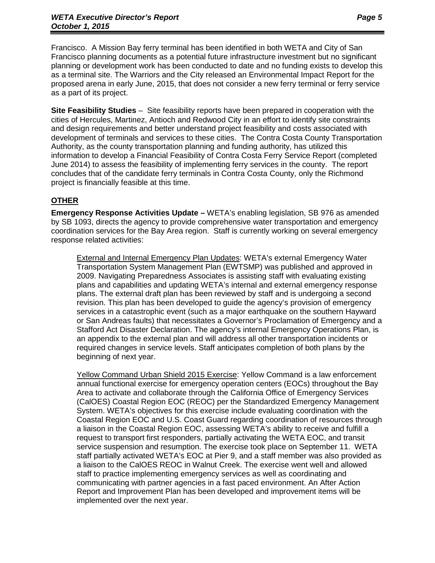Francisco. A Mission Bay ferry terminal has been identified in both WETA and City of San Francisco planning documents as a potential future infrastructure investment but no significant planning or development work has been conducted to date and no funding exists to develop this as a terminal site. The Warriors and the City released an Environmental Impact Report for the proposed arena in early June, 2015, that does not consider a new ferry terminal or ferry service as a part of its project.

**Site Feasibility Studies** – Site feasibility reports have been prepared in cooperation with the cities of Hercules, Martinez, Antioch and Redwood City in an effort to identify site constraints and design requirements and better understand project feasibility and costs associated with development of terminals and services to these cities. The Contra Costa County Transportation Authority, as the county transportation planning and funding authority, has utilized this information to develop a Financial Feasibility of Contra Costa Ferry Service Report (completed June 2014) to assess the feasibility of implementing ferry services in the county. The report concludes that of the candidate ferry terminals in Contra Costa County, only the Richmond project is financially feasible at this time.

### **OTHER**

**Emergency Response Activities Update –** WETA's enabling legislation, SB 976 as amended by SB 1093, directs the agency to provide comprehensive water transportation and emergency coordination services for the Bay Area region. Staff is currently working on several emergency response related activities:

External and Internal Emergency Plan Updates: WETA's external Emergency Water Transportation System Management Plan (EWTSMP) was published and approved in 2009. Navigating Preparedness Associates is assisting staff with evaluating existing plans and capabilities and updating WETA's internal and external emergency response plans. The external draft plan has been reviewed by staff and is undergoing a second revision. This plan has been developed to guide the agency's provision of emergency services in a catastrophic event (such as a major earthquake on the southern Hayward or San Andreas faults) that necessitates a Governor's Proclamation of Emergency and a Stafford Act Disaster Declaration. The agency's internal Emergency Operations Plan, is an appendix to the external plan and will address all other transportation incidents or required changes in service levels. Staff anticipates completion of both plans by the beginning of next year.

Yellow Command Urban Shield 2015 Exercise: Yellow Command is a law enforcement annual functional exercise for emergency operation centers (EOCs) throughout the Bay Area to activate and collaborate through the California Office of Emergency Services (CalOES) Coastal Region EOC (REOC) per the Standardized Emergency Management System. WETA's objectives for this exercise include evaluating coordination with the Coastal Region EOC and U.S. Coast Guard regarding coordination of resources through a liaison in the Coastal Region EOC, assessing WETA's ability to receive and fulfill a request to transport first responders, partially activating the WETA EOC, and transit service suspension and resumption. The exercise took place on September 11. WETA staff partially activated WETA's EOC at Pier 9, and a staff member was also provided as a liaison to the CalOES REOC in Walnut Creek. The exercise went well and allowed staff to practice implementing emergency services as well as coordinating and communicating with partner agencies in a fast paced environment. An After Action Report and Improvement Plan has been developed and improvement items will be implemented over the next year.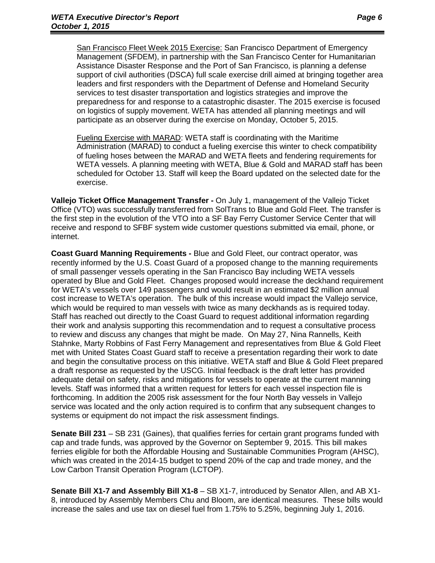San Francisco Fleet Week 2015 Exercise: San Francisco Department of Emergency Management (SFDEM), in partnership with the San Francisco Center for Humanitarian Assistance Disaster Response and the Port of San Francisco, is planning a defense support of civil authorities (DSCA) full scale exercise drill aimed at bringing together area leaders and first responders with the Department of Defense and Homeland Security services to test disaster transportation and logistics strategies and improve the preparedness for and response to a catastrophic disaster. The 2015 exercise is focused on logistics of supply movement. WETA has attended all planning meetings and will participate as an observer during the exercise on Monday, October 5, 2015.

Fueling Exercise with MARAD: WETA staff is coordinating with the Maritime Administration (MARAD) to conduct a fueling exercise this winter to check compatibility of fueling hoses between the MARAD and WETA fleets and fendering requirements for WETA vessels. A planning meeting with WETA, Blue & Gold and MARAD staff has been scheduled for October 13. Staff will keep the Board updated on the selected date for the exercise.

**Vallejo Ticket Office Management Transfer -** On July 1, management of the Vallejo Ticket Office (VTO) was successfully transferred from SolTrans to Blue and Gold Fleet. The transfer is the first step in the evolution of the VTO into a SF Bay Ferry Customer Service Center that will receive and respond to SFBF system wide customer questions submitted via email, phone, or internet.

**Coast Guard Manning Requirements -** Blue and Gold Fleet, our contract operator, was recently informed by the U.S. Coast Guard of a proposed change to the manning requirements of small passenger vessels operating in the San Francisco Bay including WETA vessels operated by Blue and Gold Fleet. Changes proposed would increase the deckhand requirement for WETA's vessels over 149 passengers and would result in an estimated \$2 million annual cost increase to WETA's operation. The bulk of this increase would impact the Vallejo service, which would be required to man vessels with twice as many deckhands as is required today. Staff has reached out directly to the Coast Guard to request additional information regarding their work and analysis supporting this recommendation and to request a consultative process to review and discuss any changes that might be made. On May 27, Nina Rannells, Keith Stahnke, Marty Robbins of Fast Ferry Management and representatives from Blue & Gold Fleet met with United States Coast Guard staff to receive a presentation regarding their work to date and begin the consultative process on this initiative. WETA staff and Blue & Gold Fleet prepared a draft response as requested by the USCG. Initial feedback is the draft letter has provided adequate detail on safety, risks and mitigations for vessels to operate at the current manning levels. Staff was informed that a written request for letters for each vessel inspection file is forthcoming. In addition the 2005 risk assessment for the four North Bay vessels in Vallejo service was located and the only action required is to confirm that any subsequent changes to systems or equipment do not impact the risk assessment findings.

**Senate Bill 231** – SB 231 (Gaines), that qualifies ferries for certain grant programs funded with cap and trade funds, was approved by the Governor on September 9, 2015. This bill makes ferries eligible for both the Affordable Housing and Sustainable Communities Program (AHSC), which was created in the 2014-15 budget to spend 20% of the cap and trade money, and the Low Carbon Transit Operation Program (LCTOP).

**Senate Bill X1-7 and Assembly Bill X1-8** – SB X1-7, introduced by Senator Allen, and AB X1- 8, introduced by Assembly Members Chu and Bloom, are identical measures. These bills would increase the sales and use tax on diesel fuel from 1.75% to 5.25%, beginning July 1, 2016.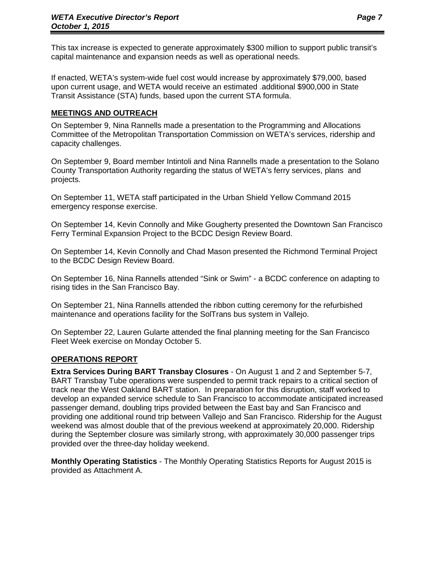This tax increase is expected to generate approximately \$300 million to support public transit's capital maintenance and expansion needs as well as operational needs.

If enacted, WETA's system-wide fuel cost would increase by approximately \$79,000, based upon current usage, and WETA would receive an estimated .additional \$900,000 in State Transit Assistance (STA) funds, based upon the current STA formula.

### **MEETINGS AND OUTREACH**

On September 9, Nina Rannells made a presentation to the Programming and Allocations Committee of the Metropolitan Transportation Commission on WETA's services, ridership and capacity challenges.

On September 9, Board member Intintoli and Nina Rannells made a presentation to the Solano County Transportation Authority regarding the status of WETA's ferry services, plans and projects.

On September 11, WETA staff participated in the Urban Shield Yellow Command 2015 emergency response exercise.

On September 14, Kevin Connolly and Mike Gougherty presented the Downtown San Francisco Ferry Terminal Expansion Project to the BCDC Design Review Board.

On September 14, Kevin Connolly and Chad Mason presented the Richmond Terminal Project to the BCDC Design Review Board.

On September 16, Nina Rannells attended "Sink or Swim" - a BCDC conference on adapting to rising tides in the San Francisco Bay.

On September 21, Nina Rannells attended the ribbon cutting ceremony for the refurbished maintenance and operations facility for the SolTrans bus system in Vallejo.

On September 22, Lauren Gularte attended the final planning meeting for the San Francisco Fleet Week exercise on Monday October 5.

### **OPERATIONS REPORT**

**Extra Services During BART Transbay Closures** - On August 1 and 2 and September 5-7, BART Transbay Tube operations were suspended to permit track repairs to a critical section of track near the West Oakland BART station. In preparation for this disruption, staff worked to develop an expanded service schedule to San Francisco to accommodate anticipated increased passenger demand, doubling trips provided between the East bay and San Francisco and providing one additional round trip between Vallejo and San Francisco. Ridership for the August weekend was almost double that of the previous weekend at approximately 20,000. Ridership during the September closure was similarly strong, with approximately 30,000 passenger trips provided over the three-day holiday weekend.

**Monthly Operating Statistics** - The Monthly Operating Statistics Reports for August 2015 is provided as Attachment A.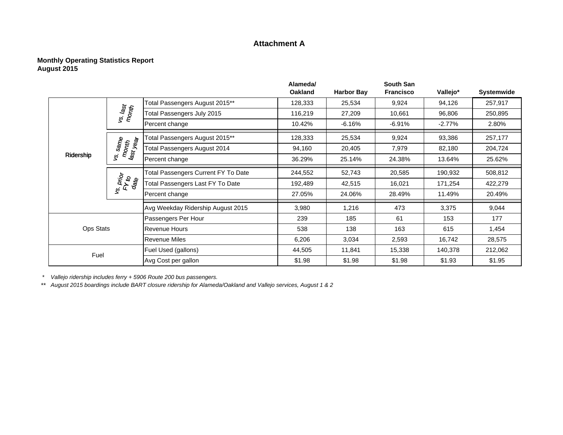#### **Attachment A**

#### **Monthly Operating Statistics Report August 2015**

|                  |                                |                                            | Alameda/       |                   | <b>South San</b> |           |                   |
|------------------|--------------------------------|--------------------------------------------|----------------|-------------------|------------------|-----------|-------------------|
|                  |                                |                                            | <b>Oakland</b> | <b>Harbor Bay</b> | <b>Francisco</b> | Vallejo*  | <b>Systemwide</b> |
|                  |                                | Total Passengers August 2015**             | 128,333        | 25,534            | 9,924            | 94,126    | 257,917           |
|                  | vs. last<br>Month              | Total Passengers July 2015                 | 116,219        | 27,209            | 10,661           | 96,806    | 250,895           |
|                  |                                | Percent change                             | 10.42%         | $-6.16%$          | $-6.91%$         | $-2.77\%$ | 2.80%             |
|                  |                                | Total Passengers August 2015**             | 128,333        | 25,534            | 9,924            | 93,386    | 257,177           |
|                  | vs. same<br>month<br>last year | <b>Total Passengers August 2014</b>        | 94,160         | 20,405            | 7,979            | 82,180    | 204,724           |
| Ridership        |                                | Percent change                             | 36.29%         | 25.14%            | 24.38%           | 13.64%    | 25.62%            |
|                  | vs. prior<br>FY to<br>date     | <b>Total Passengers Current FY To Date</b> | 244,552        | 52,743            | 20,585           | 190,932   | 508,812           |
|                  |                                | Total Passengers Last FY To Date           | 192,489        | 42,515            | 16,021           | 171,254   | 422,279           |
|                  |                                | Percent change                             | 27.05%         | 24.06%            | 28.49%           | 11.49%    | 20.49%            |
|                  |                                | Avg Weekday Ridership August 2015          | 3,980          | 1,216             | 473              | 3,375     | 9,044             |
|                  |                                | Passengers Per Hour                        | 239            | 185               | 61               | 153       | 177               |
| <b>Ops Stats</b> |                                | lRevenue Hours                             | 538            | 138               | 163              | 615       | 1,454             |
|                  |                                | Revenue Miles                              | 6,206          | 3,034             | 2,593            | 16,742    | 28,575            |
| Fuel             |                                | Fuel Used (gallons)                        | 44,505         | 11,841            | 15,338           | 140,378   | 212,062           |
|                  |                                | Avg Cost per gallon                        | \$1.98         | \$1.98            | \$1.98           | \$1.93    | \$1.95            |

*\* Vallejo ridership includes ferry + 5906 Route 200 bus passengers.*

\*\* *August 2015 boardings include BART closure ridership for Alameda/Oakland and Vallejo services, August 1 & 2*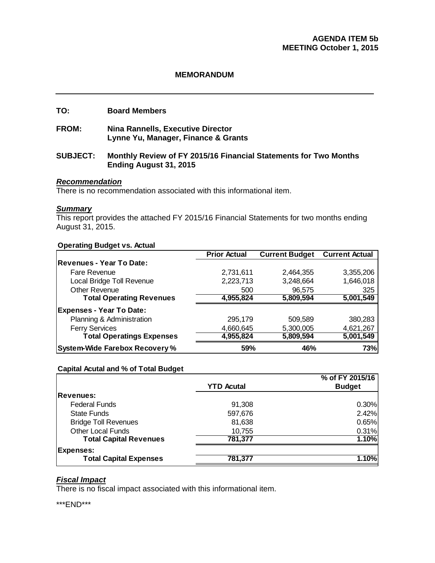#### **MEMORANDUM**

#### **TO: Board Members**

**FROM: Nina Rannells, Executive Director Lynne Yu, Manager, Finance & Grants** 

#### **SUBJECT: Monthly Review of FY 2015/16 Financial Statements for Two Months Ending August 31, 2015**

#### *Recommendation*

There is no recommendation associated with this informational item.

#### *Summary*

This report provides the attached FY 2015/16 Financial Statements for two months ending August 31, 2015.

#### **Operating Budget vs. Actual**

|                                       | <b>Prior Actual</b> | <b>Current Budget</b> | <b>Current Actual</b> |
|---------------------------------------|---------------------|-----------------------|-----------------------|
| Revenues - Year To Date:              |                     |                       |                       |
| Fare Revenue                          | 2,731,611           | 2,464,355             | 3,355,206             |
| Local Bridge Toll Revenue             | 2,223,713           | 3,248,664             | 1,646,018             |
| <b>Other Revenue</b>                  | 500                 | 96,575                | 325                   |
| <b>Total Operating Revenues</b>       | 4,955,824           | 5,809,594             | 5,001,549             |
| <b>Expenses - Year To Date:</b>       |                     |                       |                       |
| Planning & Administration             | 295,179             | 509,589               | 380,283               |
| <b>Ferry Services</b>                 | 4,660,645           | 5,300,005             | 4,621,267             |
| <b>Total Operatings Expenses</b>      | 4,955,824           | 5,809,594             | 5,001,549             |
| <b>System-Wide Farebox Recovery %</b> | 59%                 | 46%                   | 73%l                  |

#### **Capital Acutal and % of Total Budget**

|                               |                   | % of FY 2015/16 |
|-------------------------------|-------------------|-----------------|
|                               | <b>YTD Acutal</b> | <b>Budget</b>   |
| <b>Revenues:</b>              |                   |                 |
| <b>Federal Funds</b>          | 91,308            | 0.30%           |
| <b>State Funds</b>            | 597,676           | 2.42%           |
| <b>Bridge Toll Revenues</b>   | 81,638            | 0.65%           |
| <b>Other Local Funds</b>      | 10,755            | 0.31%           |
| <b>Total Capital Revenues</b> | 781,377           | 1.10%           |
| <b>Expenses:</b>              |                   |                 |
| <b>Total Capital Expenses</b> | 781,377           | 1.10%           |

### *Fiscal Impact*

There is no fiscal impact associated with this informational item.

\*\*\*END\*\*\*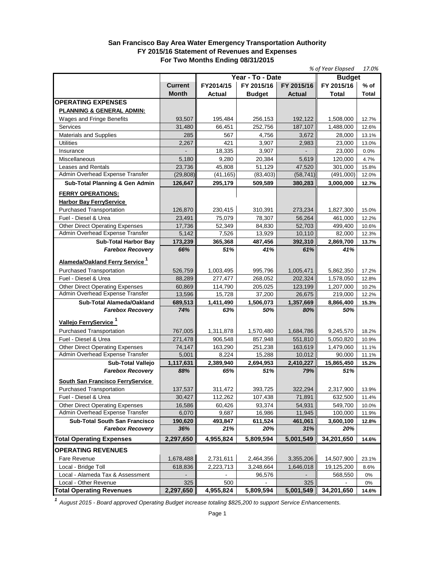#### **San Francisco Bay Area Water Emergency Transportation Authority FY 2015/16 Statement of Revenues and Expenses For Two Months Ending 08/31/2015**

|                                            |                |           |                  |               | % of Year Elapsed | 17.0%  |
|--------------------------------------------|----------------|-----------|------------------|---------------|-------------------|--------|
|                                            |                |           | Year - To - Date |               | <b>Budget</b>     |        |
|                                            | <b>Current</b> | FY2014/15 | FY 2015/16       | FY 2015/16    | FY 2015/16        | $%$ of |
|                                            | <b>Month</b>   | Actual    | <b>Budget</b>    | <b>Actual</b> | Total             | Total  |
| <b>OPERATING EXPENSES</b>                  |                |           |                  |               |                   |        |
| PLANNING & GENERAL ADMIN:                  |                |           |                  |               |                   |        |
| Wages and Fringe Benefits                  | 93,507         | 195,484   | 256,153          | 192,122       | 1,508,000         | 12.7%  |
| <b>Services</b>                            | 31,480         | 66,451    | 252,756          | 187,107       | 1,488,000         | 12.6%  |
| Materials and Supplies                     | 285            | 567       | 4,756            | 3,672         | 28,000            | 13.1%  |
| <b>Utilities</b>                           | 2,267          | 421       | 3,907            | 2,983         | 23,000            | 13.0%  |
| Insurance                                  |                | 18,335    | 3,907            |               | 23,000            | 0.0%   |
| Miscellaneous                              | 5,180          | 9,280     | 20,384           | 5,619         | 120,000           | 4.7%   |
| <b>Leases and Rentals</b>                  | 23,736         | 45,808    | 51.129           | 47,520        | 301,000           | 15.8%  |
| Admin Overhead Expense Transfer            | (29, 808)      | (41, 165) | (83, 403)        | (58, 741)     | (491,000)         | 12.0%  |
| Sub-Total Planning & Gen Admin             | 126,647        | 295,179   | 509,589          | 380,283       | 3,000,000         | 12.7%  |
|                                            |                |           |                  |               |                   |        |
| <b>FERRY OPERATIONS:</b>                   |                |           |                  |               |                   |        |
| <b>Harbor Bay FerryService</b>             |                |           |                  |               |                   |        |
| <b>Purchased Transportation</b>            | 126,870        | 230,415   | 310,391          | 273.234       | 1,827,300         | 15.0%  |
| Fuel - Diesel & Urea                       | 23,491         | 75,079    | 78,307           | 56.264        | 461,000           | 12.2%  |
| <b>Other Direct Operating Expenses</b>     | 17,736         | 52,349    | 84,830           | 52,703        | 499,400           | 10.6%  |
| Admin Overhead Expense Transfer            | 5,142          | 7,526     | 13,929           | 10,110        | 82,000            | 12.3%  |
| <b>Sub-Total Harbor Bay</b>                | 173,239        | 365,368   | 487,456          | 392.310       | 2,869,700         | 13.7%  |
| <b>Farebox Recovery</b>                    | 66%            | 51%       | 41%              | 61%           | 41%               |        |
| Alameda/Oakland Ferry Service <sup>1</sup> |                |           |                  |               |                   |        |
| <b>Purchased Transportation</b>            | 526,759        | 1,003,495 | 995,796          | 1,005,471     | 5,862,350         | 17.2%  |
| Fuel - Diesel & Urea                       | 88,289         | 277,477   | 268,052          | 202,324       | 1,578,050         | 12.8%  |
| <b>Other Direct Operating Expenses</b>     | 60,869         | 114,790   | 205,025          | 123,199       | 1,207,000         | 10.2%  |
| Admin Overhead Expense Transfer            | 13,596         | 15,728    | 37,200           | 26,675        | 219,000           | 12.2%  |
| Sub-Total Alameda/Oakland                  | 689,513        | 1,411,490 | 1,506,073        | 1,357,669     | 8,866,400         | 15.3%  |
| <b>Farebox Recovery</b>                    | 74%            | 63%       | 50%              | 80%           | 50%               |        |
| Vallejo FerryService <sup>1</sup>          |                |           |                  |               |                   |        |
|                                            |                |           |                  |               |                   |        |
| <b>Purchased Transportation</b>            | 767,005        | 1,311,878 | 1,570,480        | 1,684,786     | 9,245,570         | 18.2%  |
| Fuel - Diesel & Urea                       | 271,478        | 906,548   | 857,948          | 551,810       | 5,050,820         | 10.9%  |
| <b>Other Direct Operating Expenses</b>     | 74.147         | 163,290   | 251,238          | 163,619       | 1,479,060         | 11.1%  |
| Admin Overhead Expense Transfer            | 5,001          | 8,224     | 15,288           | 10,012        | 90,000            | 11.1%  |
| <b>Sub-Total Valleio</b>                   | 1,117,631      | 2,389,940 | 2,694,953        | 2.410.227     | 15,865,450        | 15.2%  |
| <b>Farebox Recovery</b>                    | 88%            | 65%       | 51%              | 79%           | 51%               |        |
| South San Francisco FerryService           |                |           |                  |               |                   |        |
| Purchased Transportation                   | 137,537        | 311,472   | 393,725          | 322,294       | 2,317,900         | 13.9%  |
| Fuel - Diesel & Urea                       | 30,427         | 112,262   | 107,438          | 71,891        | 632,500           | 11.4%  |
| <b>Other Direct Operating Expenses</b>     | 16,586         | 60,426    | 93,374           | 54,931        | 549,700           | 10.0%  |
| Admin Overhead Expense Transfer            | 6,070          | 9,687     | 16,986           | 11,945        | 100,000           | 11.9%  |
| <b>Sub-Total South San Francisco</b>       | 190,620        | 493,847   | 611,524          | 461,061       | 3,600,100         | 12.8%  |
| <b>Farebox Recovery</b>                    | 36%            | 21%       | 20%              | 31%           | 20%               |        |
| <b>Total Operating Expenses</b>            | 2,297,650      | 4,955,824 | 5,809,594        | 5,001,549     | 34,201,650        | 14.6%  |
| <b>OPERATING REVENUES</b>                  |                |           |                  |               |                   |        |
| Fare Revenue                               | 1,678,488      | 2,731,611 | 2,464,356        | 3,355,206     | 14,507,900        | 23.1%  |
| Local - Bridge Toll                        | 618,836        | 2,223,713 | 3,248,664        | 1,646,018     | 19,125,200        | 8.6%   |
| Local - Alameda Tax & Assessment           |                |           | 96,576           |               | 568,550           | 0%     |
| Local - Other Revenue                      | 325            | 500       |                  | 325           |                   | 0%     |
| <b>Total Operating Revenues</b>            | 2,297,650      | 4,955,824 | 5,809,594        | 5,001,549     | 34,201,650        | 14.6%  |

*<sup>1</sup>August 2015 - Board approved Operating Budget increase totaling \$825,200 to support Service Enhancements.*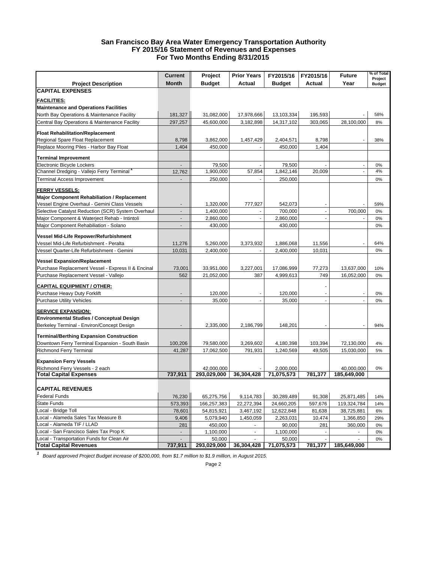#### **San Francisco Bay Area Water Emergency Transportation Authority FY 2015/16 Statement of Revenues and Expenses For Two Months Ending 8/31/2015**

|                                                                    | <b>Current</b>           | Project       | <b>Prior Years</b> | FY2015/16     | FY2015/16                | <b>Future</b> | % of Total               |
|--------------------------------------------------------------------|--------------------------|---------------|--------------------|---------------|--------------------------|---------------|--------------------------|
| <b>Project Description</b>                                         | <b>Month</b>             | <b>Budget</b> | Actual             | <b>Budget</b> | Actual                   | Year          | Project<br><b>Budget</b> |
| <b>CAPITAL EXPENSES</b>                                            |                          |               |                    |               |                          |               |                          |
|                                                                    |                          |               |                    |               |                          |               |                          |
| <b>FACILITIES:</b><br><b>Maintenance and Operations Facilities</b> |                          |               |                    |               |                          |               |                          |
|                                                                    |                          |               |                    | 13,103,334    |                          |               | 58%                      |
| North Bay Operations & Maintenance Facility                        | 181,327                  | 31,082,000    | 17,978,666         |               | 195,593                  |               |                          |
| Central Bay Operations & Maintenance Facility                      | 297,257                  | 45,600,000    | 3,182,898          | 14,317,102    | 303,065                  | 28,100,000    | 8%                       |
| <b>Float Rehabilitation/Replacement</b>                            |                          |               |                    |               |                          |               |                          |
| Regional Spare Float Replacement                                   | 8,798                    | 3,862,000     | 1,457,429          | 2,404,571     | 8,798                    |               | 38%                      |
| Replace Mooring Piles - Harbor Bay Float                           | 1,404                    | 450,000       |                    | 450,000       | 1,404                    |               |                          |
| <b>Terminal Improvement</b>                                        |                          |               |                    |               |                          |               |                          |
| <b>Electronic Bicycle Lockers</b>                                  |                          | 79,500        |                    | 79,500        |                          |               | 0%                       |
| Channel Dredging - Vallejo Ferry Terminal                          | 12,762                   | 1,900,000     | 57,854             | 1,842,146     | 20,009                   |               | 4%                       |
| <b>Terminal Access Improvement</b>                                 |                          | 250,000       |                    | 250,000       |                          |               | 0%                       |
|                                                                    |                          |               |                    |               |                          |               |                          |
| <b>FERRY VESSELS:</b>                                              |                          |               |                    |               |                          |               |                          |
| <b>Major Component Rehabiliation / Replacement</b>                 |                          |               |                    |               |                          |               |                          |
| Vessel Engine Overhaul - Gemini Class Vessels                      |                          | 1,320,000     | 777,927            | 542,073       |                          |               | 59%                      |
| Selective Catalyst Reduction (SCR) System Overhaul                 | ÷,                       | 1,400,000     |                    | 700,000       | $\mathbf{r}$             | 700,000       | 0%                       |
| Major Component & Waterject Rehab - Intintoli                      |                          | 2,860,000     |                    | 2,860,000     |                          |               | 0%                       |
| Major Component Rehabiliation - Solano                             | $\blacksquare$           | 430,000       |                    | 430,000       |                          |               | 0%                       |
| Vessel Mid-Life Repower/Refurbishment                              |                          |               |                    |               |                          |               |                          |
| Vessel Mid-Life Refurbishment - Peralta                            | 11,276                   | 5,260,000     | 3,373,932          | 1,886,068     | 11,556                   |               | 64%                      |
| Vessel Quarter-Life Refurbishment - Gemini                         | 10,031                   | 2,400,000     |                    | 2,400,000     | 10,031                   |               | 0%                       |
|                                                                    |                          |               |                    |               |                          |               |                          |
| <b>Vessel Expansion/Replacement</b>                                |                          |               |                    |               |                          |               |                          |
| Purchase Replacement Vessel - Express II & Encinal                 | 73,001                   | 33,951,000    | 3,227,001          | 17,086,999    | 77,273                   | 13,637,000    | 10%                      |
| Purchase Replacement Vessel - Vallejo                              | 562                      | 21,052,000    | 387                | 4,999,613     | 749                      | 16,052,000    | 0%                       |
| <b>CAPITAL EQUIPMENT / OTHER:</b>                                  |                          |               |                    |               |                          |               |                          |
| Purchase Heavy Duty Forklift                                       |                          | 120,000       |                    | 120,000       | $\overline{\phantom{a}}$ |               | 0%                       |
| <b>Purchase Utility Vehicles</b>                                   |                          | 35,000        | $\overline{a}$     | 35,000        | $\overline{a}$           |               | 0%                       |
| <b>SERVICE EXPANSION:</b>                                          |                          |               |                    |               |                          |               |                          |
| <b>Environmental Studies / Conceptual Design</b>                   |                          |               |                    |               |                          |               |                          |
| Berkeley Terminal - Environ/Concept Design                         |                          | 2,335,000     | 2,186,799          | 148,201       |                          |               | 94%                      |
|                                                                    |                          |               |                    |               |                          |               |                          |
| <b>Terminal/Berthing Expansion Construction</b>                    |                          |               |                    |               |                          |               |                          |
| Downtown Ferry Terminal Expansion - South Basin                    | 100,206                  | 79,580,000    | 3,269,602          | 4,180,398     | 103,394                  | 72,130,000    | 4%                       |
| <b>Richmond Ferry Terminal</b>                                     | 41,287                   | 17,062,500    | 791,931            | 1,240,569     | 49,505                   | 15.030.000    | 5%                       |
| <b>Expansion Ferry Vessels</b>                                     |                          |               |                    |               |                          |               |                          |
| Richmond Ferry Vessels - 2 each                                    |                          | 42,000,000    |                    | 2,000,000     |                          | 40,000,000    | $0\%$                    |
| <b>Total Capital Expenses</b>                                      | 737,911                  | 293,029,000   | 36,304,428         | 71,075,573    | 781,377                  | 185,649,000   |                          |
|                                                                    |                          |               |                    |               |                          |               |                          |
| <b>CAPITAL REVENUES</b>                                            |                          |               |                    |               |                          |               |                          |
| <b>Federal Funds</b>                                               | 76,230                   | 65,275,756    | 9,114,783          | 30,289,489    | 91,308                   | 25,871,485    | 14%                      |
| <b>State Funds</b>                                                 | 573,393                  | 166,257,383   | 22,272,394         | 24,660,205    | 597,676                  | 119,324,784   | 14%                      |
| Local - Bridge Toll                                                | 78,601                   | 54,815,921    | 3,467,192          | 12,622,848    | 81,638                   | 38,725,881    | 6%                       |
| Local - Alameda Sales Tax Measure B                                | 9,406                    | 5,079,940     | 1,450,059          | 2,263,031     | 10,474                   | 1,366,850     | 29%                      |
| Local - Alameda TIF / LLAD                                         | 281                      | 450,000       |                    | 90,000        | 281                      | 360,000       | 0%                       |
| Local - San Francisco Sales Tax Prop K                             | $\overline{\phantom{a}}$ | 1,100,000     |                    | 1,100,000     |                          |               | 0%                       |
| Local - Transportation Funds for Clean Air                         |                          | 50,000        |                    | 50,000        |                          |               | 0%                       |
| <b>Total Capital Revenues</b>                                      | 737,911                  | 293,029,000   | 36,304,428         | 71,075,573    | 781,377                  | 185,649,000   |                          |

*<sup>1</sup> Board approved Project Budget increase of \$200,000, from \$1.7 million to \$1.9 million, in August 2015.*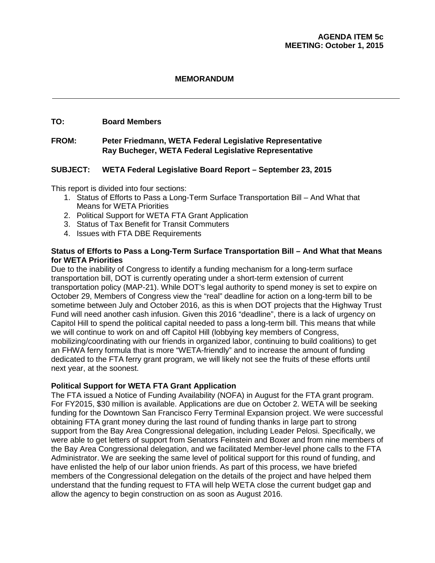### **MEMORANDUM**

#### **TO: Board Members**

### **FROM: Peter Friedmann, WETA Federal Legislative Representative Ray Bucheger, WETA Federal Legislative Representative**

#### **SUBJECT: WETA Federal Legislative Board Report – September 23, 2015**

This report is divided into four sections:

- 1. Status of Efforts to Pass a Long-Term Surface Transportation Bill And What that Means for WETA Priorities
- 2. Political Support for WETA FTA Grant Application
- 3. Status of Tax Benefit for Transit Commuters
- 4. Issues with FTA DBE Requirements

#### **Status of Efforts to Pass a Long-Term Surface Transportation Bill – And What that Means for WETA Priorities**

Due to the inability of Congress to identify a funding mechanism for a long-term surface transportation bill, DOT is currently operating under a short-term extension of current transportation policy (MAP-21). While DOT's legal authority to spend money is set to expire on October 29, Members of Congress view the "real" deadline for action on a long-term bill to be sometime between July and October 2016, as this is when DOT projects that the Highway Trust Fund will need another cash infusion. Given this 2016 "deadline", there is a lack of urgency on Capitol Hill to spend the political capital needed to pass a long-term bill. This means that while we will continue to work on and off Capitol Hill (lobbying key members of Congress, mobilizing/coordinating with our friends in organized labor, continuing to build coalitions) to get an FHWA ferry formula that is more "WETA-friendly" and to increase the amount of funding dedicated to the FTA ferry grant program, we will likely not see the fruits of these efforts until next year, at the soonest.

#### **Political Support for WETA FTA Grant Application**

The FTA issued a Notice of Funding Availability (NOFA) in August for the FTA grant program. For FY2015, \$30 million is available. Applications are due on October 2. WETA will be seeking funding for the Downtown San Francisco Ferry Terminal Expansion project. We were successful obtaining FTA grant money during the last round of funding thanks in large part to strong support from the Bay Area Congressional delegation, including Leader Pelosi. Specifically, we were able to get letters of support from Senators Feinstein and Boxer and from nine members of the Bay Area Congressional delegation, and we facilitated Member-level phone calls to the FTA Administrator. We are seeking the same level of political support for this round of funding, and have enlisted the help of our labor union friends. As part of this process, we have briefed members of the Congressional delegation on the details of the project and have helped them understand that the funding request to FTA will help WETA close the current budget gap and allow the agency to begin construction on as soon as August 2016.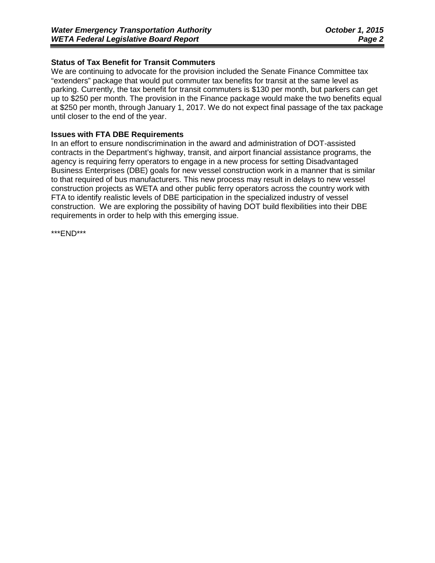### **Status of Tax Benefit for Transit Commuters**

We are continuing to advocate for the provision included the Senate Finance Committee tax "extenders" package that would put commuter tax benefits for transit at the same level as parking. Currently, the tax benefit for transit commuters is \$130 per month, but parkers can get up to \$250 per month. The provision in the Finance package would make the two benefits equal at \$250 per month, through January 1, 2017. We do not expect final passage of the tax package until closer to the end of the year.

#### **Issues with FTA DBE Requirements**

In an effort to ensure nondiscrimination in the award and administration of DOT-assisted contracts in the Department's highway, transit, and airport financial assistance programs, the agency is requiring ferry operators to engage in a new process for setting Disadvantaged Business Enterprises (DBE) goals for new vessel construction work in a manner that is similar to that required of bus manufacturers. This new process may result in delays to new vessel construction projects as WETA and other public ferry operators across the country work with FTA to identify realistic levels of DBE participation in the specialized industry of vessel construction. We are exploring the possibility of having DOT build flexibilities into their DBE requirements in order to help with this emerging issue.

\*\*\*END\*\*\*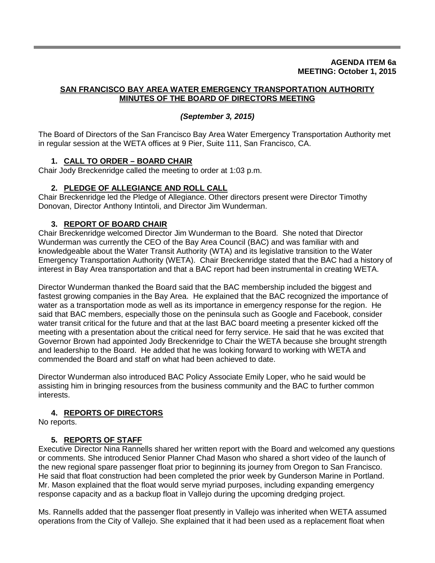#### **AGENDA ITEM 6a MEETING: October 1, 2015**

#### **SAN FRANCISCO BAY AREA WATER EMERGENCY TRANSPORTATION AUTHORITY MINUTES OF THE BOARD OF DIRECTORS MEETING**

### *(September 3, 2015)*

The Board of Directors of the San Francisco Bay Area Water Emergency Transportation Authority met in regular session at the WETA offices at 9 Pier, Suite 111, San Francisco, CA.

### **1. CALL TO ORDER – BOARD CHAIR**

Chair Jody Breckenridge called the meeting to order at 1:03 p.m.

### **2. PLEDGE OF ALLEGIANCE AND ROLL CALL**

Chair Breckenridge led the Pledge of Allegiance. Other directors present were Director Timothy Donovan, Director Anthony Intintoli, and Director Jim Wunderman.

### **3. REPORT OF BOARD CHAIR**

Chair Breckenridge welcomed Director Jim Wunderman to the Board. She noted that Director Wunderman was currently the CEO of the Bay Area Council (BAC) and was familiar with and knowledgeable about the Water Transit Authority (WTA) and its legislative transition to the Water Emergency Transportation Authority (WETA). Chair Breckenridge stated that the BAC had a history of interest in Bay Area transportation and that a BAC report had been instrumental in creating WETA.

Director Wunderman thanked the Board said that the BAC membership included the biggest and fastest growing companies in the Bay Area. He explained that the BAC recognized the importance of water as a transportation mode as well as its importance in emergency response for the region. He said that BAC members, especially those on the peninsula such as Google and Facebook, consider water transit critical for the future and that at the last BAC board meeting a presenter kicked off the meeting with a presentation about the critical need for ferry service. He said that he was excited that Governor Brown had appointed Jody Breckenridge to Chair the WETA because she brought strength and leadership to the Board. He added that he was looking forward to working with WETA and commended the Board and staff on what had been achieved to date.

Director Wunderman also introduced BAC Policy Associate Emily Loper, who he said would be assisting him in bringing resources from the business community and the BAC to further common interests.

### **4. REPORTS OF DIRECTORS**

No reports.

### **5. REPORTS OF STAFF**

Executive Director Nina Rannells shared her written report with the Board and welcomed any questions or comments. She introduced Senior Planner Chad Mason who shared a short video of the launch of the new regional spare passenger float prior to beginning its journey from Oregon to San Francisco. He said that float construction had been completed the prior week by Gunderson Marine in Portland. Mr. Mason explained that the float would serve myriad purposes, including expanding emergency response capacity and as a backup float in Vallejo during the upcoming dredging project.

Ms. Rannells added that the passenger float presently in Vallejo was inherited when WETA assumed operations from the City of Vallejo. She explained that it had been used as a replacement float when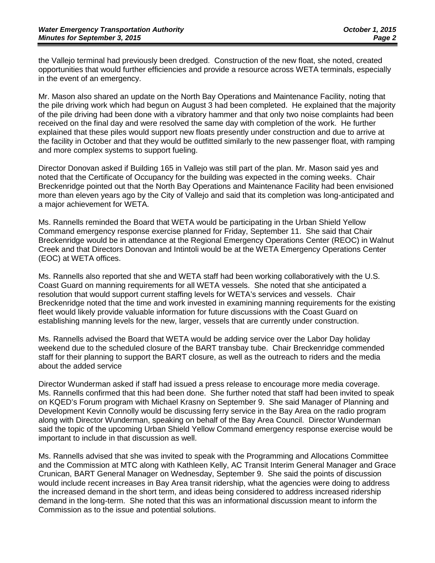the Vallejo terminal had previously been dredged. Construction of the new float, she noted, created opportunities that would further efficiencies and provide a resource across WETA terminals, especially in the event of an emergency.

Mr. Mason also shared an update on the North Bay Operations and Maintenance Facility, noting that the pile driving work which had begun on August 3 had been completed. He explained that the majority of the pile driving had been done with a vibratory hammer and that only two noise complaints had been received on the final day and were resolved the same day with completion of the work. He further explained that these piles would support new floats presently under construction and due to arrive at the facility in October and that they would be outfitted similarly to the new passenger float, with ramping and more complex systems to support fueling.

Director Donovan asked if Building 165 in Vallejo was still part of the plan. Mr. Mason said yes and noted that the Certificate of Occupancy for the building was expected in the coming weeks. Chair Breckenridge pointed out that the North Bay Operations and Maintenance Facility had been envisioned more than eleven years ago by the City of Vallejo and said that its completion was long-anticipated and a major achievement for WETA.

Ms. Rannells reminded the Board that WETA would be participating in the Urban Shield Yellow Command emergency response exercise planned for Friday, September 11. She said that Chair Breckenridge would be in attendance at the Regional Emergency Operations Center (REOC) in Walnut Creek and that Directors Donovan and Intintoli would be at the WETA Emergency Operations Center (EOC) at WETA offices.

Ms. Rannells also reported that she and WETA staff had been working collaboratively with the U.S. Coast Guard on manning requirements for all WETA vessels. She noted that she anticipated a resolution that would support current staffing levels for WETA's services and vessels. Chair Breckenridge noted that the time and work invested in examining manning requirements for the existing fleet would likely provide valuable information for future discussions with the Coast Guard on establishing manning levels for the new, larger, vessels that are currently under construction.

Ms. Rannells advised the Board that WETA would be adding service over the Labor Day holiday weekend due to the scheduled closure of the BART transbay tube. Chair Breckenridge commended staff for their planning to support the BART closure, as well as the outreach to riders and the media about the added service

Director Wunderman asked if staff had issued a press release to encourage more media coverage. Ms. Rannells confirmed that this had been done. She further noted that staff had been invited to speak on KQED's Forum program with Michael Krasny on September 9. She said Manager of Planning and Development Kevin Connolly would be discussing ferry service in the Bay Area on the radio program along with Director Wunderman, speaking on behalf of the Bay Area Council. Director Wunderman said the topic of the upcoming Urban Shield Yellow Command emergency response exercise would be important to include in that discussion as well.

Ms. Rannells advised that she was invited to speak with the Programming and Allocations Committee and the Commission at MTC along with Kathleen Kelly, AC Transit Interim General Manager and Grace Crunican, BART General Manager on Wednesday, September 9. She said the points of discussion would include recent increases in Bay Area transit ridership, what the agencies were doing to address the increased demand in the short term, and ideas being considered to address increased ridership demand in the long-term. She noted that this was an informational discussion meant to inform the Commission as to the issue and potential solutions.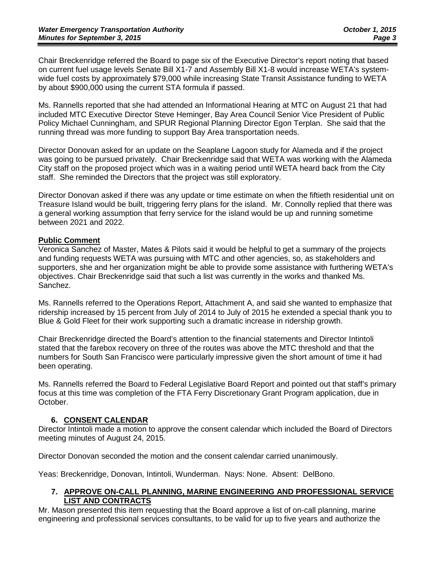Chair Breckenridge referred the Board to page six of the Executive Director's report noting that based on current fuel usage levels Senate Bill X1-7 and Assembly Bill X1-8 would increase WETA's systemwide fuel costs by approximately \$79,000 while increasing State Transit Assistance funding to WETA by about \$900,000 using the current STA formula if passed.

Ms. Rannells reported that she had attended an Informational Hearing at MTC on August 21 that had included MTC Executive Director Steve Heminger, Bay Area Council Senior Vice President of Public Policy Michael Cunningham, and SPUR Regional Planning Director Egon Terplan. She said that the running thread was more funding to support Bay Area transportation needs.

Director Donovan asked for an update on the Seaplane Lagoon study for Alameda and if the project was going to be pursued privately. Chair Breckenridge said that WETA was working with the Alameda City staff on the proposed project which was in a waiting period until WETA heard back from the City staff. She reminded the Directors that the project was still exploratory.

Director Donovan asked if there was any update or time estimate on when the fiftieth residential unit on Treasure Island would be built, triggering ferry plans for the island. Mr. Connolly replied that there was a general working assumption that ferry service for the island would be up and running sometime between 2021 and 2022.

### **Public Comment**

Veronica Sanchez of Master, Mates & Pilots said it would be helpful to get a summary of the projects and funding requests WETA was pursuing with MTC and other agencies, so, as stakeholders and supporters, she and her organization might be able to provide some assistance with furthering WETA's objectives. Chair Breckenridge said that such a list was currently in the works and thanked Ms. Sanchez.

Ms. Rannells referred to the Operations Report, Attachment A, and said she wanted to emphasize that ridership increased by 15 percent from July of 2014 to July of 2015 he extended a special thank you to Blue & Gold Fleet for their work supporting such a dramatic increase in ridership growth.

Chair Breckenridge directed the Board's attention to the financial statements and Director Intintoli stated that the farebox recovery on three of the routes was above the MTC threshold and that the numbers for South San Francisco were particularly impressive given the short amount of time it had been operating.

Ms. Rannells referred the Board to Federal Legislative Board Report and pointed out that staff's primary focus at this time was completion of the FTA Ferry Discretionary Grant Program application, due in October.

#### **6. CONSENT CALENDAR**

Director Intintoli made a motion to approve the consent calendar which included the Board of Directors meeting minutes of August 24, 2015.

Director Donovan seconded the motion and the consent calendar carried unanimously.

Yeas: Breckenridge, Donovan, Intintoli, Wunderman. Nays: None. Absent: DelBono.

#### **7. APPROVE ON-CALL PLANNING, MARINE ENGINEERING AND PROFESSIONAL SERVICE LIST AND CONTRACTS**

Mr. Mason presented this item requesting that the Board approve a list of on-call planning, marine engineering and professional services consultants, to be valid for up to five years and authorize the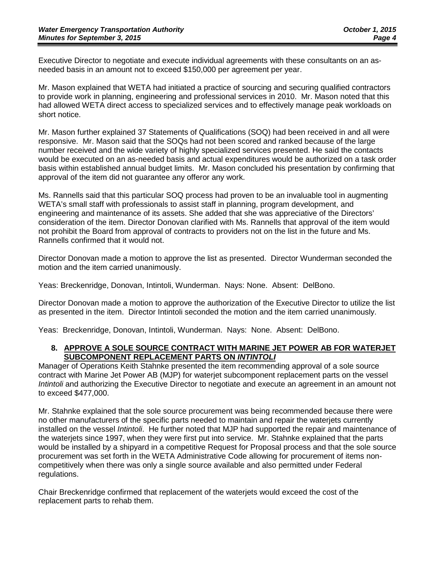Executive Director to negotiate and execute individual agreements with these consultants on an asneeded basis in an amount not to exceed \$150,000 per agreement per year.

Mr. Mason explained that WETA had initiated a practice of sourcing and securing qualified contractors to provide work in planning, engineering and professional services in 2010. Mr. Mason noted that this had allowed WETA direct access to specialized services and to effectively manage peak workloads on short notice.

Mr. Mason further explained 37 Statements of Qualifications (SOQ) had been received in and all were responsive. Mr. Mason said that the SOQs had not been scored and ranked because of the large number received and the wide variety of highly specialized services presented. He said the contacts would be executed on an as-needed basis and actual expenditures would be authorized on a task order basis within established annual budget limits. Mr. Mason concluded his presentation by confirming that approval of the item did not guarantee any offeror any work.

Ms. Rannells said that this particular SOQ process had proven to be an invaluable tool in augmenting WETA's small staff with professionals to assist staff in planning, program development, and engineering and maintenance of its assets. She added that she was appreciative of the Directors' consideration of the item. Director Donovan clarified with Ms. Rannells that approval of the item would not prohibit the Board from approval of contracts to providers not on the list in the future and Ms. Rannells confirmed that it would not.

Director Donovan made a motion to approve the list as presented. Director Wunderman seconded the motion and the item carried unanimously.

Yeas: Breckenridge, Donovan, Intintoli, Wunderman. Nays: None. Absent: DelBono.

Director Donovan made a motion to approve the authorization of the Executive Director to utilize the list as presented in the item. Director Intintoli seconded the motion and the item carried unanimously.

Yeas: Breckenridge, Donovan, Intintoli, Wunderman. Nays: None. Absent: DelBono.

#### **8. APPROVE A SOLE SOURCE CONTRACT WITH MARINE JET POWER AB FOR WATERJET SUBCOMPONENT REPLACEMENT PARTS ON** *INTINTOLI*

Manager of Operations Keith Stahnke presented the item recommending approval of a sole source contract with Marine Jet Power AB (MJP) for waterjet subcomponent replacement parts on the vessel *Intintoli* and authorizing the Executive Director to negotiate and execute an agreement in an amount not to exceed \$477,000.

Mr. Stahnke explained that the sole source procurement was being recommended because there were no other manufacturers of the specific parts needed to maintain and repair the waterjets currently installed on the vessel *Intintoli*. He further noted that MJP had supported the repair and maintenance of the waterjets since 1997, when they were first put into service. Mr. Stahnke explained that the parts would be installed by a shipyard in a competitive Request for Proposal process and that the sole source procurement was set forth in the WETA Administrative Code allowing for procurement of items noncompetitively when there was only a single source available and also permitted under Federal regulations.

Chair Breckenridge confirmed that replacement of the waterjets would exceed the cost of the replacement parts to rehab them.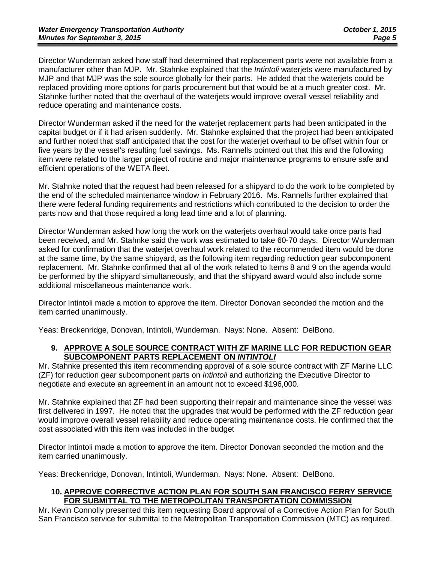Director Wunderman asked how staff had determined that replacement parts were not available from a manufacturer other than MJP. Mr. Stahnke explained that the *Intintoli* waterjets were manufactured by MJP and that MJP was the sole source globally for their parts. He added that the waterjets could be replaced providing more options for parts procurement but that would be at a much greater cost. Mr. Stahnke further noted that the overhaul of the waterjets would improve overall vessel reliability and reduce operating and maintenance costs.

Director Wunderman asked if the need for the waterjet replacement parts had been anticipated in the capital budget or if it had arisen suddenly. Mr. Stahnke explained that the project had been anticipated and further noted that staff anticipated that the cost for the waterjet overhaul to be offset within four or five years by the vessel's resulting fuel savings. Ms. Rannells pointed out that this and the following item were related to the larger project of routine and major maintenance programs to ensure safe and efficient operations of the WETA fleet.

Mr. Stahnke noted that the request had been released for a shipyard to do the work to be completed by the end of the scheduled maintenance window in February 2016. Ms. Rannells further explained that there were federal funding requirements and restrictions which contributed to the decision to order the parts now and that those required a long lead time and a lot of planning.

Director Wunderman asked how long the work on the waterjets overhaul would take once parts had been received, and Mr. Stahnke said the work was estimated to take 60-70 days. Director Wunderman asked for confirmation that the waterjet overhaul work related to the recommended item would be done at the same time, by the same shipyard, as the following item regarding reduction gear subcomponent replacement. Mr. Stahnke confirmed that all of the work related to Items 8 and 9 on the agenda would be performed by the shipyard simultaneously, and that the shipyard award would also include some additional miscellaneous maintenance work.

Director Intintoli made a motion to approve the item. Director Donovan seconded the motion and the item carried unanimously.

Yeas: Breckenridge, Donovan, Intintoli, Wunderman. Nays: None. Absent: DelBono.

#### **9. APPROVE A SOLE SOURCE CONTRACT WITH ZF MARINE LLC FOR REDUCTION GEAR SUBCOMPONENT PARTS REPLACEMENT ON** *INTINTOLI*

Mr. Stahnke presented this item recommending approval of a sole source contract with ZF Marine LLC (ZF) for reduction gear subcomponent parts on *Intintoli* and authorizing the Executive Director to negotiate and execute an agreement in an amount not to exceed \$196,000.

Mr. Stahnke explained that ZF had been supporting their repair and maintenance since the vessel was first delivered in 1997. He noted that the upgrades that would be performed with the ZF reduction gear would improve overall vessel reliability and reduce operating maintenance costs. He confirmed that the cost associated with this item was included in the budget

Director Intintoli made a motion to approve the item. Director Donovan seconded the motion and the item carried unanimously.

Yeas: Breckenridge, Donovan, Intintoli, Wunderman. Nays: None. Absent: DelBono.

#### **10. APPROVE CORRECTIVE ACTION PLAN FOR SOUTH SAN FRANCISCO FERRY SERVICE FOR SUBMITTAL TO THE METROPOLITAN TRANSPORTATION COMMISSION**

Mr. Kevin Connolly presented this item requesting Board approval of a Corrective Action Plan for South San Francisco service for submittal to the Metropolitan Transportation Commission (MTC) as required.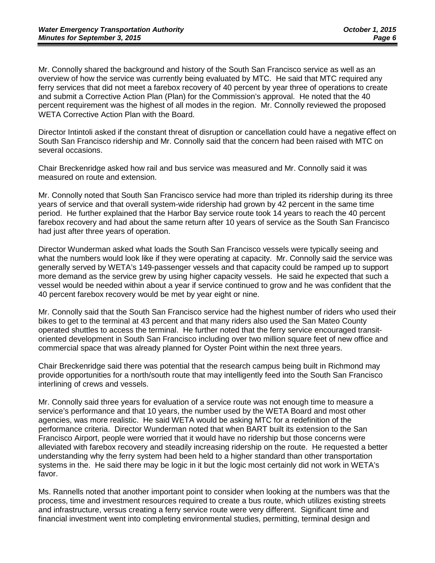Mr. Connolly shared the background and history of the South San Francisco service as well as an overview of how the service was currently being evaluated by MTC. He said that MTC required any ferry services that did not meet a farebox recovery of 40 percent by year three of operations to create and submit a Corrective Action Plan (Plan) for the Commission's approval. He noted that the 40 percent requirement was the highest of all modes in the region. Mr. Connolly reviewed the proposed WETA Corrective Action Plan with the Board.

Director Intintoli asked if the constant threat of disruption or cancellation could have a negative effect on South San Francisco ridership and Mr. Connolly said that the concern had been raised with MTC on several occasions.

Chair Breckenridge asked how rail and bus service was measured and Mr. Connolly said it was measured on route and extension.

Mr. Connolly noted that South San Francisco service had more than tripled its ridership during its three years of service and that overall system-wide ridership had grown by 42 percent in the same time period. He further explained that the Harbor Bay service route took 14 years to reach the 40 percent farebox recovery and had about the same return after 10 years of service as the South San Francisco had just after three years of operation.

Director Wunderman asked what loads the South San Francisco vessels were typically seeing and what the numbers would look like if they were operating at capacity. Mr. Connolly said the service was generally served by WETA's 149-passenger vessels and that capacity could be ramped up to support more demand as the service grew by using higher capacity vessels. He said he expected that such a vessel would be needed within about a year if service continued to grow and he was confident that the 40 percent farebox recovery would be met by year eight or nine.

Mr. Connolly said that the South San Francisco service had the highest number of riders who used their bikes to get to the terminal at 43 percent and that many riders also used the San Mateo County operated shuttles to access the terminal. He further noted that the ferry service encouraged transitoriented development in South San Francisco including over two million square feet of new office and commercial space that was already planned for Oyster Point within the next three years.

Chair Breckenridge said there was potential that the research campus being built in Richmond may provide opportunities for a north/south route that may intelligently feed into the South San Francisco interlining of crews and vessels.

Mr. Connolly said three years for evaluation of a service route was not enough time to measure a service's performance and that 10 years, the number used by the WETA Board and most other agencies, was more realistic. He said WETA would be asking MTC for a redefinition of the performance criteria. Director Wunderman noted that when BART built its extension to the San Francisco Airport, people were worried that it would have no ridership but those concerns were alleviated with farebox recovery and steadily increasing ridership on the route. He requested a better understanding why the ferry system had been held to a higher standard than other transportation systems in the. He said there may be logic in it but the logic most certainly did not work in WETA's favor.

Ms. Rannells noted that another important point to consider when looking at the numbers was that the process, time and investment resources required to create a bus route, which utilizes existing streets and infrastructure, versus creating a ferry service route were very different. Significant time and financial investment went into completing environmental studies, permitting, terminal design and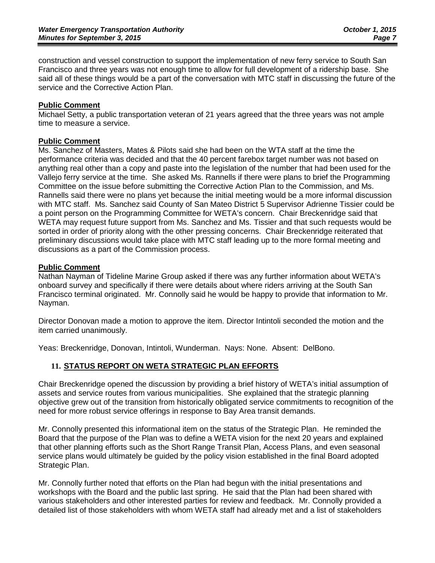construction and vessel construction to support the implementation of new ferry service to South San Francisco and three years was not enough time to allow for full development of a ridership base. She said all of these things would be a part of the conversation with MTC staff in discussing the future of the service and the Corrective Action Plan.

### **Public Comment**

Michael Setty, a public transportation veteran of 21 years agreed that the three years was not ample time to measure a service.

### **Public Comment**

Ms. Sanchez of Masters, Mates & Pilots said she had been on the WTA staff at the time the performance criteria was decided and that the 40 percent farebox target number was not based on anything real other than a copy and paste into the legislation of the number that had been used for the Vallejo ferry service at the time. She asked Ms. Rannells if there were plans to brief the Programming Committee on the issue before submitting the Corrective Action Plan to the Commission, and Ms. Rannells said there were no plans yet because the initial meeting would be a more informal discussion with MTC staff. Ms. Sanchez said County of San Mateo District 5 Supervisor Adrienne Tissier could be a point person on the Programming Committee for WETA's concern. Chair Breckenridge said that WETA may request future support from Ms. Sanchez and Ms. Tissier and that such requests would be sorted in order of priority along with the other pressing concerns. Chair Breckenridge reiterated that preliminary discussions would take place with MTC staff leading up to the more formal meeting and discussions as a part of the Commission process.

### **Public Comment**

Nathan Nayman of Tideline Marine Group asked if there was any further information about WETA's onboard survey and specifically if there were details about where riders arriving at the South San Francisco terminal originated. Mr. Connolly said he would be happy to provide that information to Mr. Nayman.

Director Donovan made a motion to approve the item. Director Intintoli seconded the motion and the item carried unanimously.

Yeas: Breckenridge, Donovan, Intintoli, Wunderman. Nays: None. Absent: DelBono.

### **11. STATUS REPORT ON WETA STRATEGIC PLAN EFFORTS**

Chair Breckenridge opened the discussion by providing a brief history of WETA's initial assumption of assets and service routes from various municipalities. She explained that the strategic planning objective grew out of the transition from historically obligated service commitments to recognition of the need for more robust service offerings in response to Bay Area transit demands.

Mr. Connolly presented this informational item on the status of the Strategic Plan. He reminded the Board that the purpose of the Plan was to define a WETA vision for the next 20 years and explained that other planning efforts such as the Short Range Transit Plan, Access Plans, and even seasonal service plans would ultimately be guided by the policy vision established in the final Board adopted Strategic Plan.

Mr. Connolly further noted that efforts on the Plan had begun with the initial presentations and workshops with the Board and the public last spring. He said that the Plan had been shared with various stakeholders and other interested parties for review and feedback. Mr. Connolly provided a detailed list of those stakeholders with whom WETA staff had already met and a list of stakeholders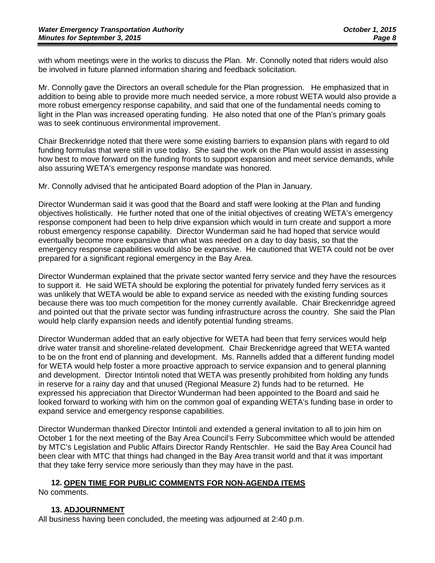with whom meetings were in the works to discuss the Plan. Mr. Connolly noted that riders would also be involved in future planned information sharing and feedback solicitation.

Mr. Connolly gave the Directors an overall schedule for the Plan progression. He emphasized that in addition to being able to provide more much needed service, a more robust WETA would also provide a more robust emergency response capability, and said that one of the fundamental needs coming to light in the Plan was increased operating funding. He also noted that one of the Plan's primary goals was to seek continuous environmental improvement.

Chair Breckenridge noted that there were some existing barriers to expansion plans with regard to old funding formulas that were still in use today. She said the work on the Plan would assist in assessing how best to move forward on the funding fronts to support expansion and meet service demands, while also assuring WETA's emergency response mandate was honored.

Mr. Connolly advised that he anticipated Board adoption of the Plan in January.

Director Wunderman said it was good that the Board and staff were looking at the Plan and funding objectives holistically. He further noted that one of the initial objectives of creating WETA's emergency response component had been to help drive expansion which would in turn create and support a more robust emergency response capability. Director Wunderman said he had hoped that service would eventually become more expansive than what was needed on a day to day basis, so that the emergency response capabilities would also be expansive. He cautioned that WETA could not be over prepared for a significant regional emergency in the Bay Area.

Director Wunderman explained that the private sector wanted ferry service and they have the resources to support it. He said WETA should be exploring the potential for privately funded ferry services as it was unlikely that WETA would be able to expand service as needed with the existing funding sources because there was too much competition for the money currently available. Chair Breckenridge agreed and pointed out that the private sector was funding infrastructure across the country. She said the Plan would help clarify expansion needs and identify potential funding streams.

Director Wunderman added that an early objective for WETA had been that ferry services would help drive water transit and shoreline-related development. Chair Breckenridge agreed that WETA wanted to be on the front end of planning and development. Ms. Rannells added that a different funding model for WETA would help foster a more proactive approach to service expansion and to general planning and development. Director Intintoli noted that WETA was presently prohibited from holding any funds in reserve for a rainy day and that unused (Regional Measure 2) funds had to be returned. He expressed his appreciation that Director Wunderman had been appointed to the Board and said he looked forward to working with him on the common goal of expanding WETA's funding base in order to expand service and emergency response capabilities.

Director Wunderman thanked Director Intintoli and extended a general invitation to all to join him on October 1 for the next meeting of the Bay Area Council's Ferry Subcommittee which would be attended by MTC's Legislation and Public Affairs Director Randy Rentschler. He said the Bay Area Council had been clear with MTC that things had changed in the Bay Area transit world and that it was important that they take ferry service more seriously than they may have in the past.

### **12. OPEN TIME FOR PUBLIC COMMENTS FOR NON-AGENDA ITEMS**

No comments.

### **13. ADJOURNMENT**

All business having been concluded, the meeting was adjourned at 2:40 p.m.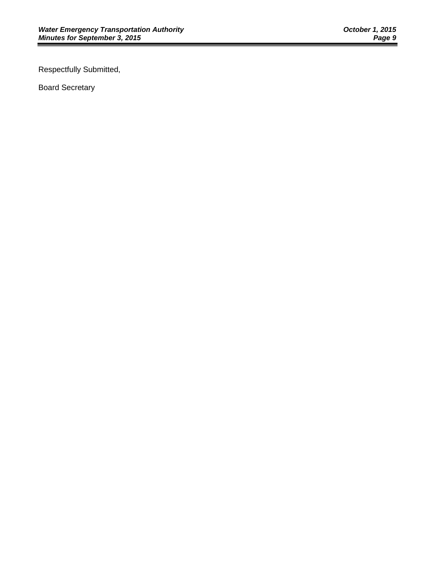Respectfully Submitted,

Board Secretary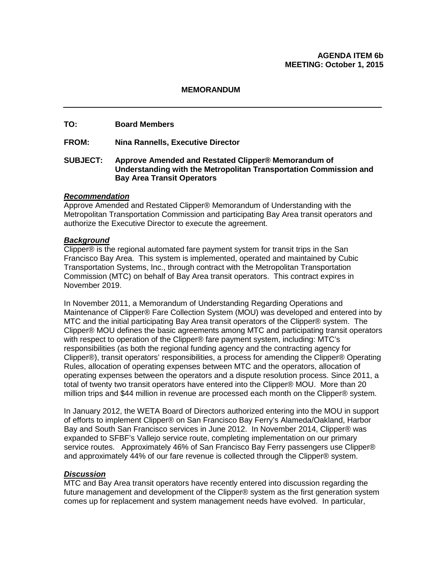#### **AGENDA ITEM 6b MEETING: October 1, 2015**

#### **MEMORANDUM**

#### **TO: Board Members**

**FROM: Nina Rannells, Executive Director**

#### **SUBJECT: Approve Amended and Restated Clipper® Memorandum of Understanding with the Metropolitan Transportation Commission and Bay Area Transit Operators**

#### *Recommendation*

Approve Amended and Restated Clipper® Memorandum of Understanding with the Metropolitan Transportation Commission and participating Bay Area transit operators and authorize the Executive Director to execute the agreement.

#### *Background*

Clipper® is the regional automated fare payment system for transit trips in the San Francisco Bay Area. This system is implemented, operated and maintained by Cubic Transportation Systems, Inc., through contract with the Metropolitan Transportation Commission (MTC) on behalf of Bay Area transit operators. This contract expires in November 2019.

In November 2011, a Memorandum of Understanding Regarding Operations and Maintenance of Clipper® Fare Collection System (MOU) was developed and entered into by MTC and the initial participating Bay Area transit operators of the Clipper® system. The Clipper® MOU defines the basic agreements among MTC and participating transit operators with respect to operation of the Clipper® fare payment system, including: MTC's responsibilities (as both the regional funding agency and the contracting agency for Clipper®), transit operators' responsibilities, a process for amending the Clipper® Operating Rules, allocation of operating expenses between MTC and the operators, allocation of operating expenses between the operators and a dispute resolution process. Since 2011, a total of twenty two transit operators have entered into the Clipper® MOU. More than 20 million trips and \$44 million in revenue are processed each month on the Clipper® system.

In January 2012, the WETA Board of Directors authorized entering into the MOU in support of efforts to implement Clipper® on San Francisco Bay Ferry's Alameda/Oakland, Harbor Bay and South San Francisco services in June 2012. In November 2014, Clipper® was expanded to SFBF's Vallejo service route, completing implementation on our primary service routes. Approximately 46% of San Francisco Bay Ferry passengers use Clipper® and approximately 44% of our fare revenue is collected through the Clipper® system.

### *Discussion*

MTC and Bay Area transit operators have recently entered into discussion regarding the future management and development of the Clipper® system as the first generation system comes up for replacement and system management needs have evolved. In particular,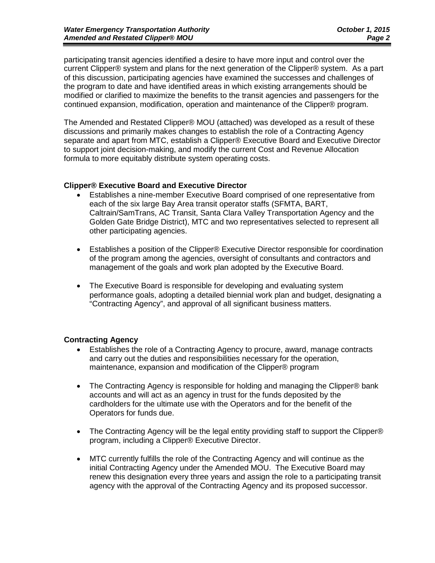participating transit agencies identified a desire to have more input and control over the current Clipper® system and plans for the next generation of the Clipper® system. As a part of this discussion, participating agencies have examined the successes and challenges of the program to date and have identified areas in which existing arrangements should be modified or clarified to maximize the benefits to the transit agencies and passengers for the continued expansion, modification, operation and maintenance of the Clipper® program.

The Amended and Restated Clipper® MOU (attached) was developed as a result of these discussions and primarily makes changes to establish the role of a Contracting Agency separate and apart from MTC, establish a Clipper® Executive Board and Executive Director to support joint decision-making, and modify the current Cost and Revenue Allocation formula to more equitably distribute system operating costs.

#### **Clipper® Executive Board and Executive Director**

- Establishes a nine-member Executive Board comprised of one representative from each of the six large Bay Area transit operator staffs (SFMTA, BART, Caltrain/SamTrans, AC Transit, Santa Clara Valley Transportation Agency and the Golden Gate Bridge District), MTC and two representatives selected to represent all other participating agencies.
- Establishes a position of the Clipper® Executive Director responsible for coordination of the program among the agencies, oversight of consultants and contractors and management of the goals and work plan adopted by the Executive Board.
- The Executive Board is responsible for developing and evaluating system performance goals, adopting a detailed biennial work plan and budget, designating a "Contracting Agency", and approval of all significant business matters.

### **Contracting Agency**

- Establishes the role of a Contracting Agency to procure, award, manage contracts and carry out the duties and responsibilities necessary for the operation, maintenance, expansion and modification of the Clipper® program
- The Contracting Agency is responsible for holding and managing the Clipper® bank accounts and will act as an agency in trust for the funds deposited by the cardholders for the ultimate use with the Operators and for the benefit of the Operators for funds due.
- The Contracting Agency will be the legal entity providing staff to support the Clipper® program, including a Clipper® Executive Director.
- MTC currently fulfills the role of the Contracting Agency and will continue as the initial Contracting Agency under the Amended MOU. The Executive Board may renew this designation every three years and assign the role to a participating transit agency with the approval of the Contracting Agency and its proposed successor.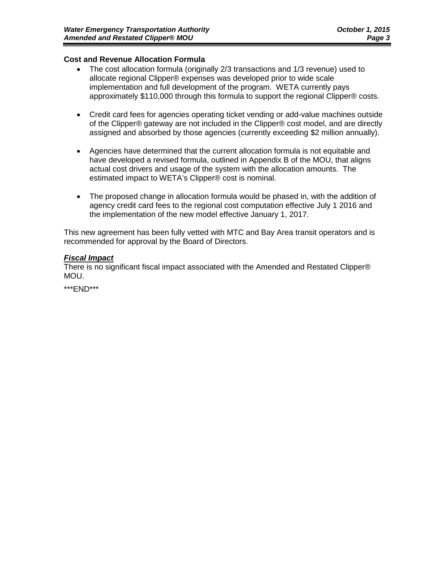#### **Cost and Revenue Allocation Formula**

- The cost allocation formula (originally 2/3 transactions and 1/3 revenue) used to allocate regional Clipper® expenses was developed prior to wide scale implementation and full development of the program. WETA currently pays approximately \$110,000 through this formula to support the regional Clipper® costs.
- Credit card fees for agencies operating ticket vending or add-value machines outside of the Clipper® gateway are not included in the Clipper® cost model, and are directly assigned and absorbed by those agencies (currently exceeding \$2 million annually).
- Agencies have determined that the current allocation formula is not equitable and have developed a revised formula, outlined in Appendix B of the MOU, that aligns actual cost drivers and usage of the system with the allocation amounts. The estimated impact to WETA's Clipper® cost is nominal.
- The proposed change in allocation formula would be phased in, with the addition of agency credit card fees to the regional cost computation effective July 1 2016 and the implementation of the new model effective January 1, 2017.

This new agreement has been fully vetted with MTC and Bay Area transit operators and is recommended for approval by the Board of Directors.

#### *Fiscal Impact*

There is no significant fiscal impact associated with the Amended and Restated Clipper® MOU.

\*\*\*END\*\*\*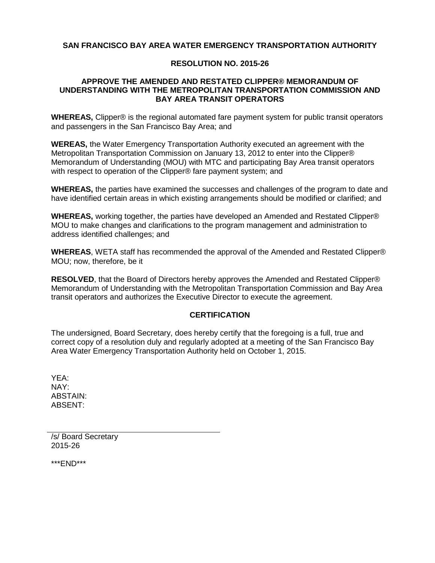### **SAN FRANCISCO BAY AREA WATER EMERGENCY TRANSPORTATION AUTHORITY**

### **RESOLUTION NO. 2015-26**

#### **APPROVE THE AMENDED AND RESTATED CLIPPER® MEMORANDUM OF UNDERSTANDING WITH THE METROPOLITAN TRANSPORTATION COMMISSION AND BAY AREA TRANSIT OPERATORS**

**WHEREAS,** Clipper® is the regional automated fare payment system for public transit operators and passengers in the San Francisco Bay Area; and

**WEREAS,** the Water Emergency Transportation Authority executed an agreement with the Metropolitan Transportation Commission on January 13, 2012 to enter into the Clipper® Memorandum of Understanding (MOU) with MTC and participating Bay Area transit operators with respect to operation of the Clipper® fare payment system; and

**WHEREAS,** the parties have examined the successes and challenges of the program to date and have identified certain areas in which existing arrangements should be modified or clarified; and

**WHEREAS,** working together, the parties have developed an Amended and Restated Clipper® MOU to make changes and clarifications to the program management and administration to address identified challenges; and

**WHEREAS**, WETA staff has recommended the approval of the Amended and Restated Clipper® MOU; now, therefore, be it

**RESOLVED**, that the Board of Directors hereby approves the Amended and Restated Clipper® Memorandum of Understanding with the Metropolitan Transportation Commission and Bay Area transit operators and authorizes the Executive Director to execute the agreement.

### **CERTIFICATION**

The undersigned, Board Secretary, does hereby certify that the foregoing is a full, true and correct copy of a resolution duly and regularly adopted at a meeting of the San Francisco Bay Area Water Emergency Transportation Authority held on October 1, 2015.

YEA: NAY: ABSTAIN: ABSENT:

/s/ Board Secretary 2015-26

\*\*\*END\*\*\*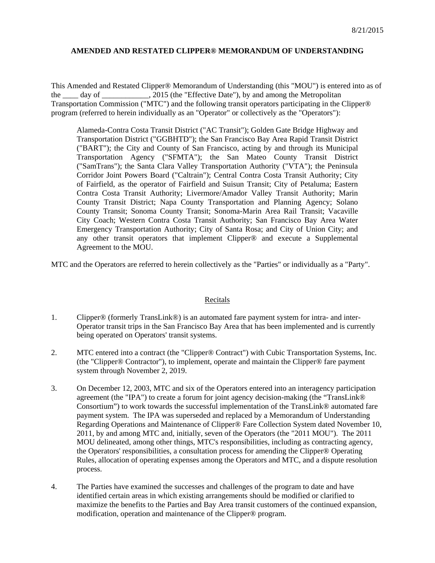#### **AMENDED AND RESTATED CLIPPER® MEMORANDUM OF UNDERSTANDING**

This Amended and Restated Clipper® Memorandum of Understanding (this "MOU") is entered into as of the day of the 2015 (the "Effective Date"), by and among the Metropolitan Transportation Commission ("MTC") and the following transit operators participating in the Clipper® program (referred to herein individually as an "Operator" or collectively as the "Operators"):

Alameda-Contra Costa Transit District ("AC Transit"); Golden Gate Bridge Highway and Transportation District ("GGBHTD"); the San Francisco Bay Area Rapid Transit District ("BART"); the City and County of San Francisco, acting by and through its Municipal Transportation Agency ("SFMTA"); the San Mateo County Transit District ("SamTrans"); the Santa Clara Valley Transportation Authority ("VTA"); the Peninsula Corridor Joint Powers Board ("Caltrain"); Central Contra Costa Transit Authority; City of Fairfield, as the operator of Fairfield and Suisun Transit; City of Petaluma; Eastern Contra Costa Transit Authority; Livermore/Amador Valley Transit Authority; Marin County Transit District; Napa County Transportation and Planning Agency; Solano County Transit; Sonoma County Transit; Sonoma-Marin Area Rail Transit; Vacaville City Coach; Western Contra Costa Transit Authority; San Francisco Bay Area Water Emergency Transportation Authority; City of Santa Rosa; and City of Union City; and any other transit operators that implement Clipper® and execute a Supplemental Agreement to the MOU.

MTC and the Operators are referred to herein collectively as the "Parties" or individually as a "Party".

#### Recitals

- 1. Clipper® (formerly TransLink®) is an automated fare payment system for intra- and inter-Operator transit trips in the San Francisco Bay Area that has been implemented and is currently being operated on Operators' transit systems.
- 2. MTC entered into a contract (the "Clipper® Contract") with Cubic Transportation Systems, Inc. (the "Clipper® Contractor"), to implement, operate and maintain the Clipper® fare payment system through November 2, 2019.
- 3. On December 12, 2003, MTC and six of the Operators entered into an interagency participation agreement (the "IPA") to create a forum for joint agency decision-making (the "TransLink® Consortium") to work towards the successful implementation of the TransLink® automated fare payment system. The IPA was superseded and replaced by a Memorandum of Understanding Regarding Operations and Maintenance of Clipper® Fare Collection System dated November 10, 2011, by and among MTC and, initially, seven of the Operators (the "2011 MOU"). The 2011 MOU delineated, among other things, MTC's responsibilities, including as contracting agency, the Operators' responsibilities, a consultation process for amending the Clipper® Operating Rules, allocation of operating expenses among the Operators and MTC, and a dispute resolution process.
- 4. The Parties have examined the successes and challenges of the program to date and have identified certain areas in which existing arrangements should be modified or clarified to maximize the benefits to the Parties and Bay Area transit customers of the continued expansion, modification, operation and maintenance of the Clipper® program.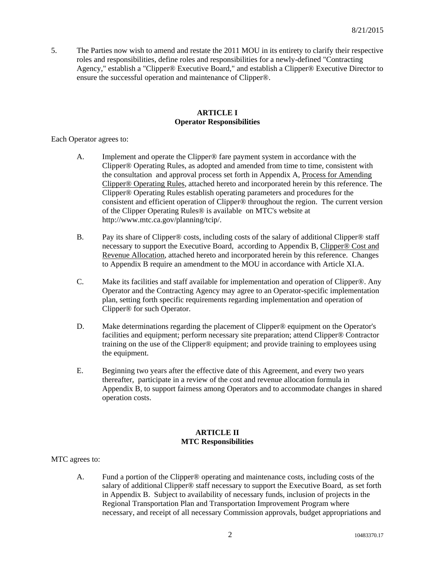5. The Parties now wish to amend and restate the 2011 MOU in its entirety to clarify their respective roles and responsibilities, define roles and responsibilities for a newly-defined "Contracting Agency," establish a "Clipper® Executive Board," and establish a Clipper® Executive Director to ensure the successful operation and maintenance of Clipper®.

#### **ARTICLE I Operator Responsibilities**

Each Operator agrees to:

- A. Implement and operate the Clipper® fare payment system in accordance with the Clipper® Operating Rules, as adopted and amended from time to time, consistent with the consultation and approval process set forth in Appendix A, Process for Amending Clipper® Operating Rules, attached hereto and incorporated herein by this reference. The Clipper® Operating Rules establish operating parameters and procedures for the consistent and efficient operation of Clipper® throughout the region. The current version of the Clipper Operating Rules® is available on MTC's website at http://www.mtc.ca.gov/planning/tcip/.
- B. Pay its share of Clipper® costs, including costs of the salary of additional Clipper® staff necessary to support the Executive Board, according to Appendix B, Clipper® Cost and Revenue Allocation, attached hereto and incorporated herein by this reference. Changes to Appendix B require an amendment to the MOU in accordance with Article XI.A.
- C. Make its facilities and staff available for implementation and operation of Clipper®. Any Operator and the Contracting Agency may agree to an Operator-specific implementation plan, setting forth specific requirements regarding implementation and operation of Clipper® for such Operator.
- D. Make determinations regarding the placement of Clipper® equipment on the Operator's facilities and equipment; perform necessary site preparation; attend Clipper® Contractor training on the use of the Clipper® equipment; and provide training to employees using the equipment.
- E. Beginning two years after the effective date of this Agreement, and every two years thereafter, participate in a review of the cost and revenue allocation formula in Appendix B, to support fairness among Operators and to accommodate changes in shared operation costs.

#### **ARTICLE II MTC Responsibilities**

MTC agrees to:

A. Fund a portion of the Clipper® operating and maintenance costs, including costs of the salary of additional Clipper® staff necessary to support the Executive Board, as set forth in Appendix B. Subject to availability of necessary funds, inclusion of projects in the Regional Transportation Plan and Transportation Improvement Program where necessary, and receipt of all necessary Commission approvals, budget appropriations and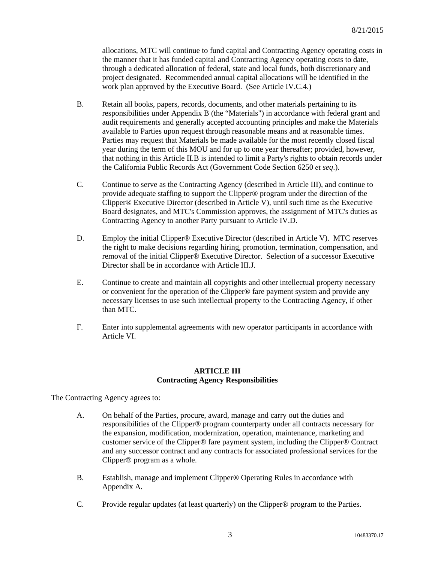allocations, MTC will continue to fund capital and Contracting Agency operating costs in the manner that it has funded capital and Contracting Agency operating costs to date, through a dedicated allocation of federal, state and local funds, both discretionary and project designated. Recommended annual capital allocations will be identified in the work plan approved by the Executive Board. (See Article IV.C.4.)

- B. Retain all books, papers, records, documents, and other materials pertaining to its responsibilities under Appendix B (the "Materials") in accordance with federal grant and audit requirements and generally accepted accounting principles and make the Materials available to Parties upon request through reasonable means and at reasonable times. Parties may request that Materials be made available for the most recently closed fiscal year during the term of this MOU and for up to one year thereafter; provided, however, that nothing in this Article II.B is intended to limit a Party's rights to obtain records under the California Public Records Act (Government Code Section 6250 *et seq*.).
- C. Continue to serve as the Contracting Agency (described in Article III), and continue to provide adequate staffing to support the Clipper® program under the direction of the Clipper® Executive Director (described in Article V), until such time as the Executive Board designates, and MTC's Commission approves, the assignment of MTC's duties as Contracting Agency to another Party pursuant to Article IV.D.
- D. Employ the initial Clipper® Executive Director (described in Article V). MTC reserves the right to make decisions regarding hiring, promotion, termination, compensation, and removal of the initial Clipper® Executive Director. Selection of a successor Executive Director shall be in accordance with Article III.J.
- E. Continue to create and maintain all copyrights and other intellectual property necessary or convenient for the operation of the Clipper® fare payment system and provide any necessary licenses to use such intellectual property to the Contracting Agency, if other than MTC.
- F. Enter into supplemental agreements with new operator participants in accordance with Article VI.

#### **ARTICLE III Contracting Agency Responsibilities**

The Contracting Agency agrees to:

- A. On behalf of the Parties, procure, award, manage and carry out the duties and responsibilities of the Clipper® program counterparty under all contracts necessary for the expansion, modification, modernization, operation, maintenance, marketing and customer service of the Clipper® fare payment system, including the Clipper® Contract and any successor contract and any contracts for associated professional services for the Clipper® program as a whole.
- B. Establish, manage and implement Clipper® Operating Rules in accordance with Appendix A.
- C. Provide regular updates (at least quarterly) on the Clipper® program to the Parties.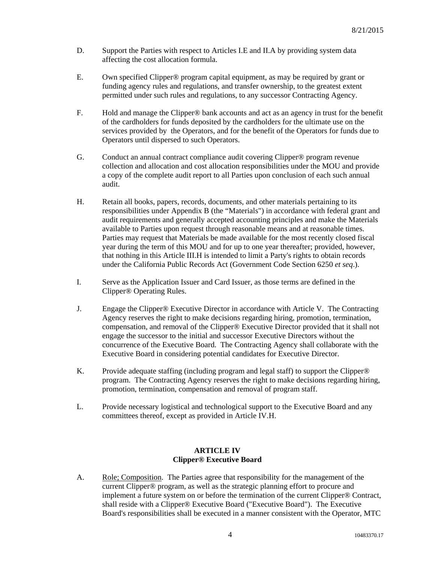- D. Support the Parties with respect to Articles I.E and II.A by providing system data affecting the cost allocation formula.
- E. Own specified Clipper® program capital equipment, as may be required by grant or funding agency rules and regulations, and transfer ownership, to the greatest extent permitted under such rules and regulations, to any successor Contracting Agency.
- F. Hold and manage the Clipper® bank accounts and act as an agency in trust for the benefit of the cardholders for funds deposited by the cardholders for the ultimate use on the services provided by the Operators, and for the benefit of the Operators for funds due to Operators until dispersed to such Operators.
- G. Conduct an annual contract compliance audit covering Clipper® program revenue collection and allocation and cost allocation responsibilities under the MOU and provide a copy of the complete audit report to all Parties upon conclusion of each such annual audit.
- H. Retain all books, papers, records, documents, and other materials pertaining to its responsibilities under Appendix B (the "Materials") in accordance with federal grant and audit requirements and generally accepted accounting principles and make the Materials available to Parties upon request through reasonable means and at reasonable times. Parties may request that Materials be made available for the most recently closed fiscal year during the term of this MOU and for up to one year thereafter; provided, however, that nothing in this Article III.H is intended to limit a Party's rights to obtain records under the California Public Records Act (Government Code Section 6250 *et seq*.).
- I. Serve as the Application Issuer and Card Issuer, as those terms are defined in the Clipper® Operating Rules.
- J. Engage the Clipper® Executive Director in accordance with Article V. The Contracting Agency reserves the right to make decisions regarding hiring, promotion, termination, compensation, and removal of the Clipper® Executive Director provided that it shall not engage the successor to the initial and successor Executive Directors without the concurrence of the Executive Board. The Contracting Agency shall collaborate with the Executive Board in considering potential candidates for Executive Director.
- K. Provide adequate staffing (including program and legal staff) to support the Clipper® program. The Contracting Agency reserves the right to make decisions regarding hiring, promotion, termination, compensation and removal of program staff.
- L. Provide necessary logistical and technological support to the Executive Board and any committees thereof, except as provided in Article IV.H.

#### **ARTICLE IV Clipper® Executive Board**

A. Role; Composition. The Parties agree that responsibility for the management of the current Clipper® program, as well as the strategic planning effort to procure and implement a future system on or before the termination of the current Clipper® Contract, shall reside with a Clipper® Executive Board ("Executive Board"). The Executive Board's responsibilities shall be executed in a manner consistent with the Operator, MTC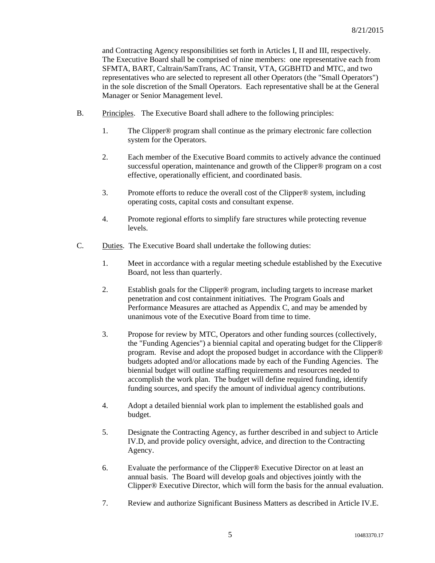and Contracting Agency responsibilities set forth in Articles I, II and III, respectively. The Executive Board shall be comprised of nine members: one representative each from SFMTA, BART, Caltrain/SamTrans, AC Transit, VTA, GGBHTD and MTC, and two representatives who are selected to represent all other Operators (the "Small Operators") in the sole discretion of the Small Operators. Each representative shall be at the General Manager or Senior Management level.

- B. Principles. The Executive Board shall adhere to the following principles:
	- 1. The Clipper® program shall continue as the primary electronic fare collection system for the Operators.
	- 2. Each member of the Executive Board commits to actively advance the continued successful operation, maintenance and growth of the Clipper® program on a cost effective, operationally efficient, and coordinated basis.
	- 3. Promote efforts to reduce the overall cost of the Clipper® system, including operating costs, capital costs and consultant expense.
	- 4. Promote regional efforts to simplify fare structures while protecting revenue levels.
- C. Duties. The Executive Board shall undertake the following duties:
	- 1. Meet in accordance with a regular meeting schedule established by the Executive Board, not less than quarterly.
	- 2. Establish goals for the Clipper® program, including targets to increase market penetration and cost containment initiatives. The Program Goals and Performance Measures are attached as Appendix C, and may be amended by unanimous vote of the Executive Board from time to time.
	- 3. Propose for review by MTC, Operators and other funding sources (collectively, the "Funding Agencies") a biennial capital and operating budget for the Clipper® program. Revise and adopt the proposed budget in accordance with the Clipper® budgets adopted and/or allocations made by each of the Funding Agencies. The biennial budget will outline staffing requirements and resources needed to accomplish the work plan. The budget will define required funding, identify funding sources, and specify the amount of individual agency contributions.
	- 4. Adopt a detailed biennial work plan to implement the established goals and budget.
	- 5. Designate the Contracting Agency, as further described in and subject to Article IV.D, and provide policy oversight, advice, and direction to the Contracting Agency.
	- 6. Evaluate the performance of the Clipper® Executive Director on at least an annual basis. The Board will develop goals and objectives jointly with the Clipper® Executive Director, which will form the basis for the annual evaluation.
	- 7. Review and authorize Significant Business Matters as described in Article IV.E.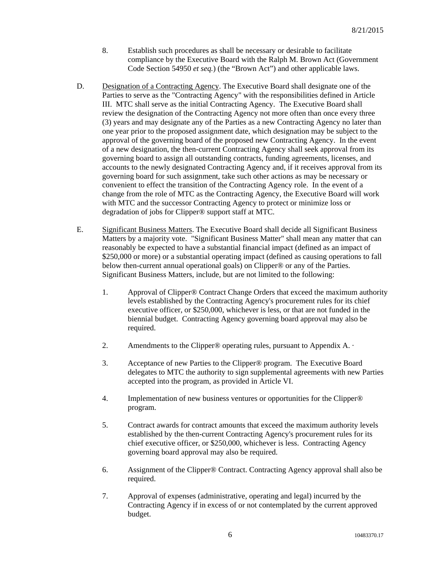- 8. Establish such procedures as shall be necessary or desirable to facilitate compliance by the Executive Board with the Ralph M. Brown Act (Government Code Section 54950 *et seq.*) (the "Brown Act") and other applicable laws.
- D. Designation of a Contracting Agency. The Executive Board shall designate one of the Parties to serve as the "Contracting Agency" with the responsibilities defined in Article III. MTC shall serve as the initial Contracting Agency. The Executive Board shall review the designation of the Contracting Agency not more often than once every three (3) years and may designate any of the Parties as a new Contracting Agency no later than one year prior to the proposed assignment date, which designation may be subject to the approval of the governing board of the proposed new Contracting Agency. In the event of a new designation, the then-current Contracting Agency shall seek approval from its governing board to assign all outstanding contracts, funding agreements, licenses, and accounts to the newly designated Contracting Agency and, if it receives approval from its governing board for such assignment, take such other actions as may be necessary or convenient to effect the transition of the Contracting Agency role. In the event of a change from the role of MTC as the Contracting Agency, the Executive Board will work with MTC and the successor Contracting Agency to protect or minimize loss or degradation of jobs for Clipper® support staff at MTC.
- E. Significant Business Matters. The Executive Board shall decide all Significant Business Matters by a majority vote. "Significant Business Matter" shall mean any matter that can reasonably be expected to have a substantial financial impact (defined as an impact of \$250,000 or more) or a substantial operating impact (defined as causing operations to fall below then-current annual operational goals) on Clipper® or any of the Parties. Significant Business Matters, include, but are not limited to the following:
	- 1. Approval of Clipper® Contract Change Orders that exceed the maximum authority levels established by the Contracting Agency's procurement rules for its chief executive officer, or \$250,000, whichever is less, or that are not funded in the biennial budget. Contracting Agency governing board approval may also be required.
	- 2. Amendments to the Clipper® operating rules, pursuant to Appendix A. ·
	- 3. Acceptance of new Parties to the Clipper® program. The Executive Board delegates to MTC the authority to sign supplemental agreements with new Parties accepted into the program, as provided in Article VI.
	- 4. Implementation of new business ventures or opportunities for the Clipper® program.
	- 5. Contract awards for contract amounts that exceed the maximum authority levels established by the then-current Contracting Agency's procurement rules for its chief executive officer, or \$250,000, whichever is less. Contracting Agency governing board approval may also be required.
	- 6. Assignment of the Clipper® Contract. Contracting Agency approval shall also be required.
	- 7. Approval of expenses (administrative, operating and legal) incurred by the Contracting Agency if in excess of or not contemplated by the current approved budget.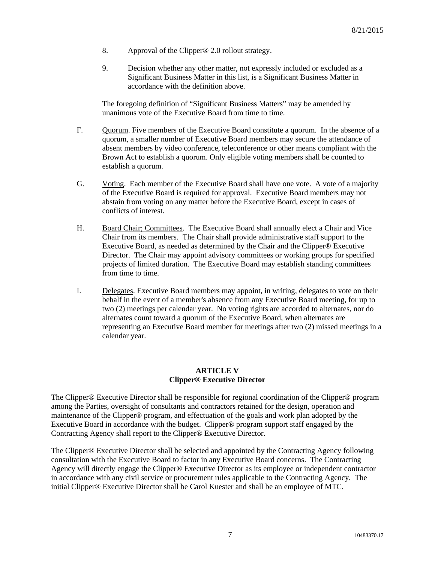- 8. Approval of the Clipper® 2.0 rollout strategy.
- 9. Decision whether any other matter, not expressly included or excluded as a Significant Business Matter in this list, is a Significant Business Matter in accordance with the definition above.

The foregoing definition of "Significant Business Matters" may be amended by unanimous vote of the Executive Board from time to time.

- F. Quorum. Five members of the Executive Board constitute a quorum. In the absence of a quorum, a smaller number of Executive Board members may secure the attendance of absent members by video conference, teleconference or other means compliant with the Brown Act to establish a quorum. Only eligible voting members shall be counted to establish a quorum.
- G. Voting. Each member of the Executive Board shall have one vote. A vote of a majority of the Executive Board is required for approval. Executive Board members may not abstain from voting on any matter before the Executive Board, except in cases of conflicts of interest.
- H. Board Chair; Committees. The Executive Board shall annually elect a Chair and Vice Chair from its members. The Chair shall provide administrative staff support to the Executive Board, as needed as determined by the Chair and the Clipper® Executive Director. The Chair may appoint advisory committees or working groups for specified projects of limited duration. The Executive Board may establish standing committees from time to time.
- I. Delegates. Executive Board members may appoint, in writing, delegates to vote on their behalf in the event of a member's absence from any Executive Board meeting, for up to two (2) meetings per calendar year. No voting rights are accorded to alternates, nor do alternates count toward a quorum of the Executive Board, when alternates are representing an Executive Board member for meetings after two (2) missed meetings in a calendar year.

#### **ARTICLE V Clipper® Executive Director**

The Clipper® Executive Director shall be responsible for regional coordination of the Clipper® program among the Parties, oversight of consultants and contractors retained for the design, operation and maintenance of the Clipper® program, and effectuation of the goals and work plan adopted by the Executive Board in accordance with the budget. Clipper® program support staff engaged by the Contracting Agency shall report to the Clipper® Executive Director.

The Clipper® Executive Director shall be selected and appointed by the Contracting Agency following consultation with the Executive Board to factor in any Executive Board concerns. The Contracting Agency will directly engage the Clipper® Executive Director as its employee or independent contractor in accordance with any civil service or procurement rules applicable to the Contracting Agency*.* The initial Clipper® Executive Director shall be Carol Kuester and shall be an employee of MTC.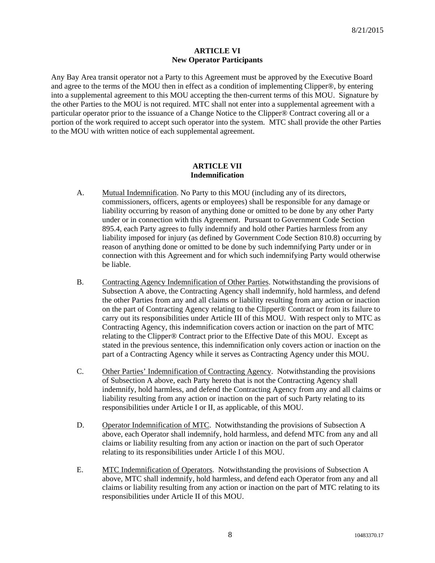#### **ARTICLE VI New Operator Participants**

Any Bay Area transit operator not a Party to this Agreement must be approved by the Executive Board and agree to the terms of the MOU then in effect as a condition of implementing Clipper®, by entering into a supplemental agreement to this MOU accepting the then-current terms of this MOU. Signature by the other Parties to the MOU is not required. MTC shall not enter into a supplemental agreement with a particular operator prior to the issuance of a Change Notice to the Clipper® Contract covering all or a portion of the work required to accept such operator into the system. MTC shall provide the other Parties to the MOU with written notice of each supplemental agreement.

#### **ARTICLE VII Indemnification**

- A. Mutual Indemnification. No Party to this MOU (including any of its directors, commissioners, officers, agents or employees) shall be responsible for any damage or liability occurring by reason of anything done or omitted to be done by any other Party under or in connection with this Agreement. Pursuant to Government Code Section 895.4, each Party agrees to fully indemnify and hold other Parties harmless from any liability imposed for injury (as defined by Government Code Section 810.8) occurring by reason of anything done or omitted to be done by such indemnifying Party under or in connection with this Agreement and for which such indemnifying Party would otherwise be liable.
- B. Contracting Agency Indemnification of Other Parties. Notwithstanding the provisions of Subsection A above, the Contracting Agency shall indemnify, hold harmless, and defend the other Parties from any and all claims or liability resulting from any action or inaction on the part of Contracting Agency relating to the Clipper® Contract or from its failure to carry out its responsibilities under Article III of this MOU. With respect only to MTC as Contracting Agency, this indemnification covers action or inaction on the part of MTC relating to the Clipper® Contract prior to the Effective Date of this MOU. Except as stated in the previous sentence, this indemnification only covers action or inaction on the part of a Contracting Agency while it serves as Contracting Agency under this MOU.
- C. Other Parties' Indemnification of Contracting Agency. Notwithstanding the provisions of Subsection A above, each Party hereto that is not the Contracting Agency shall indemnify, hold harmless, and defend the Contracting Agency from any and all claims or liability resulting from any action or inaction on the part of such Party relating to its responsibilities under Article I or II, as applicable, of this MOU.
- D. Operator Indemnification of MTC. Notwithstanding the provisions of Subsection A above, each Operator shall indemnify, hold harmless, and defend MTC from any and all claims or liability resulting from any action or inaction on the part of such Operator relating to its responsibilities under Article I of this MOU.
- E. MTC Indemnification of Operators. Notwithstanding the provisions of Subsection A above, MTC shall indemnify, hold harmless, and defend each Operator from any and all claims or liability resulting from any action or inaction on the part of MTC relating to its responsibilities under Article II of this MOU.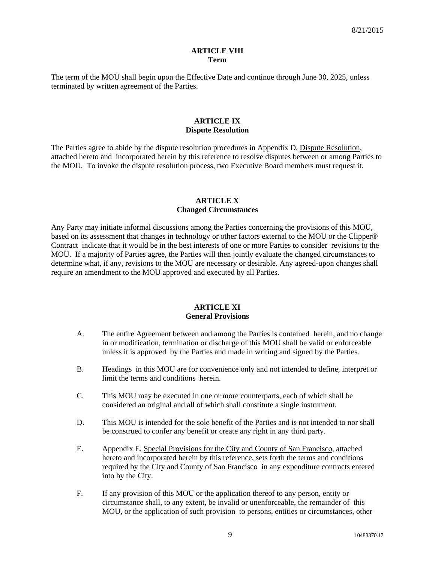#### **ARTICLE VIII Term**

The term of the MOU shall begin upon the Effective Date and continue through June 30, 2025, unless terminated by written agreement of the Parties.

#### **ARTICLE IX Dispute Resolution**

The Parties agree to abide by the dispute resolution procedures in Appendix D, Dispute Resolution, attached hereto and incorporated herein by this reference to resolve disputes between or among Parties to the MOU. To invoke the dispute resolution process, two Executive Board members must request it.

#### **ARTICLE X Changed Circumstances**

Any Party may initiate informal discussions among the Parties concerning the provisions of this MOU, based on its assessment that changes in technology or other factors external to the MOU or the Clipper® Contract indicate that it would be in the best interests of one or more Parties to consider revisions to the MOU. If a majority of Parties agree, the Parties will then jointly evaluate the changed circumstances to determine what, if any, revisions to the MOU are necessary or desirable. Any agreed-upon changes shall require an amendment to the MOU approved and executed by all Parties.

#### **ARTICLE XI General Provisions**

- A. The entire Agreement between and among the Parties is contained herein, and no change in or modification, termination or discharge of this MOU shall be valid or enforceable unless it is approved by the Parties and made in writing and signed by the Parties.
- B. Headings in this MOU are for convenience only and not intended to define, interpret or limit the terms and conditions herein.
- C. This MOU may be executed in one or more counterparts, each of which shall be considered an original and all of which shall constitute a single instrument.
- D. This MOU is intended for the sole benefit of the Parties and is not intended to nor shall be construed to confer any benefit or create any right in any third party.
- E. Appendix E, Special Provisions for the City and County of San Francisco, attached hereto and incorporated herein by this reference, sets forth the terms and conditions required by the City and County of San Francisco in any expenditure contracts entered into by the City.
- F. If any provision of this MOU or the application thereof to any person, entity or circumstance shall, to any extent, be invalid or unenforceable, the remainder of this MOU, or the application of such provision to persons, entities or circumstances, other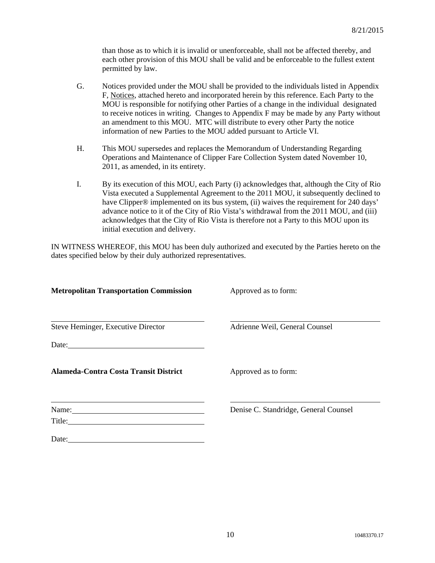than those as to which it is invalid or unenforceable, shall not be affected thereby, and each other provision of this MOU shall be valid and be enforceable to the fullest extent permitted by law.

- G. Notices provided under the MOU shall be provided to the individuals listed in Appendix F, Notices, attached hereto and incorporated herein by this reference. Each Party to the MOU is responsible for notifying other Parties of a change in the individual designated to receive notices in writing. Changes to Appendix F may be made by any Party without an amendment to this MOU. MTC will distribute to every other Party the notice information of new Parties to the MOU added pursuant to Article VI.
- H. This MOU supersedes and replaces the Memorandum of Understanding Regarding Operations and Maintenance of Clipper Fare Collection System dated November 10, 2011, as amended, in its entirety.
- I. By its execution of this MOU, each Party (i) acknowledges that, although the City of Rio Vista executed a Supplemental Agreement to the 2011 MOU, it subsequently declined to have Clipper<sup>®</sup> implemented on its bus system, (ii) waives the requirement for 240 days' advance notice to it of the City of Rio Vista's withdrawal from the 2011 MOU, and (iii) acknowledges that the City of Rio Vista is therefore not a Party to this MOU upon its initial execution and delivery.

IN WITNESS WHEREOF, this MOU has been duly authorized and executed by the Parties hereto on the dates specified below by their duly authorized representatives.

| <b>Metropolitan Transportation Commission</b>                                                                                                                                                                                           | Approved as to form:                  |
|-----------------------------------------------------------------------------------------------------------------------------------------------------------------------------------------------------------------------------------------|---------------------------------------|
| Steve Heminger, Executive Director                                                                                                                                                                                                      | Adrienne Weil, General Counsel        |
|                                                                                                                                                                                                                                         |                                       |
| Alameda-Contra Costa Transit District                                                                                                                                                                                                   | Approved as to form:                  |
| Name:<br>Title: 2008 Contract Contract Contract Contract Contract Contract Contract Contract Contract Contract Contract Contract Contract Contract Contract Contract Contract Contract Contract Contract Contract Contract Contract Con | Denise C. Standridge, General Counsel |
| Date:                                                                                                                                                                                                                                   |                                       |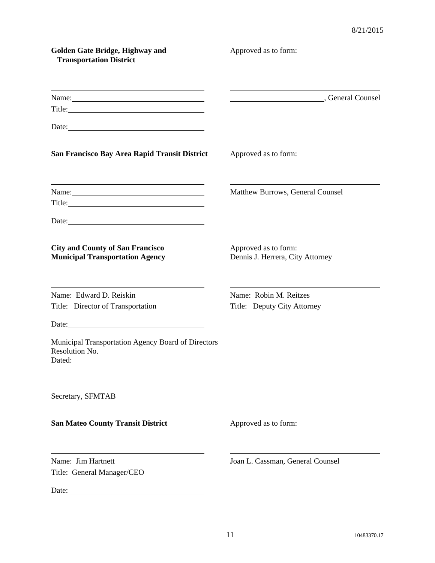| Golden Gate Bridge, Highway and<br><b>Transportation District</b>                                                                                                                                                                                                                                                                                      | Approved as to form:                                     |
|--------------------------------------------------------------------------------------------------------------------------------------------------------------------------------------------------------------------------------------------------------------------------------------------------------------------------------------------------------|----------------------------------------------------------|
| <u> 1989 - Johann Barn, mars ann an t-Amhain Aonaichte ann an t-Amhain Aonaichte ann an t-Amhain Aonaichte ann an</u><br>Name: Name and the second contract of the second contract of the second contract of the second contract of the second contract of the second contract of the second contract of the second contract of the second contract of | Counsel Counsel Counsel                                  |
| Date:                                                                                                                                                                                                                                                                                                                                                  |                                                          |
| San Francisco Bay Area Rapid Transit District                                                                                                                                                                                                                                                                                                          | Approved as to form:                                     |
| <u> 1980 - Johann Barn, amerikan besteman besteman besteman besteman besteman besteman besteman besteman bestema</u><br>Name:                                                                                                                                                                                                                          | Matthew Burrows, General Counsel                         |
| <b>City and County of San Francisco</b><br><b>Municipal Transportation Agency</b>                                                                                                                                                                                                                                                                      | Approved as to form:<br>Dennis J. Herrera, City Attorney |
| Name: Edward D. Reiskin<br>Title: Director of Transportation                                                                                                                                                                                                                                                                                           | Name: Robin M. Reitzes<br>Title: Deputy City Attorney    |
| Municipal Transportation Agency Board of Directors<br>Resolution No.<br>Dated: National Contract of the Contract of the Contract of the Contract of the Contract of the Contract of the Contract of the Contract of the Contract of the Contract of the Contract of the Contract of the Contract of th                                                 |                                                          |
| Secretary, SFMTAB                                                                                                                                                                                                                                                                                                                                      |                                                          |
| <b>San Mateo County Transit District</b>                                                                                                                                                                                                                                                                                                               | Approved as to form:                                     |
| Name: Jim Hartnett<br>Title: General Manager/CEO                                                                                                                                                                                                                                                                                                       | Joan L. Cassman, General Counsel                         |
|                                                                                                                                                                                                                                                                                                                                                        |                                                          |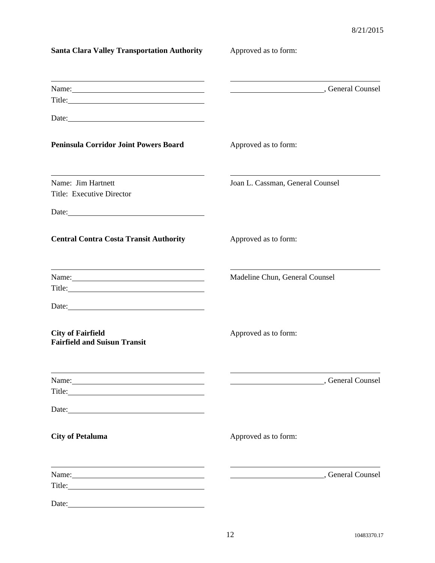| <b>Santa Clara Valley Transportation Authority</b>                                                                                                                                                                                      | Approved as to form:             |  |
|-----------------------------------------------------------------------------------------------------------------------------------------------------------------------------------------------------------------------------------------|----------------------------------|--|
| Name: Name and the set of the set of the set of the set of the set of the set of the set of the set of the set of the set of the set of the set of the set of the set of the set of the set of the set of the set of the set o          | Counsel Counsel Counsel          |  |
| Date:                                                                                                                                                                                                                                   |                                  |  |
| <b>Peninsula Corridor Joint Powers Board</b>                                                                                                                                                                                            | Approved as to form:             |  |
| Name: Jim Hartnett<br>Title: Executive Director                                                                                                                                                                                         | Joan L. Cassman, General Counsel |  |
| Date:<br><b>Central Contra Costa Transit Authority</b>                                                                                                                                                                                  | Approved as to form:             |  |
| <u> 1989 - Johann Stoff, Amerikaansk politiker († 1908)</u><br>Name:                                                                                                                                                                    | Madeline Chun, General Counsel   |  |
|                                                                                                                                                                                                                                         |                                  |  |
| <b>City of Fairfield</b><br><b>Fairfield and Suisun Transit</b>                                                                                                                                                                         | Approved as to form:             |  |
| Name:<br>Title: The Commission of the Commission of the Commission of the Commission of the Commission of the Commission of the Commission of the Commission of the Commission of the Commission of the Commission of the Commission of | Counsel Counsel Counsel          |  |
| Date: 2008. [10] Date: 2008. [10] Date: 2008. [10] Date: 2008. [10] Date: 2008. [10] Date: 2008. [10] Date: 2008. [10] Date: 2008. [10] Date: 2008. [10] Date: 2008. [10] Date: 2008. [10] Date: 2008. [10] Date: 2008. [10] D          |                                  |  |
| <b>City of Petaluma</b>                                                                                                                                                                                                                 | Approved as to form:             |  |
| Name:                                                                                                                                                                                                                                   | Counsel Counsel Counsel          |  |
| Date:                                                                                                                                                                                                                                   |                                  |  |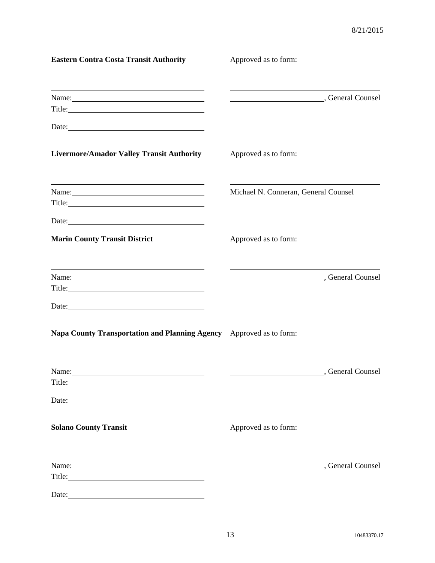| <b>Eastern Contra Costa Transit Authority</b>                                                                                                                                                                                                                                                         | Approved as to form:                   |                 |
|-------------------------------------------------------------------------------------------------------------------------------------------------------------------------------------------------------------------------------------------------------------------------------------------------------|----------------------------------------|-----------------|
| Name:                                                                                                                                                                                                                                                                                                 | General Counsel Counsel                |                 |
| Date: 2008 Contract and Contract and Contract and Contract and Contract and Contract and Contract and Contract and Contract and Contract and Contract and Contract and Contract and Contract and Contract and Contract and Con                                                                        |                                        |                 |
| <b>Livermore/Amador Valley Transit Authority</b>                                                                                                                                                                                                                                                      | Approved as to form:                   |                 |
| <u> 1989 - Andrea Barbara, Amerikaansk politiker (d. 1989)</u><br>Name:<br>Title: The Commission of the Commission of the Commission of the Commission of the Commission of the Commission                                                                                                            | Michael N. Conneran, General Counsel   |                 |
|                                                                                                                                                                                                                                                                                                       |                                        |                 |
| <b>Marin County Transit District</b>                                                                                                                                                                                                                                                                  | Approved as to form:                   |                 |
| <u> 1989 - Johann Barnett, fransk politiker (d. 1989)</u><br>Name: Name and the set of the set of the set of the set of the set of the set of the set of the set of the set of the set of the set of the set of the set of the set of the set of the set of the set of the set of the set o<br>Title: | General Counsel (300)                  |                 |
| Date:                                                                                                                                                                                                                                                                                                 |                                        |                 |
| Napa County Transportation and Planning Agency Approved as to form:                                                                                                                                                                                                                                   |                                        |                 |
| Name:                                                                                                                                                                                                                                                                                                 |                                        | General Counsel |
| Date: <u>and the second contract of the second contract of the second contract of the second contract of the second contract of the second contract of the second contract of the second contract of the second contract of the </u>                                                                  |                                        |                 |
| <b>Solano County Transit</b>                                                                                                                                                                                                                                                                          | Approved as to form:                   |                 |
| <u> 1989 - Johann Stoff, Amerikaansk politiker († 1908)</u><br>Name:                                                                                                                                                                                                                                  | General Counsel (300), General Counsel |                 |
| Date:                                                                                                                                                                                                                                                                                                 |                                        |                 |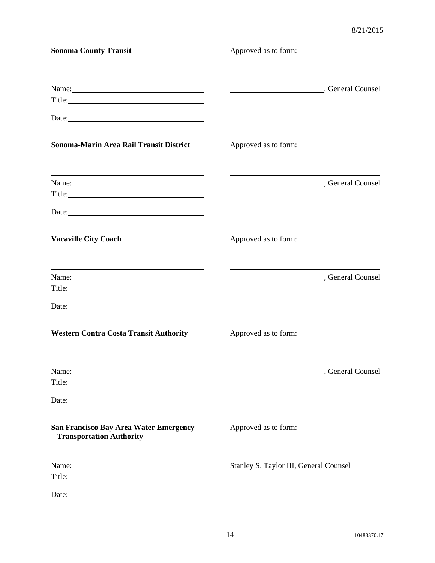| <b>Sonoma County Transit</b>                                                                                                                                                                                                                                                                                                                                    | Approved as to form:                   |
|-----------------------------------------------------------------------------------------------------------------------------------------------------------------------------------------------------------------------------------------------------------------------------------------------------------------------------------------------------------------|----------------------------------------|
| <u> 1989 - Johann Barnett, fransk kongresu og den større og den større og den som for de større og den som for d</u><br>Name:<br>Title: The contract of the contract of the contract of the contract of the contract of the contract of the contract of the contract of the contract of the contract of the contract of the contract of the contract of the con | General Counsel<br>General Counsel     |
| Date:                                                                                                                                                                                                                                                                                                                                                           |                                        |
| Sonoma-Marin Area Rail Transit District                                                                                                                                                                                                                                                                                                                         | Approved as to form:                   |
| <u> 1989 - Johann Stein, marwolaethau a bhann an t-Amhair ann an t-Amhair an t-Amhair an t-Amhair an t-Amhair an</u><br>Name:                                                                                                                                                                                                                                   | General Counsel<br>General Counsel     |
| Date:                                                                                                                                                                                                                                                                                                                                                           |                                        |
| <b>Vacaville City Coach</b>                                                                                                                                                                                                                                                                                                                                     | Approved as to form:                   |
| <u> 1989 - Johann Barn, amerikansk politiker (d. 1989)</u><br>Name:                                                                                                                                                                                                                                                                                             | General Counsel (300), General Counsel |
| Date:                                                                                                                                                                                                                                                                                                                                                           |                                        |
| <b>Western Contra Costa Transit Authority</b>                                                                                                                                                                                                                                                                                                                   | Approved as to form:                   |
| Title: The contract of the contract of the contract of the contract of the contract of the contract of the contract of the contract of the contract of the contract of the contract of the contract of the contract of the con                                                                                                                                  | Counsel Counsel Counsel                |
| Date: 2008 and 2008 and 2008 and 2008 and 2008 and 2008 and 2008 and 2008 and 2008 and 2008 and 2008 and 2008 and 2008 and 2008 and 2008 and 2008 and 2008 and 2008 and 2008 and 2008 and 2008 and 2008 and 2008 and 2008 and                                                                                                                                   |                                        |
| San Francisco Bay Area Water Emergency<br><b>Transportation Authority</b>                                                                                                                                                                                                                                                                                       | Approved as to form:                   |
| the control of the control of the control of the control of the control of the control of the control of the control of the control of the control of the control of the control of the control of the control of the control<br>Name:                                                                                                                          | Stanley S. Taylor III, General Counsel |
| Date:                                                                                                                                                                                                                                                                                                                                                           |                                        |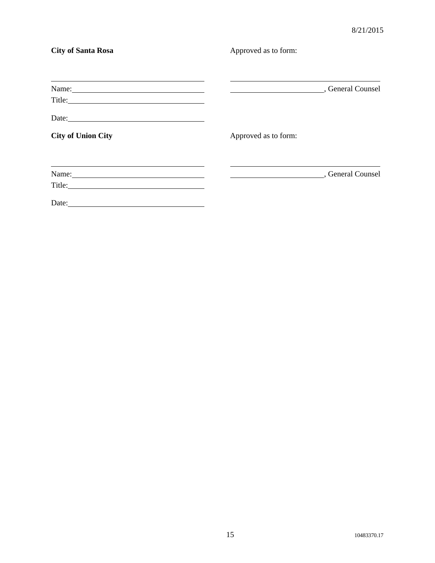| <b>City of Santa Rosa</b> | Approved as to form: |                   |
|---------------------------|----------------------|-------------------|
|                           |                      |                   |
| Name:                     |                      | , General Counsel |
| Date:                     |                      |                   |
| <b>City of Union City</b> | Approved as to form: |                   |
|                           |                      |                   |
| Name:                     |                      | , General Counsel |
| Title:                    |                      |                   |
| Date:                     |                      |                   |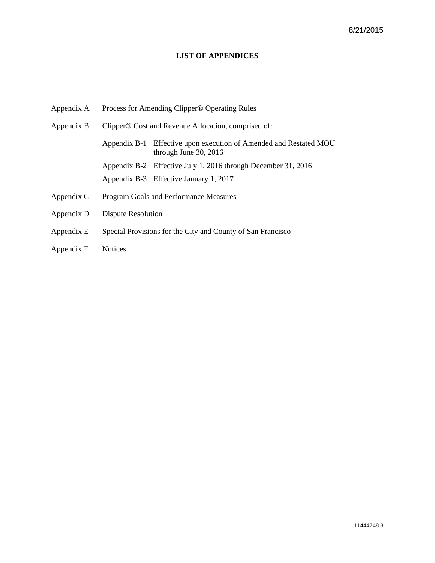#### **LIST OF APPENDICES**

- Appendix A Process for Amending Clipper® Operating Rules Appendix B Clipper® Cost and Revenue Allocation, comprised of: Appendix B-1 Effective upon execution of Amended and Restated MOU through June 30, 2016 Appendix B-2 Effective July 1, 2016 through December 31, 2016 Appendix B-3 Effective January 1, 2017 Appendix C Program Goals and Performance Measures Appendix D Dispute Resolution Appendix E Special Provisions for the City and County of San Francisco
- 
- Appendix F Notices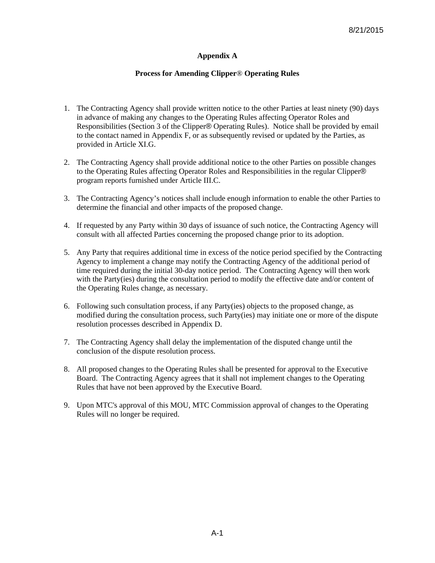### **Appendix A**

#### **Process for Amending Clipper**® **Operating Rules**

- 1. The Contracting Agency shall provide written notice to the other Parties at least ninety (90) days in advance of making any changes to the Operating Rules affecting Operator Roles and Responsibilities (Section 3 of the Clipper® Operating Rules). Notice shall be provided by email to the contact named in Appendix F, or as subsequently revised or updated by the Parties, as provided in Article XI.G.
- 2. The Contracting Agency shall provide additional notice to the other Parties on possible changes to the Operating Rules affecting Operator Roles and Responsibilities in the regular Clipper® program reports furnished under Article III.C.
- 3. The Contracting Agency's notices shall include enough information to enable the other Parties to determine the financial and other impacts of the proposed change.
- 4. If requested by any Party within 30 days of issuance of such notice, the Contracting Agency will consult with all affected Parties concerning the proposed change prior to its adoption.
- 5. Any Party that requires additional time in excess of the notice period specified by the Contracting Agency to implement a change may notify the Contracting Agency of the additional period of time required during the initial 30-day notice period. The Contracting Agency will then work with the Party(ies) during the consultation period to modify the effective date and/or content of the Operating Rules change, as necessary.
- 6. Following such consultation process, if any Party(ies) objects to the proposed change, as modified during the consultation process, such Party(ies) may initiate one or more of the dispute resolution processes described in Appendix D.
- 7. The Contracting Agency shall delay the implementation of the disputed change until the conclusion of the dispute resolution process.
- 8. All proposed changes to the Operating Rules shall be presented for approval to the Executive Board. The Contracting Agency agrees that it shall not implement changes to the Operating Rules that have not been approved by the Executive Board.
- 9. Upon MTC's approval of this MOU, MTC Commission approval of changes to the Operating Rules will no longer be required.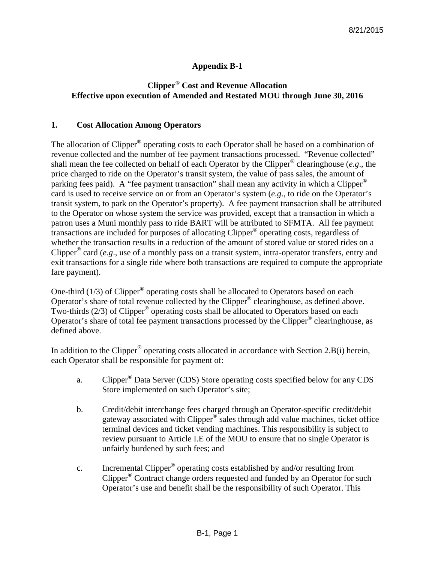# **Appendix B-1**

# **Clipper® Cost and Revenue Allocation Effective upon execution of Amended and Restated MOU through June 30, 2016**

### **1. Cost Allocation Among Operators**

The allocation of Clipper<sup>®</sup> operating costs to each Operator shall be based on a combination of revenue collected and the number of fee payment transactions processed. "Revenue collected" shall mean the fee collected on behalf of each Operator by the Clipper® clearinghouse (*e.g*., the price charged to ride on the Operator's transit system, the value of pass sales, the amount of parking fees paid). A "fee payment transaction" shall mean any activity in which a Clipper® card is used to receive service on or from an Operator's system (*e.g*., to ride on the Operator's transit system, to park on the Operator's property). A fee payment transaction shall be attributed to the Operator on whose system the service was provided, except that a transaction in which a patron uses a Muni monthly pass to ride BART will be attributed to SFMTA. All fee payment transactions are included for purposes of allocating Clipper® operating costs, regardless of whether the transaction results in a reduction of the amount of stored value or stored rides on a Clipper® card (*e.g*., use of a monthly pass on a transit system, intra-operator transfers, entry and exit transactions for a single ride where both transactions are required to compute the appropriate fare payment).

One-third  $(1/3)$  of Clipper<sup>®</sup> operating costs shall be allocated to Operators based on each Operator's share of total revenue collected by the Clipper® clearinghouse, as defined above. Two-thirds  $(2/3)$  of Clipper<sup>®</sup> operating costs shall be allocated to Operators based on each Operator's share of total fee payment transactions processed by the Clipper® clearinghouse, as defined above.

In addition to the Clipper<sup>®</sup> operating costs allocated in accordance with Section 2.B(i) herein, each Operator shall be responsible for payment of:

- a. Clipper® Data Server (CDS) Store operating costs specified below for any CDS Store implemented on such Operator's site;
- b. Credit/debit interchange fees charged through an Operator-specific credit/debit gateway associated with Clipper® sales through add value machines, ticket office terminal devices and ticket vending machines. This responsibility is subject to review pursuant to Article I.E of the MOU to ensure that no single Operator is unfairly burdened by such fees; and
- c. Incremental Clipper® operating costs established by and/or resulting from Clipper® Contract change orders requested and funded by an Operator for such Operator's use and benefit shall be the responsibility of such Operator. This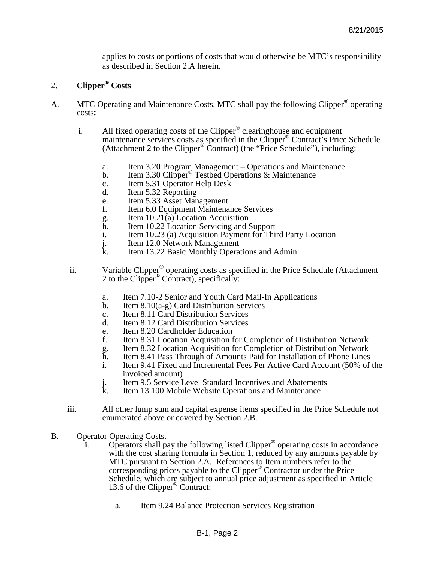applies to costs or portions of costs that would otherwise be MTC's responsibility as described in Section 2.A herein.

### 2. **Clipper® Costs**

- A. MTC Operating and Maintenance Costs. MTC shall pay the following Clipper<sup>®</sup> operating costs:
	- i. All fixed operating costs of the Clipper<sup>®</sup> clearinghouse and equipment maintenance services costs as specified in the Clipper<sup>®</sup> Contract's Price Schedule (Attachment 2 to the Clipper<sup>®</sup> Contract) (the "Price Schedule"), including:
		- a. Item 3.20 Program Management Operations and Maintenance<br>b. Item 3.30 Clipper<sup>®</sup> Testbed Operations & Maintenance
		- Item 3.30 Clipper<sup>®</sup> Testbed Operations & Maintenance
		- c. Item 5.31 Operator Help Desk
		- d. Item 5.32 Reporting
		- e. Item 5.33 Asset Management<br>f. Item 6.0 Equipment Maintena
		- Item 6.0 Equipment Maintenance Services
		- g. Item 10.21(a) Location Acquisition
		- h. Item 10.22 Location Servicing and Support<br>i. Item 10.23 (a) Acquisition Payment for This
		- Item 10.23 (a) Acquisition Payment for Third Party Location
		- j. Item 12.0 Network Management<br>k Item 13.22 Basic Monthly Opera
		- Item 13.22 Basic Monthly Operations and Admin
	- ii. Variable Clipper<sup>®</sup> operating costs as specified in the Price Schedule (Attachment 2 to the Clipper<sup>®</sup> Contract), specifically:
		- a. Item 7.10-2 Senior and Youth Card Mail-In Applications<br>b. Item  $8.10(a-g)$  Card Distribution Services
		- b. Item 8.10(a-g) Card Distribution Services
		- c. Item 8.11 Card Distribution Services<br>d Item 8.12 Card Distribution Services
		- Item 8.12 Card Distribution Services
		- e. Item 8.20 Cardholder Education<br>f. Item 8.31 Location Acquisition f
		- f. Item 8.31 Location Acquisition for Completion of Distribution Network
		- g. Item 8.32 Location Acquisition for Completion of Distribution Network
		- h. Item 8.41 Pass Through of Amounts Paid for Installation of Phone Lines<br>i. Item 9.41 Fixed and Incremental Fees Per Active Card Account (50% of
		- Item 9.41 Fixed and Incremental Fees Per Active Card Account (50% of the invoiced amount)
		- j. Item 9.5 Service Level Standard Incentives and Abatements
		- Item 13.100 Mobile Website Operations and Maintenance
	- iii. All other lump sum and capital expense items specified in the Price Schedule not enumerated above or covered by Section 2.B.
- B. Operator Operating Costs.
	- **Operators shall pay the following listed Clipper<sup>®</sup> operating costs in accordance** with the cost sharing formula in Section 1, reduced by any amounts payable by MTC pursuant to Section 2.A. References to Item numbers refer to the corresponding prices payable to the Clipper® Contractor under the Price Schedule, which are subject to annual price adjustment as specified in Article 13.6 of the Clipper® Contract:
		- a. Item 9.24 Balance Protection Services Registration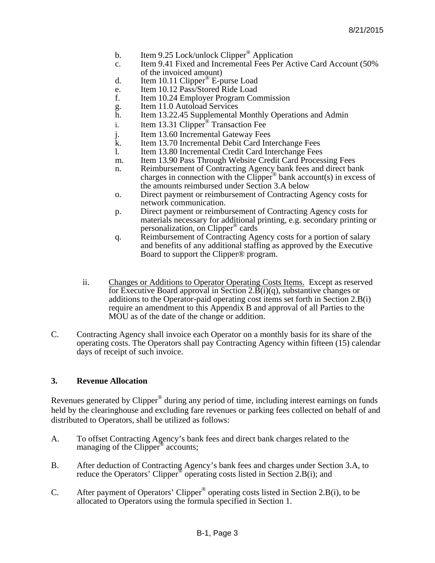- b. Item 9.25 Lock/unlock Clipper<sup>®</sup> Application
- c. Item 9.41 Fixed and Incremental Fees Per Active Card Account (50% of the invoiced amount)
- d. Item 10.11 Clipper<sup>®</sup> E-purse Load
- e. Item 10.12 Pass/Stored Ride Load<br>f. Item 10.24 Employer Program Cor
- Item 10.24 Employer Program Commission
- g. Item 11.0 Autoload Services
- h. Item 13.22.45 Supplemental Monthly Operations and Admin
- i. Item 13.31 Clipper<sup>®</sup> Transaction Fee
- j. Item 13.60 Incremental Gateway Fees
- k. Item 13.70 Incremental Debit Card Interchange Fees
- l. Item 13.80 Incremental Credit Card Interchange Fees
- m. Item 13.90 Pass Through Website Credit Card Processing Fees
- n. Reimbursement of Contracting Agency bank fees and direct bank charges in connection with the Clipper<sup>®</sup> bank account(s) in excess of the amounts reimbursed under Section 3.A below
- o. Direct payment or reimbursement of Contracting Agency costs for network communication.
- p. Direct payment or reimbursement of Contracting Agency costs for materials necessary for additional printing, e.g. secondary printing or personalization, on Clipper® cards
- q. Reimbursement of Contracting Agency costs for a portion of salary and benefits of any additional staffing as approved by the Executive Board to support the Clipper® program.
- ii. Changes or Additions to Operator Operating Costs Items. Except as reserved for Executive Board approval in Section 2. $\vec{B}(i)(q)$ , substantive changes or additions to the Operator-paid operating cost items set forth in Section 2.B(i) require an amendment to this Appendix B and approval of all Parties to the MOU as of the date of the change or addition.
- C. Contracting Agency shall invoice each Operator on a monthly basis for its share of the operating costs. The Operators shall pay Contracting Agency within fifteen (15) calendar days of receipt of such invoice.

### **3. Revenue Allocation**

Revenues generated by Clipper® during any period of time, including interest earnings on funds held by the clearinghouse and excluding fare revenues or parking fees collected on behalf of and distributed to Operators, shall be utilized as follows:

- A. To offset Contracting Agency's bank fees and direct bank charges related to the managing of the Clipper<sup>®</sup> accounts;
- B. After deduction of Contracting Agency's bank fees and charges under Section 3.A, to reduce the Operators' Clipper<sup>®</sup> operating costs listed in Section 2.B(i); and
- C. After payment of Operators' Clipper® operating costs listed in Section 2.B(i), to be allocated to Operators using the formula specified in Section 1.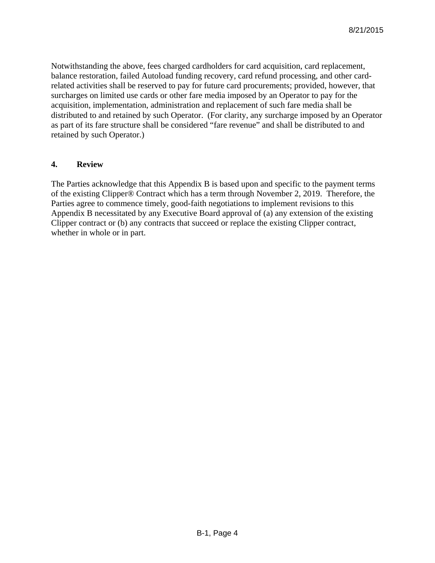Notwithstanding the above, fees charged cardholders for card acquisition, card replacement, balance restoration, failed Autoload funding recovery, card refund processing, and other cardrelated activities shall be reserved to pay for future card procurements; provided, however, that surcharges on limited use cards or other fare media imposed by an Operator to pay for the acquisition, implementation, administration and replacement of such fare media shall be distributed to and retained by such Operator. (For clarity, any surcharge imposed by an Operator as part of its fare structure shall be considered "fare revenue" and shall be distributed to and retained by such Operator.)

### **4. Review**

The Parties acknowledge that this Appendix B is based upon and specific to the payment terms of the existing Clipper® Contract which has a term through November 2, 2019. Therefore, the Parties agree to commence timely, good-faith negotiations to implement revisions to this Appendix B necessitated by any Executive Board approval of (a) any extension of the existing Clipper contract or (b) any contracts that succeed or replace the existing Clipper contract, whether in whole or in part.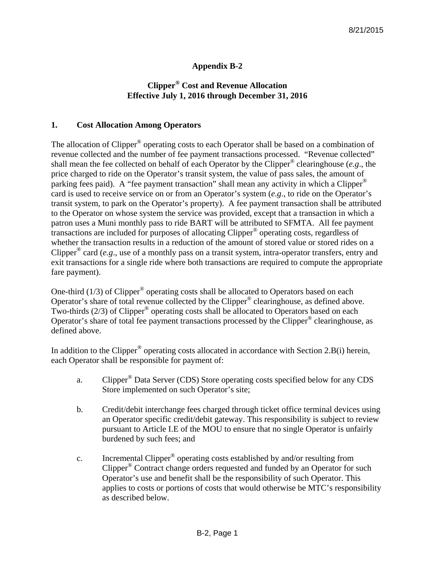### **Appendix B-2**

# **Clipper® Cost and Revenue Allocation Effective July 1, 2016 through December 31, 2016**

### **1. Cost Allocation Among Operators**

The allocation of Clipper<sup>®</sup> operating costs to each Operator shall be based on a combination of revenue collected and the number of fee payment transactions processed. "Revenue collected" shall mean the fee collected on behalf of each Operator by the Clipper® clearinghouse (*e.g*., the price charged to ride on the Operator's transit system, the value of pass sales, the amount of parking fees paid). A "fee payment transaction" shall mean any activity in which a Clipper® card is used to receive service on or from an Operator's system (*e.g*., to ride on the Operator's transit system, to park on the Operator's property). A fee payment transaction shall be attributed to the Operator on whose system the service was provided, except that a transaction in which a patron uses a Muni monthly pass to ride BART will be attributed to SFMTA. All fee payment transactions are included for purposes of allocating Clipper® operating costs, regardless of whether the transaction results in a reduction of the amount of stored value or stored rides on a Clipper® card (*e.g*., use of a monthly pass on a transit system, intra-operator transfers, entry and exit transactions for a single ride where both transactions are required to compute the appropriate fare payment).

One-third  $(1/3)$  of Clipper<sup>®</sup> operating costs shall be allocated to Operators based on each Operator's share of total revenue collected by the Clipper® clearinghouse, as defined above. Two-thirds  $(2/3)$  of Clipper<sup>®</sup> operating costs shall be allocated to Operators based on each Operator's share of total fee payment transactions processed by the Clipper® clearinghouse, as defined above.

In addition to the Clipper<sup>®</sup> operating costs allocated in accordance with Section 2.B(i) herein, each Operator shall be responsible for payment of:

- a. Clipper® Data Server (CDS) Store operating costs specified below for any CDS Store implemented on such Operator's site;
- b. Credit/debit interchange fees charged through ticket office terminal devices using an Operator specific credit/debit gateway. This responsibility is subject to review pursuant to Article I.E of the MOU to ensure that no single Operator is unfairly burdened by such fees; and
- c. Incremental Clipper® operating costs established by and/or resulting from Clipper® Contract change orders requested and funded by an Operator for such Operator's use and benefit shall be the responsibility of such Operator. This applies to costs or portions of costs that would otherwise be MTC's responsibility as described below.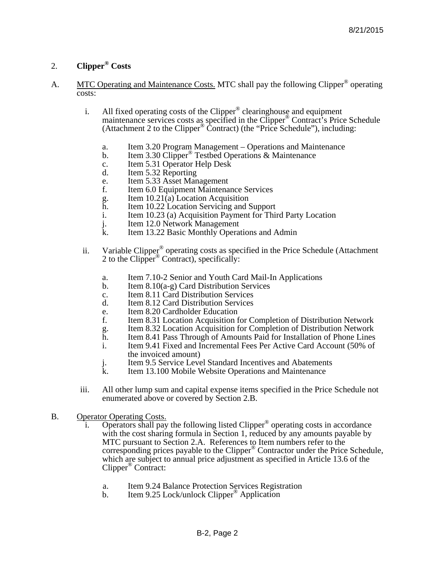### 2. **Clipper® Costs**

- A. MTC Operating and Maintenance Costs. MTC shall pay the following Clipper<sup>®</sup> operating costs:
	- i. All fixed operating costs of the Clipper<sup>®</sup> clearinghouse and equipment maintenance services costs as specified in the Clipper® Contract's Price Schedule (Attachment 2 to the Clipper® Contract) (the "Price Schedule"), including:
		- a. Item 3.20 Program Management Operations and Maintenance
		- b. Item 3.30 Clipper<sup>®</sup> Testbed Operations & Maintenance
		- c. Item 5.31 Operator Help Desk
		- d. Item 5.32 Reporting
		- e. Item 5.33 Asset Management
		- f. Item 6.0 Equipment Maintenance Services
		- g. Item  $10.21(a)$  Location Acquisition<br>h. Item 10.22 Location Servicing and S
		- h. Item 10.22 Location Servicing and Support<br>i. Item 10.23 (a) Acquisition Payment for Thi
		- i. Item 10.23 (a) Acquisition Payment for Third Party Location <br>
		Item 12.0 Network Management
		- j. Item 12.0 Network Management<br>k. Item 13.22 Basic Monthly Opera
		- Item 13.22 Basic Monthly Operations and Admin
	- ii. Variable Clipper® operating costs as specified in the Price Schedule (Attachment 2 to the Clipper<sup>®</sup> Contract), specifically:
		- a. Item 7.10-2 Senior and Youth Card Mail-In Applications
		- b. Item 8.10(a-g) Card Distribution Services
		- c. Item 8.11 Card Distribution Services
		- d. Item 8.12 Card Distribution Services
		- e. Item 8.20 Cardholder Education<br>f. Item 8.31 Location Acquisition 1
		- f. Item 8.31 Location Acquisition for Completion of Distribution Network
		- g. Item 8.32 Location Acquisition for Completion of Distribution Network
		- h. Item 8.41 Pass Through of Amounts Paid for Installation of Phone Lines
		- i. Item 9.41 Fixed and Incremental Fees Per Active Card Account (50% of the invoiced amount)
		- j. Item 9.5 Service Level Standard Incentives and Abatements<br>k. Item 13.100 Mobile Website Operations and Maintenance
		- Item 13.100 Mobile Website Operations and Maintenance
	- iii. All other lump sum and capital expense items specified in the Price Schedule not enumerated above or covered by Section 2.B.
- B. Operator Operating Costs.
	- i. Operators shall pay the following listed Clipper<sup>®</sup> operating costs in accordance with the cost sharing formula in Section 1, reduced by any amounts payable by MTC pursuant to Section 2.A. References to Item numbers refer to the corresponding prices payable to the Clipper® Contractor under the Price Schedule, which are subject to annual price adjustment as specified in Article 13.6 of the Clipper® Contract:
		- a. Item 9.24 Balance Protection Services Registration
		- b. Item 9.25 Lock/unlock Clipper<sup>®</sup> Application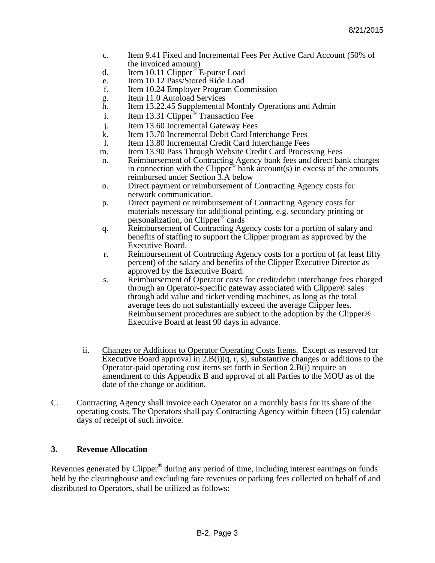- c. Item 9.41 Fixed and Incremental Fees Per Active Card Account (50% of the invoiced amount)
- d. Item 10.11 Clipper<sup>®</sup> E-purse Load
- e. Item 10.12 Pass/Stored Ride Load<br>f. Item 10.24 Employer Program Cor
- Item 10.24 Employer Program Commission
- g. Item 11.0 Autoload Services
- h. Item 13.22.45 Supplemental Monthly Operations and Admin
- i. Item 13.31 Clipper<sup>®</sup> Transaction Fee
- j. Item 13.60 Incremental Gateway Fees
- k. Item 13.70 Incremental Debit Card Interchange Fees
- l. Item 13.80 Incremental Credit Card Interchange Fees
- m. Item 13.90 Pass Through Website Credit Card Processing Fees
- n. Reimbursement of Contracting Agency bank fees and direct bank charges in connection with the Clipper<sup>®</sup> bank account(s) in excess of the amounts reimbursed under Section 3.A below
- o. Direct payment or reimbursement of Contracting Agency costs for network communication.
- p. Direct payment or reimbursement of Contracting Agency costs for materials necessary for additional printing, e.g. secondary printing or personalization, on Clipper® cards
- q. Reimbursement of Contracting Agency costs for a portion of salary and benefits of staffing to support the Clipper program as approved by the Executive Board.
- r. Reimbursement of Contracting Agency costs for a portion of (at least fifty percent) of the salary and benefits of the Clipper Executive Director as approved by the Executive Board.
- s. Reimbursement of Operator costs for credit/debit interchange fees charged through an Operator-specific gateway associated with Clipper® sales through add value and ticket vending machines, as long as the total average fees do not substantially exceed the average Clipper fees. Reimbursement procedures are subject to the adoption by the Clipper® Executive Board at least 90 days in advance.
- ii. Changes or Additions to Operator Operating Costs Items. Except as reserved for Executive Board approval in  $2.B(i)(q, r, s)$ , substantive changes or additions to the Operator-paid operating cost items set forth in Section 2.B(i) require an amendment to this Appendix B and approval of all Parties to the MOU as of the date of the change or addition.
- C. Contracting Agency shall invoice each Operator on a monthly basis for its share of the operating costs. The Operators shall pay Contracting Agency within fifteen (15) calendar days of receipt of such invoice.

### **3. Revenue Allocation**

Revenues generated by Clipper® during any period of time, including interest earnings on funds held by the clearinghouse and excluding fare revenues or parking fees collected on behalf of and distributed to Operators, shall be utilized as follows: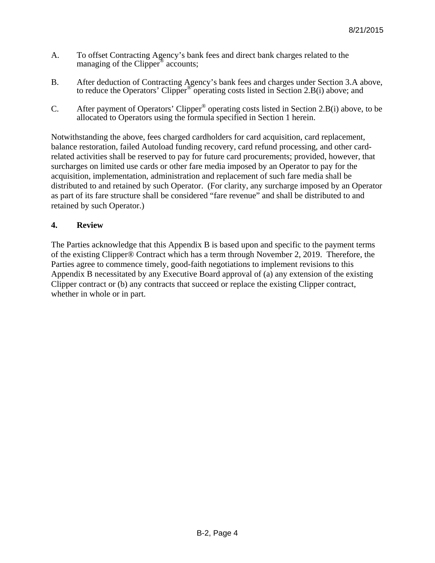- A. To offset Contracting Agency's bank fees and direct bank charges related to the managing of the Clipper<sup>®</sup> accounts;
- B. After deduction of Contracting Agency's bank fees and charges under Section 3.A above, to reduce the Operators' Clipper® operating costs listed in Section 2.B(i) above; and
- C. After payment of Operators' Clipper® operating costs listed in Section 2.B(i) above, to be allocated to Operators using the formula specified in Section 1 herein.

Notwithstanding the above, fees charged cardholders for card acquisition, card replacement, balance restoration, failed Autoload funding recovery, card refund processing, and other cardrelated activities shall be reserved to pay for future card procurements; provided, however, that surcharges on limited use cards or other fare media imposed by an Operator to pay for the acquisition, implementation, administration and replacement of such fare media shall be distributed to and retained by such Operator. (For clarity, any surcharge imposed by an Operator as part of its fare structure shall be considered "fare revenue" and shall be distributed to and retained by such Operator.)

### **4. Review**

The Parties acknowledge that this Appendix B is based upon and specific to the payment terms of the existing Clipper® Contract which has a term through November 2, 2019. Therefore, the Parties agree to commence timely, good-faith negotiations to implement revisions to this Appendix B necessitated by any Executive Board approval of (a) any extension of the existing Clipper contract or (b) any contracts that succeed or replace the existing Clipper contract, whether in whole or in part.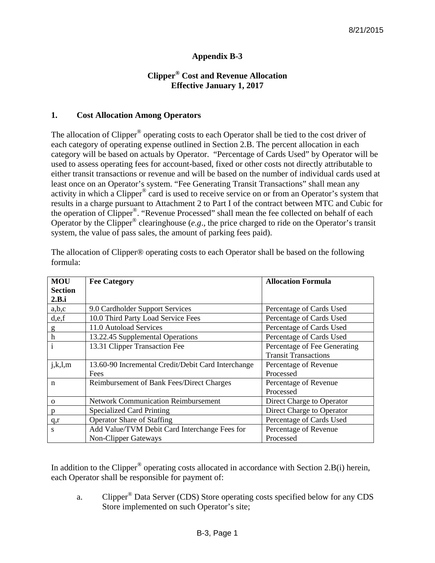# **Appendix B-3**

### **Clipper® Cost and Revenue Allocation Effective January 1, 2017**

### **1. Cost Allocation Among Operators**

The allocation of Clipper<sup>®</sup> operating costs to each Operator shall be tied to the cost driver of each category of operating expense outlined in Section 2.B. The percent allocation in each category will be based on actuals by Operator. "Percentage of Cards Used" by Operator will be used to assess operating fees for account-based, fixed or other costs not directly attributable to either transit transactions or revenue and will be based on the number of individual cards used at least once on an Operator's system. "Fee Generating Transit Transactions" shall mean any activity in which a Clipper® card is used to receive service on or from an Operator's system that results in a charge pursuant to Attachment 2 to Part I of the contract between MTC and Cubic for the operation of Clipper®. "Revenue Processed" shall mean the fee collected on behalf of each Operator by the Clipper® clearinghouse (*e.g*., the price charged to ride on the Operator's transit system, the value of pass sales, the amount of parking fees paid).

| <b>MOU</b>     | <b>Fee Category</b>                                | <b>Allocation Formula</b>    |
|----------------|----------------------------------------------------|------------------------------|
| <b>Section</b> |                                                    |                              |
| 2.B.i          |                                                    |                              |
| a,b,c          | 9.0 Cardholder Support Services                    | Percentage of Cards Used     |
| d,e,f          | 10.0 Third Party Load Service Fees                 | Percentage of Cards Used     |
| g              | 11.0 Autoload Services                             | Percentage of Cards Used     |
| $\bar{h}$      | 13.22.45 Supplemental Operations                   | Percentage of Cards Used     |
| $\overline{i}$ | 13.31 Clipper Transaction Fee                      | Percentage of Fee Generating |
|                |                                                    | <b>Transit Transactions</b>  |
| j,k,l,m        | 13.60-90 Incremental Credit/Debit Card Interchange | Percentage of Revenue        |
|                | Fees                                               | Processed                    |
| $\mathbf n$    | Reimbursement of Bank Fees/Direct Charges          | Percentage of Revenue        |
|                |                                                    | Processed                    |
| $\Omega$       | <b>Network Communication Reimbursement</b>         | Direct Charge to Operator    |
| D              | <b>Specialized Card Printing</b>                   | Direct Charge to Operator    |
| q,r            | <b>Operator Share of Staffing</b>                  | Percentage of Cards Used     |
| S              | Add Value/TVM Debit Card Interchange Fees for      | Percentage of Revenue        |
|                | <b>Non-Clipper Gateways</b>                        | Processed                    |

The allocation of Clipper® operating costs to each Operator shall be based on the following formula:

In addition to the Clipper<sup>®</sup> operating costs allocated in accordance with Section 2.B(i) herein, each Operator shall be responsible for payment of:

a. Clipper® Data Server (CDS) Store operating costs specified below for any CDS Store implemented on such Operator's site;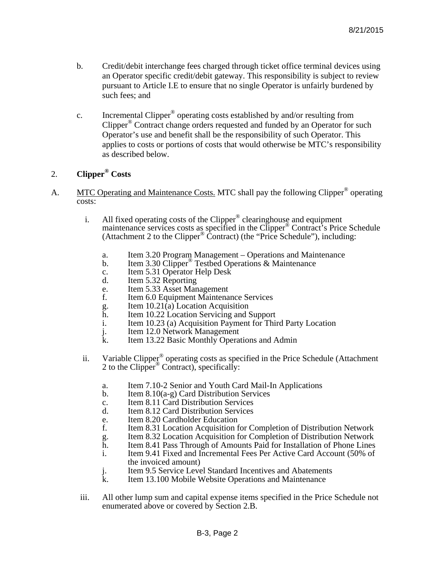- b. Credit/debit interchange fees charged through ticket office terminal devices using an Operator specific credit/debit gateway. This responsibility is subject to review pursuant to Article I.E to ensure that no single Operator is unfairly burdened by such fees; and
- c. Incremental Clipper® operating costs established by and/or resulting from Clipper® Contract change orders requested and funded by an Operator for such Operator's use and benefit shall be the responsibility of such Operator. This applies to costs or portions of costs that would otherwise be MTC's responsibility as described below.

# 2. **Clipper® Costs**

- A. MTC Operating and Maintenance Costs. MTC shall pay the following Clipper<sup>®</sup> operating costs:
	- i. All fixed operating costs of the Clipper<sup>®</sup> clearinghouse and equipment maintenance services costs as specified in the Clipper® Contract's Price Schedule (Attachment 2 to the Clipper® Contract) (the "Price Schedule"), including:
		- a. Item 3.20 Program Management Operations and Maintenance
		- b. Item 3.30 Clipper<sup>®</sup> Testbed Operations & Maintenance
		- c. Item 5.31 Operator Help Desk
		- d. Item 5.32 Reporting
		- e. Item 5.33 Asset Management<br>f. Item 6.0 Equipment Maintena
		- Item 6.0 Equipment Maintenance Services
		- g. Item  $10.21(a)$  Location Acquisition<br>h. Item 10.22 Location Servicing and S
		- Item 10.22 Location Servicing and Support
		- i. Item 10.23 (a) Acquisition Payment for Third Party Location
		- j. Item 12.0 Network Management<br>k. Item 13.22 Basic Monthly Opera
		- Item 13.22 Basic Monthly Operations and Admin
	- ii. Variable Clipper<sup>®</sup> operating costs as specified in the Price Schedule (Attachment 2 to the Clipper<sup>®</sup> Contract), specifically:
		- a. Item 7.10-2 Senior and Youth Card Mail-In Applications
		- b. Item 8.10(a-g) Card Distribution Services
		- c. Item 8.11 Card Distribution Services
		- d. Item 8.12 Card Distribution Services
		- e. Item 8.20 Cardholder Education
		- f. Item 8.31 Location Acquisition for Completion of Distribution Network
		- g. Item 8.32 Location Acquisition for Completion of Distribution Network
		-
		- h. Item 8.41 Pass Through of Amounts Paid for Installation of Phone Lines<br>i. Item 9.41 Fixed and Incremental Fees Per Active Card Account (50% of Item 9.41 Fixed and Incremental Fees Per Active Card Account (50% of the invoiced amount)
		- j. Item 9.5 Service Level Standard Incentives and Abatements<br>k Item 13 100 Mobile Website Operations and Maintenance
		- Item 13.100 Mobile Website Operations and Maintenance
	- iii. All other lump sum and capital expense items specified in the Price Schedule not enumerated above or covered by Section 2.B.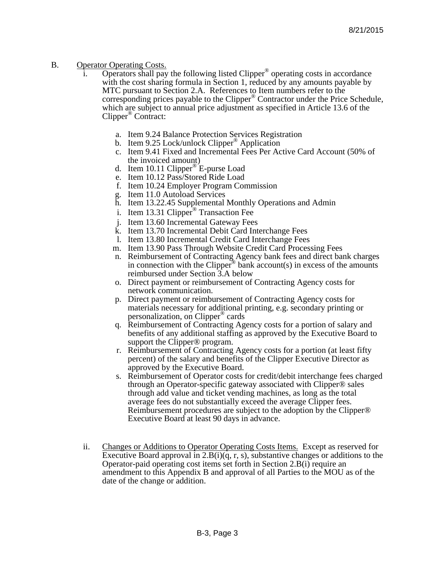### B. Operator Operating Costs.

- Operators shall pay the following listed Clipper<sup>®</sup> operating costs in accordance with the cost sharing formula in Section 1, reduced by any amounts payable by MTC pursuant to Section 2.A. References to Item numbers refer to the corresponding prices payable to the Clipper® Contractor under the Price Schedule, which are subject to annual price adjustment as specified in Article 13.6 of the Clipper® Contract:
	- a. Item 9.24 Balance Protection Services Registration
	- b. Item 9.25 Lock/unlock Clipper<sup>®</sup> Application
	- c. Item 9.41 Fixed and Incremental Fees Per Active Card Account (50% of the invoiced amount)
	- d. Item 10.11 Clipper® E-purse Load
	- e. Item 10.12 Pass/Stored Ride Load
	- f. Item 10.24 Employer Program Commission
	- g. Item 11.0 Autoload Services
	- h. Item 13.22.45 Supplemental Monthly Operations and Admin
	- i. Item 13.31 Clipper<sup>®</sup> Transaction Fee
	- j. Item 13.60 Incremental Gateway Fees
	- k. Item 13.70 Incremental Debit Card Interchange Fees
	- l. Item 13.80 Incremental Credit Card Interchange Fees
	- m. Item 13.90 Pass Through Website Credit Card Processing Fees
	- n. Reimbursement of Contracting Agency bank fees and direct bank charges in connection with the Clipper<sup>®</sup> bank account(s) in excess of the amounts reimbursed under Section 3.A below
	- o. Direct payment or reimbursement of Contracting Agency costs for network communication.
	- p. Direct payment or reimbursement of Contracting Agency costs for materials necessary for additional printing, e.g. secondary printing or personalization, on Clipper® cards
	- q. Reimbursement of Contracting Agency costs for a portion of salary and benefits of any additional staffing as approved by the Executive Board to support the Clipper® program.
	- r. Reimbursement of Contracting Agency costs for a portion (at least fifty percent) of the salary and benefits of the Clipper Executive Director as approved by the Executive Board.
	- s. Reimbursement of Operator costs for credit/debit interchange fees charged through an Operator-specific gateway associated with Clipper® sales through add value and ticket vending machines, as long as the total average fees do not substantially exceed the average Clipper fees. Reimbursement procedures are subject to the adoption by the Clipper® Executive Board at least 90 days in advance.
- ii. Changes or Additions to Operator Operating Costs Items. Except as reserved for Executive Board approval in 2.B(i)(q, r, s), substantive changes or additions to the Operator-paid operating cost items set forth in Section 2.B(i) require an amendment to this Appendix B and approval of all Parties to the MOU as of the date of the change or addition.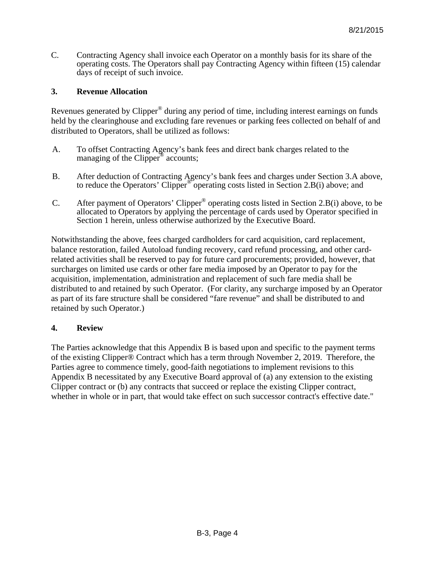C. Contracting Agency shall invoice each Operator on a monthly basis for its share of the operating costs. The Operators shall pay Contracting Agency within fifteen (15) calendar days of receipt of such invoice.

### **3. Revenue Allocation**

Revenues generated by Clipper® during any period of time, including interest earnings on funds held by the clearinghouse and excluding fare revenues or parking fees collected on behalf of and distributed to Operators, shall be utilized as follows:

- A. To offset Contracting Agency's bank fees and direct bank charges related to the managing of the Clipper<sup>®</sup> accounts;
- B. After deduction of Contracting Agency's bank fees and charges under Section 3.A above, to reduce the Operators' Clipper<sup>®</sup> operating costs listed in Section 2.B(i) above; and
- C. After payment of Operators' Clipper® operating costs listed in Section 2.B(i) above, to be allocated to Operators by applying the percentage of cards used by Operator specified in Section 1 herein, unless otherwise authorized by the Executive Board.

Notwithstanding the above, fees charged cardholders for card acquisition, card replacement, balance restoration, failed Autoload funding recovery, card refund processing, and other cardrelated activities shall be reserved to pay for future card procurements; provided, however, that surcharges on limited use cards or other fare media imposed by an Operator to pay for the acquisition, implementation, administration and replacement of such fare media shall be distributed to and retained by such Operator. (For clarity, any surcharge imposed by an Operator as part of its fare structure shall be considered "fare revenue" and shall be distributed to and retained by such Operator.)

### **4. Review**

The Parties acknowledge that this Appendix B is based upon and specific to the payment terms of the existing Clipper® Contract which has a term through November 2, 2019. Therefore, the Parties agree to commence timely, good-faith negotiations to implement revisions to this Appendix B necessitated by any Executive Board approval of (a) any extension to the existing Clipper contract or (b) any contracts that succeed or replace the existing Clipper contract, whether in whole or in part, that would take effect on such successor contract's effective date."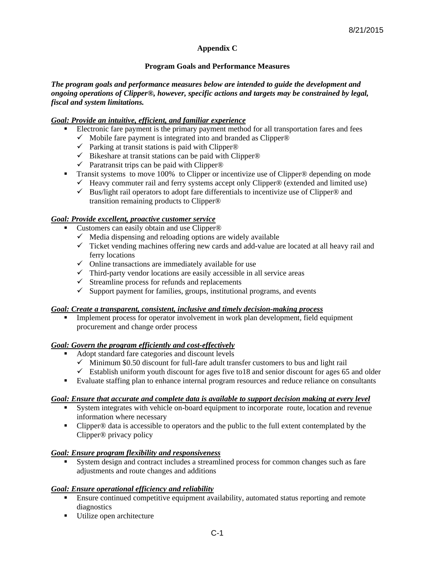### **Appendix C**

#### **Program Goals and Performance Measures**

#### *The program goals and performance measures below are intended to guide the development and ongoing operations of Clipper®, however, specific actions and targets may be constrained by legal, fiscal and system limitations.*

#### *Goal: Provide an intuitive, efficient, and familiar experience*

- Electronic fare payment is the primary payment method for all transportation fares and fees
	- $\checkmark$  Mobile fare payment is integrated into and branded as Clipper®
	- $\checkmark$  Parking at transit stations is paid with Clipper®
	- $\checkmark$  Bikeshare at transit stations can be paid with Clipper®
	- $\checkmark$  Paratransit trips can be paid with Clipper®
- Transit systems to move 100% to Clipper or incentivize use of Clipper<sup>®</sup> depending on mode
	- $\checkmark$  Heavy commuter rail and ferry systems accept only Clipper® (extended and limited use)
	- $\checkmark$  Bus/light rail operators to adopt fare differentials to incentivize use of Clipper® and transition remaining products to Clipper®

### *Goal: Provide excellent, proactive customer service*

- Customers can easily obtain and use Clipper<sup>®</sup>
	- $\checkmark$  Media dispensing and reloading options are widely available
	- $\checkmark$  Ticket vending machines offering new cards and add-value are located at all heavy rail and ferry locations
	- $\checkmark$  Online transactions are immediately available for use
	- $\checkmark$  Third-party vendor locations are easily accessible in all service areas
	- $\checkmark$  Streamline process for refunds and replacements
	- $\checkmark$  Support payment for families, groups, institutional programs, and events

#### *Goal: Create a transparent, consistent, inclusive and timely decision-making process*

 Implement process for operator involvement in work plan development, field equipment procurement and change order process

#### *Goal: Govern the program efficiently and cost-effectively*

- Adopt standard fare categories and discount levels
	- $\checkmark$  Minimum \$0.50 discount for full-fare adult transfer customers to bus and light rail
	- $\checkmark$  Establish uniform youth discount for ages five to 18 and senior discount for ages 65 and older
- Evaluate staffing plan to enhance internal program resources and reduce reliance on consultants

#### *Goal: Ensure that accurate and complete data is available to support decision making at every level*

- System integrates with vehicle on-board equipment to incorporate route, location and revenue information where necessary
- Clipper® data is accessible to operators and the public to the full extent contemplated by the Clipper® privacy policy

### *Goal: Ensure program flexibility and responsiveness*

 System design and contract includes a streamlined process for common changes such as fare adjustments and route changes and additions

### *Goal: Ensure operational efficiency and reliability*

- Ensure continued competitive equipment availability, automated status reporting and remote diagnostics
- Utilize open architecture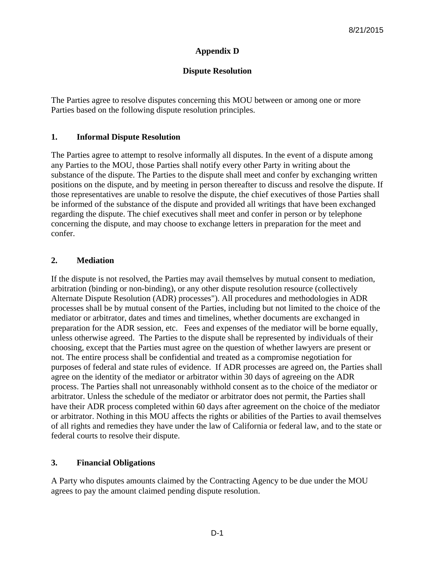### **Appendix D**

### **Dispute Resolution**

The Parties agree to resolve disputes concerning this MOU between or among one or more Parties based on the following dispute resolution principles.

### **1. Informal Dispute Resolution**

The Parties agree to attempt to resolve informally all disputes. In the event of a dispute among any Parties to the MOU, those Parties shall notify every other Party in writing about the substance of the dispute. The Parties to the dispute shall meet and confer by exchanging written positions on the dispute, and by meeting in person thereafter to discuss and resolve the dispute. If those representatives are unable to resolve the dispute, the chief executives of those Parties shall be informed of the substance of the dispute and provided all writings that have been exchanged regarding the dispute. The chief executives shall meet and confer in person or by telephone concerning the dispute, and may choose to exchange letters in preparation for the meet and confer.

### **2. Mediation**

If the dispute is not resolved, the Parties may avail themselves by mutual consent to mediation, arbitration (binding or non-binding), or any other dispute resolution resource (collectively Alternate Dispute Resolution (ADR) processes"). All procedures and methodologies in ADR processes shall be by mutual consent of the Parties, including but not limited to the choice of the mediator or arbitrator, dates and times and timelines, whether documents are exchanged in preparation for the ADR session, etc. Fees and expenses of the mediator will be borne equally, unless otherwise agreed. The Parties to the dispute shall be represented by individuals of their choosing, except that the Parties must agree on the question of whether lawyers are present or not. The entire process shall be confidential and treated as a compromise negotiation for purposes of federal and state rules of evidence. If ADR processes are agreed on, the Parties shall agree on the identity of the mediator or arbitrator within 30 days of agreeing on the ADR process. The Parties shall not unreasonably withhold consent as to the choice of the mediator or arbitrator. Unless the schedule of the mediator or arbitrator does not permit, the Parties shall have their ADR process completed within 60 days after agreement on the choice of the mediator or arbitrator. Nothing in this MOU affects the rights or abilities of the Parties to avail themselves of all rights and remedies they have under the law of California or federal law, and to the state or federal courts to resolve their dispute.

### **3. Financial Obligations**

A Party who disputes amounts claimed by the Contracting Agency to be due under the MOU agrees to pay the amount claimed pending dispute resolution.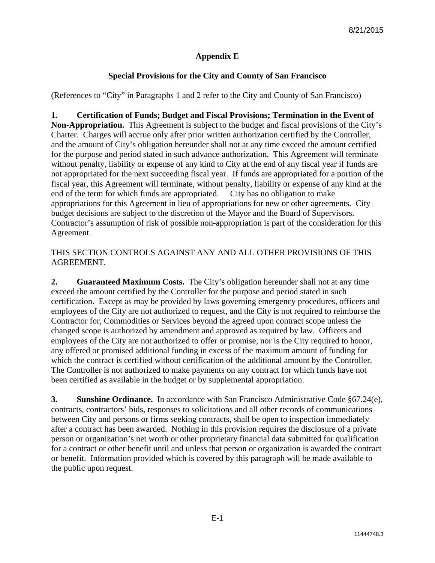## **Appendix E**

# **Special Provisions for the City and County of San Francisco**

(References to "City" in Paragraphs 1 and 2 refer to the City and County of San Francisco)

**1. Certification of Funds; Budget and Fiscal Provisions; Termination in the Event of Non-Appropriation.** This Agreement is subject to the budget and fiscal provisions of the City's Charter. Charges will accrue only after prior written authorization certified by the Controller, and the amount of City's obligation hereunder shall not at any time exceed the amount certified for the purpose and period stated in such advance authorization. This Agreement will terminate without penalty, liability or expense of any kind to City at the end of any fiscal year if funds are not appropriated for the next succeeding fiscal year. If funds are appropriated for a portion of the fiscal year, this Agreement will terminate, without penalty, liability or expense of any kind at the end of the term for which funds are appropriated. City has no obligation to make appropriations for this Agreement in lieu of appropriations for new or other agreements. City budget decisions are subject to the discretion of the Mayor and the Board of Supervisors. Contractor's assumption of risk of possible non-appropriation is part of the consideration for this Agreement.

### THIS SECTION CONTROLS AGAINST ANY AND ALL OTHER PROVISIONS OF THIS AGREEMENT.

**2. Guaranteed Maximum Costs.** The City's obligation hereunder shall not at any time exceed the amount certified by the Controller for the purpose and period stated in such certification. Except as may be provided by laws governing emergency procedures, officers and employees of the City are not authorized to request, and the City is not required to reimburse the Contractor for, Commodities or Services beyond the agreed upon contract scope unless the changed scope is authorized by amendment and approved as required by law. Officers and employees of the City are not authorized to offer or promise, nor is the City required to honor, any offered or promised additional funding in excess of the maximum amount of funding for which the contract is certified without certification of the additional amount by the Controller. The Controller is not authorized to make payments on any contract for which funds have not been certified as available in the budget or by supplemental appropriation.

**3.** Sunshine Ordinance. In accordance with San Francisco Administrative Code §67.24(e), contracts, contractors' bids, responses to solicitations and all other records of communications between City and persons or firms seeking contracts, shall be open to inspection immediately after a contract has been awarded. Nothing in this provision requires the disclosure of a private person or organization's net worth or other proprietary financial data submitted for qualification for a contract or other benefit until and unless that person or organization is awarded the contract or benefit. Information provided which is covered by this paragraph will be made available to the public upon request.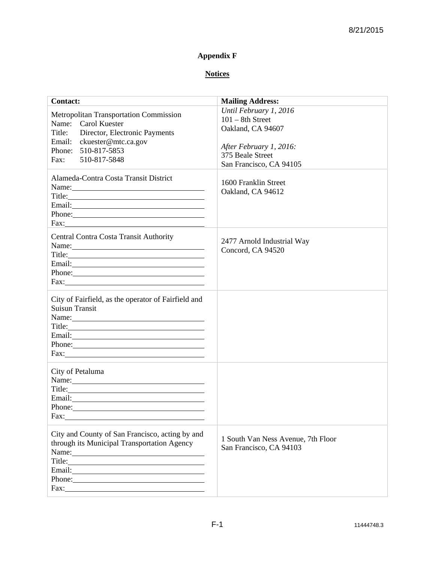# **Appendix F**

# **Notices**

| <b>Contact:</b>                                                                                                                                                                                                                                                                  | <b>Mailing Address:</b>                                       |
|----------------------------------------------------------------------------------------------------------------------------------------------------------------------------------------------------------------------------------------------------------------------------------|---------------------------------------------------------------|
| Metropolitan Transportation Commission                                                                                                                                                                                                                                           | Until February 1, 2016                                        |
| Name: Carol Kuester                                                                                                                                                                                                                                                              | $101 - 8$ th Street                                           |
| Title: Director, Electronic Payments                                                                                                                                                                                                                                             | Oakland, CA 94607                                             |
| Email: ckuester@mtc.ca.gov                                                                                                                                                                                                                                                       |                                                               |
| Phone: 510-817-5853                                                                                                                                                                                                                                                              | After February 1, 2016:<br>375 Beale Street                   |
| 510-817-5848<br>Fax:                                                                                                                                                                                                                                                             | San Francisco, CA 94105                                       |
| Alameda-Contra Costa Transit District<br>Name: Name and the second contract of the second contract of the second contract of the second contract of the second contract of the second contract of the second contract of the second contract of the second contract of<br>Phone: | 1600 Franklin Street<br>Oakland, CA 94612                     |
| <b>Central Contra Costa Transit Authority</b>                                                                                                                                                                                                                                    |                                                               |
| Name: Name and the second contract of the second contract of the second contract of the second contract of the second contract of the second contract of the second contract of the second contract of the second contract of                                                    | 2477 Arnold Industrial Way                                    |
|                                                                                                                                                                                                                                                                                  | Concord, CA 94520                                             |
| Email: <u>Contract Communication</u>                                                                                                                                                                                                                                             |                                                               |
| Phone:                                                                                                                                                                                                                                                                           |                                                               |
| $\text{Fax:}\n \overline{\phantom{aa}}$                                                                                                                                                                                                                                          |                                                               |
| City of Fairfield, as the operator of Fairfield and                                                                                                                                                                                                                              |                                                               |
| <b>Suisun Transit</b>                                                                                                                                                                                                                                                            |                                                               |
| Name:                                                                                                                                                                                                                                                                            |                                                               |
| Title:                                                                                                                                                                                                                                                                           |                                                               |
| Phone:                                                                                                                                                                                                                                                                           |                                                               |
|                                                                                                                                                                                                                                                                                  |                                                               |
| City of Petaluma<br>Name: Name and the service of the service of the service of the service of the service of the service of the service of the service of the service of the service of the service of the service of the service of the service                                |                                                               |
| Title: The Commission of the Commission of the Commission of the Commission of the Commission of the Commission of the Commission of the Commission of the Commission of the Commission of the Commission of the Commission of                                                   |                                                               |
|                                                                                                                                                                                                                                                                                  |                                                               |
|                                                                                                                                                                                                                                                                                  |                                                               |
| Fax:                                                                                                                                                                                                                                                                             |                                                               |
| City and County of San Francisco, acting by and<br>through its Municipal Transportation Agency<br>Name:                                                                                                                                                                          | 1 South Van Ness Avenue, 7th Floor<br>San Francisco, CA 94103 |
|                                                                                                                                                                                                                                                                                  |                                                               |
| Phone:                                                                                                                                                                                                                                                                           |                                                               |
|                                                                                                                                                                                                                                                                                  |                                                               |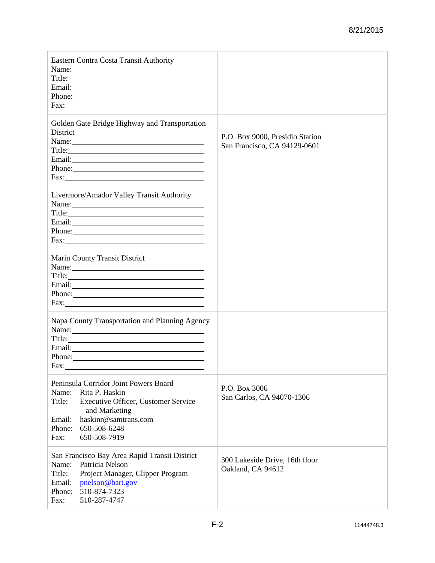| Eastern Contra Costa Transit Authority<br>Name: Name and the second state of the second state of the second state of the second state of the second state of the second state of the second state of the second state of the second state of the second state of the sec<br>Phone:                                                                                                                                                                                                                                                   |                                                                 |
|--------------------------------------------------------------------------------------------------------------------------------------------------------------------------------------------------------------------------------------------------------------------------------------------------------------------------------------------------------------------------------------------------------------------------------------------------------------------------------------------------------------------------------------|-----------------------------------------------------------------|
| Golden Gate Bridge Highway and Transportation<br>District<br>Name:<br>Email: <u>Alexander School (2002)</u><br>Phone:<br>$\text{Fax:}$                                                                                                                                                                                                                                                                                                                                                                                               | P.O. Box 9000, Presidio Station<br>San Francisco, CA 94129-0601 |
| Livermore/Amador Valley Transit Authority<br>Name: Name and the set of the set of the set of the set of the set of the set of the set of the set of the set of the set of the set of the set of the set of the set of the set of the set of the set of the set of the set o<br>Title: The contract of the contract of the contract of the contract of the contract of the contract of the contract of the contract of the contract of the contract of the contract of the contract of the contract of the con<br>Phone:<br>Fax: Fax: |                                                                 |
| Marin County Transit District<br>Name: Name and the second state of the second state of the second state of the second state of the second state of the second state of the second state of the second state of the second state of the second state of the sec<br>Phone:                                                                                                                                                                                                                                                            |                                                                 |
| Napa County Transportation and Planning Agency<br>Name:<br>Title: The contract of the contract of the contract of the contract of the contract of the contract of the contract of the contract of the contract of the contract of the contract of the contract of the contract of the con<br>Phone:<br>Fax:                                                                                                                                                                                                                          |                                                                 |
| Peninsula Corridor Joint Powers Board<br>Name:<br>Rita P. Haskin<br>Title:<br>Executive Officer, Customer Service<br>and Marketing<br>haskinr@samtrans.com<br>Email:<br>Phone: 650-508-6248<br>Fax:<br>650-508-7919                                                                                                                                                                                                                                                                                                                  | P.O. Box 3006<br>San Carlos, CA 94070-1306                      |
| San Francisco Bay Area Rapid Transit District<br>Patricia Nelson<br>Name:<br>Title:<br>Project Manager, Clipper Program<br>Email:<br>pnelson@bart.gov<br>510-874-7323<br>Phone:<br>510-287-4747<br>Fax:                                                                                                                                                                                                                                                                                                                              | 300 Lakeside Drive, 16th floor<br>Oakland, CA 94612             |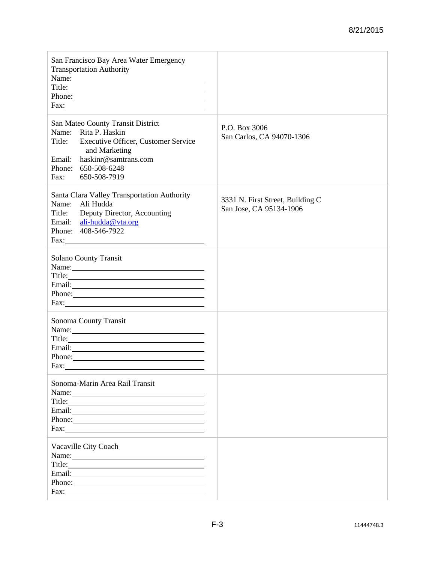| San Francisco Bay Area Water Emergency<br><b>Transportation Authority</b><br>Title:<br>Phone:<br>Fax: The Commission of the Commission of the Commission of the Commission of the Commission of the Commission of the Commission of the Commission of the Commission of the Commission of the Commission of the Commission of t                                                     |                                                             |
|-------------------------------------------------------------------------------------------------------------------------------------------------------------------------------------------------------------------------------------------------------------------------------------------------------------------------------------------------------------------------------------|-------------------------------------------------------------|
| San Mateo County Transit District<br>Name: Rita P. Haskin<br>Title: Executive Officer, Customer Service<br>and Marketing<br>Email: haskinr@samtrans.com<br>Phone: 650-508-6248<br>Fax: 650-508-7919                                                                                                                                                                                 | P.O. Box 3006<br>San Carlos, CA 94070-1306                  |
| Santa Clara Valley Transportation Authority<br>Name: Ali Hudda<br>Title: Deputy Director, Accounting<br>Email: ali-hudda@vta.org<br>Phone: 408-546-7922                                                                                                                                                                                                                             | 3331 N. First Street, Building C<br>San Jose, CA 95134-1906 |
| <b>Solano County Transit</b><br>Name:<br>Title:<br>Phone:                                                                                                                                                                                                                                                                                                                           |                                                             |
| Sonoma County Transit<br>Name:<br>Phone:<br>Fax:                                                                                                                                                                                                                                                                                                                                    |                                                             |
| Sonoma-Marin Area Rail Transit<br>Title: The Commission of the Commission of the Commission of the Commission of the Commission of the Commission<br>Fax: The Commission of the Commission of the Commission of the Commission of the Commission of the Commission of the Commission of the Commission of the Commission of the Commission of the Commission of the Commission of t |                                                             |
| Vacaville City Coach<br>Email: <u>Communication</u><br>Phone:<br>Fax: $\qquad \qquad$                                                                                                                                                                                                                                                                                               |                                                             |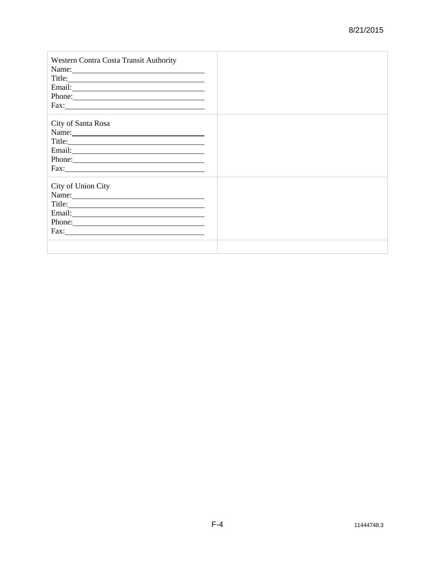| Western Contra Costa Transit Authority<br>Phone:                                                                                                                                                                                                                                  |  |
|-----------------------------------------------------------------------------------------------------------------------------------------------------------------------------------------------------------------------------------------------------------------------------------|--|
| City of Santa Rosa<br>Name:<br>Phone:<br>Fax: The Commission of the Commission of the Commission of the Commission of the Commission of the Commission of the Commission of the Commission of the Commission of the Commission of the Commission of the Commission of t           |  |
| City of Union City<br>Name:<br>Title:<br>Phone:<br>Fax: The Commission of the Commission of the Commission of the Commission of the Commission of the Commission of the Commission of the Commission of the Commission of the Commission of the Commission of the Commission of t |  |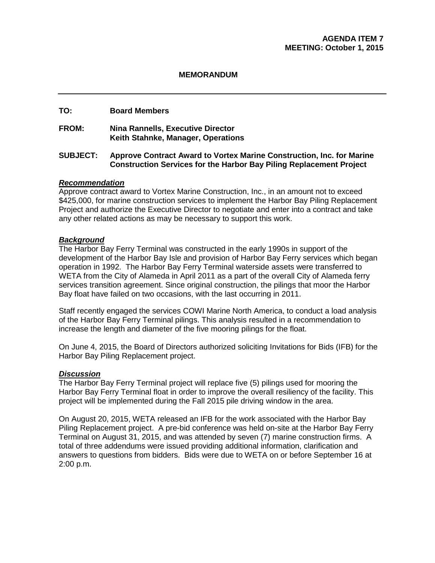#### **MEMORANDUM**

### **TO: Board Members**

#### **FROM: Nina Rannells, Executive Director Keith Stahnke, Manager, Operations**

#### **SUBJECT: Approve Contract Award to Vortex Marine Construction, Inc. for Marine Construction Services for the Harbor Bay Piling Replacement Project**

#### *Recommendation*

Approve contract award to Vortex Marine Construction, Inc., in an amount not to exceed \$425,000, for marine construction services to implement the Harbor Bay Piling Replacement Project and authorize the Executive Director to negotiate and enter into a contract and take any other related actions as may be necessary to support this work.

#### *Background*

The Harbor Bay Ferry Terminal was constructed in the early 1990s in support of the development of the Harbor Bay Isle and provision of Harbor Bay Ferry services which began operation in 1992. The Harbor Bay Ferry Terminal waterside assets were transferred to WETA from the City of Alameda in April 2011 as a part of the overall City of Alameda ferry services transition agreement. Since original construction, the pilings that moor the Harbor Bay float have failed on two occasions, with the last occurring in 2011.

Staff recently engaged the services COWI Marine North America, to conduct a load analysis of the Harbor Bay Ferry Terminal pilings. This analysis resulted in a recommendation to increase the length and diameter of the five mooring pilings for the float.

On June 4, 2015, the Board of Directors authorized soliciting Invitations for Bids (IFB) for the Harbor Bay Piling Replacement project.

#### *Discussion*

The Harbor Bay Ferry Terminal project will replace five (5) pilings used for mooring the Harbor Bay Ferry Terminal float in order to improve the overall resiliency of the facility. This project will be implemented during the Fall 2015 pile driving window in the area.

On August 20, 2015, WETA released an IFB for the work associated with the Harbor Bay Piling Replacement project. A pre-bid conference was held on-site at the Harbor Bay Ferry Terminal on August 31, 2015, and was attended by seven (7) marine construction firms. A total of three addendums were issued providing additional information, clarification and answers to questions from bidders. Bids were due to WETA on or before September 16 at 2:00 p.m.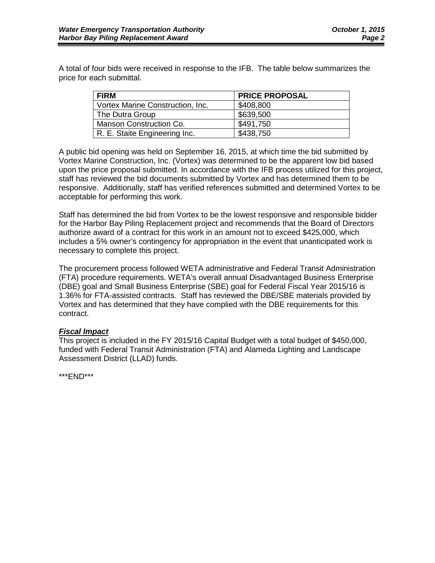A total of four bids were received in response to the IFB. The table below summarizes the price for each submittal.

| <b>FIRM</b>                      | <b>PRICE PROPOSAL</b> |
|----------------------------------|-----------------------|
| Vortex Marine Construction, Inc. | \$408,800             |
| The Dutra Group                  | \$639,500             |
| Manson Construction Co.          | \$491,750             |
| R. E. Staite Engineering Inc.    | \$438,750             |

A public bid opening was held on September 16, 2015, at which time the bid submitted by Vortex Marine Construction, Inc. (Vortex) was determined to be the apparent low bid based upon the price proposal submitted. In accordance with the IFB process utilized for this project, staff has reviewed the bid documents submitted by Vortex and has determined them to be responsive. Additionally, staff has verified references submitted and determined Vortex to be acceptable for performing this work.

Staff has determined the bid from Vortex to be the lowest responsive and responsible bidder for the Harbor Bay Piling Replacement project and recommends that the Board of Directors authorize award of a contract for this work in an amount not to exceed \$425,000, which includes a 5% owner's contingency for appropriation in the event that unanticipated work is necessary to complete this project.

The procurement process followed WETA administrative and Federal Transit Administration (FTA) procedure requirements. WETA's overall annual Disadvantaged Business Enterprise (DBE) goal and Small Business Enterprise (SBE) goal for Federal Fiscal Year 2015/16 is 1.36% for FTA-assisted contracts. Staff has reviewed the DBE/SBE materials provided by Vortex and has determined that they have complied with the DBE requirements for this contract.

### *Fiscal Impact*

This project is included in the FY 2015/16 Capital Budget with a total budget of \$450,000, funded with Federal Transit Administration (FTA) and Alameda Lighting and Landscape Assessment District (LLAD) funds.

\*\*\*END\*\*\*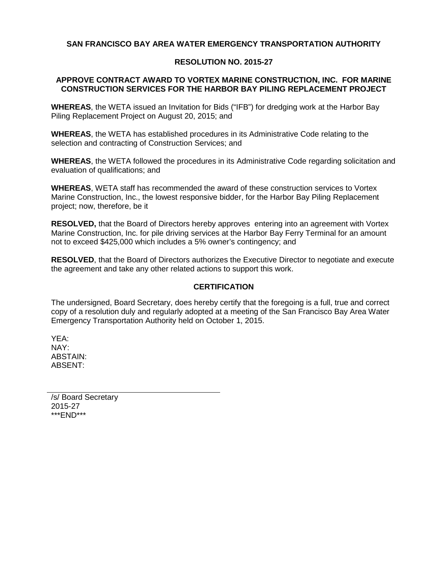### **SAN FRANCISCO BAY AREA WATER EMERGENCY TRANSPORTATION AUTHORITY**

### **RESOLUTION NO. 2015-27**

#### **APPROVE CONTRACT AWARD TO VORTEX MARINE CONSTRUCTION, INC. FOR MARINE CONSTRUCTION SERVICES FOR THE HARBOR BAY PILING REPLACEMENT PROJECT**

**WHEREAS**, the WETA issued an Invitation for Bids ("IFB") for dredging work at the Harbor Bay Piling Replacement Project on August 20, 2015; and

**WHEREAS**, the WETA has established procedures in its Administrative Code relating to the selection and contracting of Construction Services; and

**WHEREAS**, the WETA followed the procedures in its Administrative Code regarding solicitation and evaluation of qualifications; and

**WHEREAS**, WETA staff has recommended the award of these construction services to Vortex Marine Construction, Inc., the lowest responsive bidder, for the Harbor Bay Piling Replacement project; now, therefore, be it

**RESOLVED,** that the Board of Directors hereby approves entering into an agreement with Vortex Marine Construction, Inc. for pile driving services at the Harbor Bay Ferry Terminal for an amount not to exceed \$425,000 which includes a 5% owner's contingency; and

**RESOLVED**, that the Board of Directors authorizes the Executive Director to negotiate and execute the agreement and take any other related actions to support this work.

#### **CERTIFICATION**

The undersigned, Board Secretary, does hereby certify that the foregoing is a full, true and correct copy of a resolution duly and regularly adopted at a meeting of the San Francisco Bay Area Water Emergency Transportation Authority held on October 1, 2015.

YEA: NAY: ABSTAIN: ABSENT:

/s/ Board Secretary 2015-27 \*\*\*END\*\*\*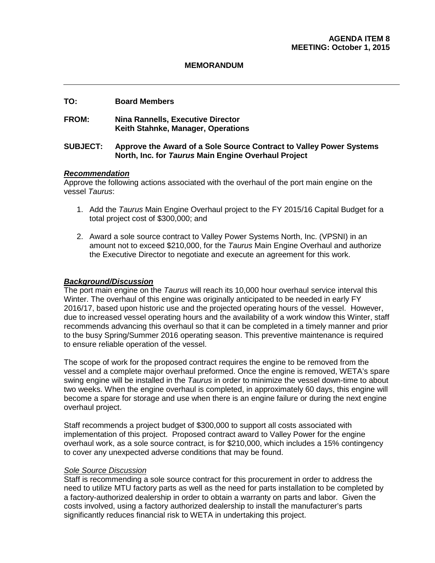#### **MEMORANDUM**

#### **TO: Board Members**

#### **FROM: Nina Rannells, Executive Director Keith Stahnke, Manager, Operations**

#### **SUBJECT: Approve the Award of a Sole Source Contract to Valley Power Systems North, Inc. for** *Taurus* **Main Engine Overhaul Project**

#### *Recommendation*

Approve the following actions associated with the overhaul of the port main engine on the vessel *Taurus*:

- 1. Add the *Taurus* Main Engine Overhaul project to the FY 2015/16 Capital Budget for a total project cost of \$300,000; and
- 2. Award a sole source contract to Valley Power Systems North, Inc. (VPSNI) in an amount not to exceed \$210,000, for the *Taurus* Main Engine Overhaul and authorize the Executive Director to negotiate and execute an agreement for this work.

#### *Background/Discussion*

The port main engine on the *Taurus* will reach its 10,000 hour overhaul service interval this Winter. The overhaul of this engine was originally anticipated to be needed in early FY 2016/17, based upon historic use and the projected operating hours of the vessel. However, due to increased vessel operating hours and the availability of a work window this Winter, staff recommends advancing this overhaul so that it can be completed in a timely manner and prior to the busy Spring/Summer 2016 operating season. This preventive maintenance is required to ensure reliable operation of the vessel.

The scope of work for the proposed contract requires the engine to be removed from the vessel and a complete major overhaul preformed. Once the engine is removed, WETA's spare swing engine will be installed in the *Taurus* in order to minimize the vessel down-time to about two weeks. When the engine overhaul is completed, in approximately 60 days, this engine will become a spare for storage and use when there is an engine failure or during the next engine overhaul project.

Staff recommends a project budget of \$300,000 to support all costs associated with implementation of this project. Proposed contract award to Valley Power for the engine overhaul work, as a sole source contract, is for \$210,000, which includes a 15% contingency to cover any unexpected adverse conditions that may be found.

#### *Sole Source Discussion*

Staff is recommending a sole source contract for this procurement in order to address the need to utilize MTU factory parts as well as the need for parts installation to be completed by a factory-authorized dealership in order to obtain a warranty on parts and labor. Given the costs involved, using a factory authorized dealership to install the manufacturer's parts significantly reduces financial risk to WETA in undertaking this project.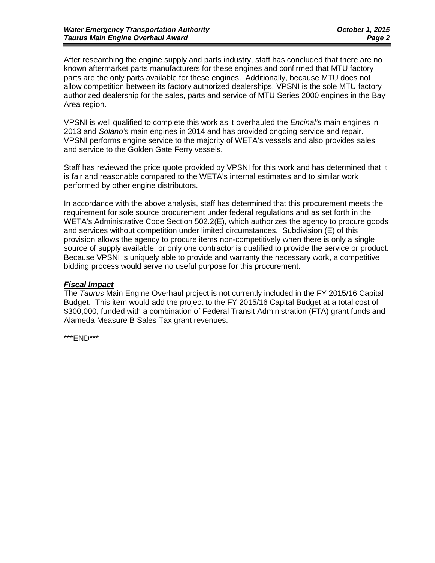After researching the engine supply and parts industry, staff has concluded that there are no known aftermarket parts manufacturers for these engines and confirmed that MTU factory parts are the only parts available for these engines. Additionally, because MTU does not allow competition between its factory authorized dealerships, VPSNI is the sole MTU factory authorized dealership for the sales, parts and service of MTU Series 2000 engines in the Bay Area region.

VPSNI is well qualified to complete this work as it overhauled the *Encinal's* main engines in 2013 and *Solano's* main engines in 2014 and has provided ongoing service and repair. VPSNI performs engine service to the majority of WETA's vessels and also provides sales and service to the Golden Gate Ferry vessels.

Staff has reviewed the price quote provided by VPSNI for this work and has determined that it is fair and reasonable compared to the WETA's internal estimates and to similar work performed by other engine distributors.

In accordance with the above analysis, staff has determined that this procurement meets the requirement for sole source procurement under federal regulations and as set forth in the WETA's Administrative Code Section 502.2(E), which authorizes the agency to procure goods and services without competition under limited circumstances. Subdivision (E) of this provision allows the agency to procure items non-competitively when there is only a single source of supply available, or only one contractor is qualified to provide the service or product. Because VPSNI is uniquely able to provide and warranty the necessary work, a competitive bidding process would serve no useful purpose for this procurement.

#### *Fiscal Impact*

The *Taurus* Main Engine Overhaul project is not currently included in the FY 2015/16 Capital Budget. This item would add the project to the FY 2015/16 Capital Budget at a total cost of \$300,000, funded with a combination of Federal Transit Administration (FTA) grant funds and Alameda Measure B Sales Tax grant revenues.

\*\*\*END\*\*\*